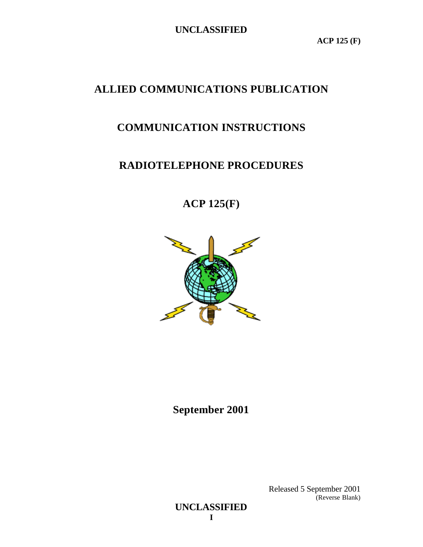**ACP 125 (F)**

# **ALLIED COMMUNICATIONS PUBLICATION**

# **COMMUNICATION INSTRUCTIONS**

# **RADIOTELEPHONE PROCEDURES**

**ACP 125(F)**



**September 2001**

Released 5 September 2001 (Reverse Blank)

**UNCLASSIFIED I**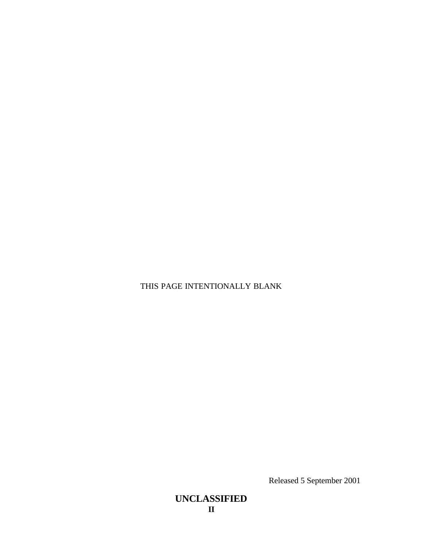Released 5 September 2001

**UNCLASSIFIED II**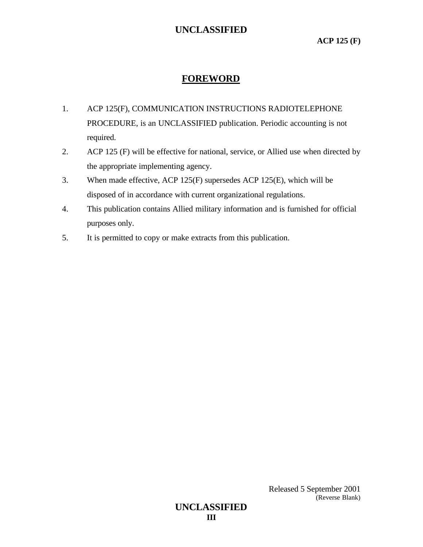**ACP 125 (F)**

## **FOREWORD**

- 1. ACP 125(F), COMMUNICATION INSTRUCTIONS RADIOTELEPHONE PROCEDURE, is an UNCLASSIFIED publication. Periodic accounting is not required.
- 2. ACP 125 (F) will be effective for national, service, or Allied use when directed by the appropriate implementing agency.
- 3. When made effective, ACP 125(F) supersedes ACP 125(E), which will be disposed of in accordance with current organizational regulations.
- 4. This publication contains Allied military information and is furnished for official purposes only.
- 5. It is permitted to copy or make extracts from this publication.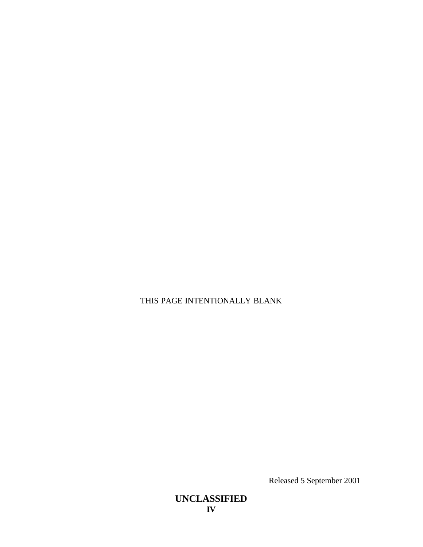Released 5 September 2001

**UNCLASSIFIED IV**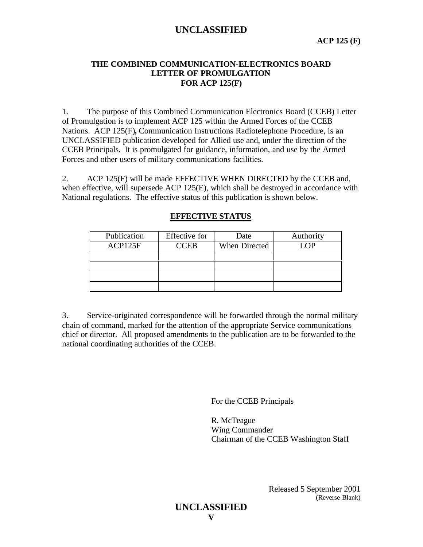#### **THE COMBINED COMMUNICATION-ELECTRONICS BOARD LETTER OF PROMULGATION FOR ACP 125(F)**

1. The purpose of this Combined Communication Electronics Board (CCEB) Letter of Promulgation is to implement ACP 125 within the Armed Forces of the CCEB Nations. ACP 125(F)**,** Communication Instructions Radiotelephone Procedure, is an UNCLASSIFIED publication developed for Allied use and, under the direction of the CCEB Principals. It is promulgated for guidance, information, and use by the Armed Forces and other users of military communications facilities.

2. ACP 125(F) will be made EFFECTIVE WHEN DIRECTED by the CCEB and, when effective, will supersede ACP 125(E), which shall be destroyed in accordance with National regulations. The effective status of this publication is shown below.

| Publication | Effective for | Date          | Authority |
|-------------|---------------|---------------|-----------|
| ACP125F     | $\sf CER$     | When Directed | $\Omega$  |
|             |               |               |           |
|             |               |               |           |
|             |               |               |           |
|             |               |               |           |

#### **EFFECTIVE STATUS**

3. Service-originated correspondence will be forwarded through the normal military chain of command, marked for the attention of the appropriate Service communications chief or director. All proposed amendments to the publication are to be forwarded to the national coordinating authorities of the CCEB.

For the CCEB Principals

R. McTeague Wing Commander Chairman of the CCEB Washington Staff

#### **UNCLASSIFIED V**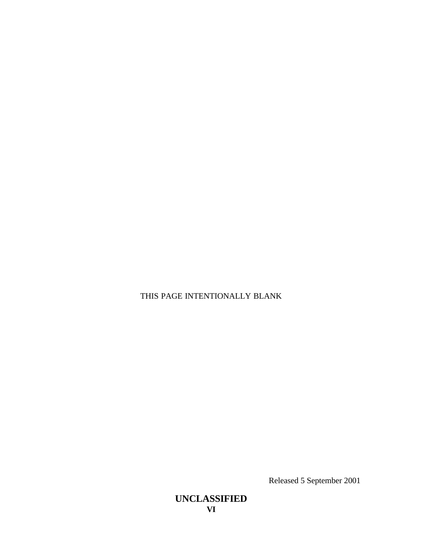Released 5 September 2001

**UNCLASSIFIED VI**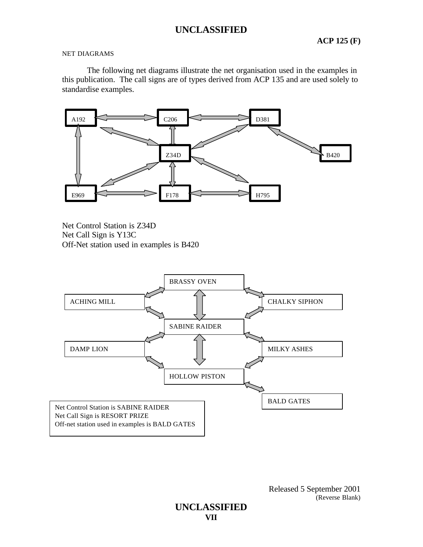#### NET DIAGRAMS

The following net diagrams illustrate the net organisation used in the examples in this publication. The call signs are of types derived from ACP 135 and are used solely to standardise examples.



Net Control Station is Z34D Net Call Sign is Y13C Off-Net station used in examples is B420



Released 5 September 2001 (Reverse Blank)

### **UNCLASSIFIED VII**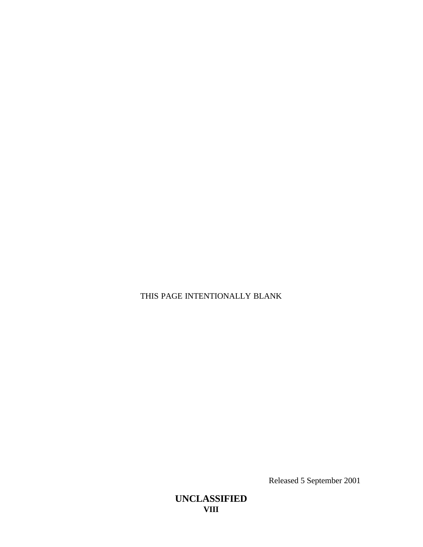Released 5 September 2001

**UNCLASSIFIED VIII**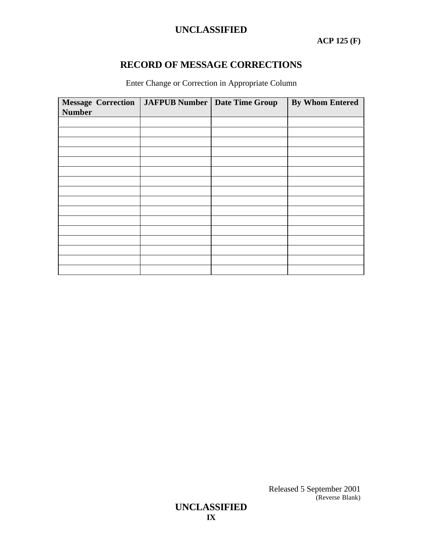## **RECORD OF MESSAGE CORRECTIONS**

Enter Change or Correction in Appropriate Column

| <b>Message Correction   JAFPUB Number   Date Time Group</b> |  | <b>By Whom Entered</b> |
|-------------------------------------------------------------|--|------------------------|
| <b>Number</b>                                               |  |                        |
|                                                             |  |                        |
|                                                             |  |                        |
|                                                             |  |                        |
|                                                             |  |                        |
|                                                             |  |                        |
|                                                             |  |                        |
|                                                             |  |                        |
|                                                             |  |                        |
|                                                             |  |                        |
|                                                             |  |                        |
|                                                             |  |                        |
|                                                             |  |                        |
|                                                             |  |                        |
|                                                             |  |                        |
|                                                             |  |                        |
|                                                             |  |                        |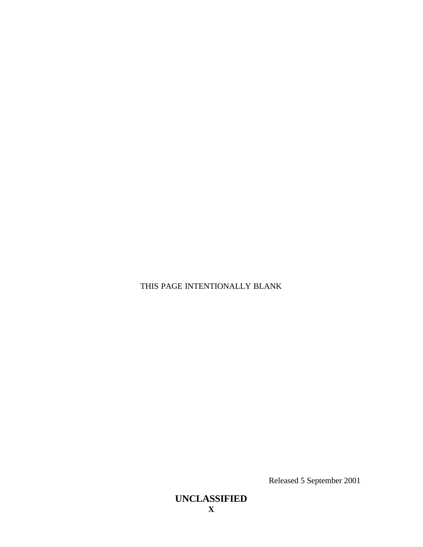Released 5 September 2001

# **UNCLASSIFIED X**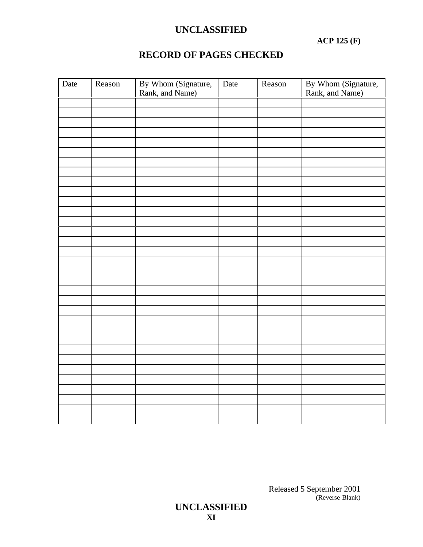**ACP 125 (F)**

# **RECORD OF PAGES CHECKED**

| Date | Reason | By Whom (Signature,<br>Rank, and Name) | Date | Reason | By Whom (Signature,<br>Rank, and Name) |
|------|--------|----------------------------------------|------|--------|----------------------------------------|
|      |        |                                        |      |        |                                        |
|      |        |                                        |      |        |                                        |
|      |        |                                        |      |        |                                        |
|      |        |                                        |      |        |                                        |
|      |        |                                        |      |        |                                        |
|      |        |                                        |      |        |                                        |
|      |        |                                        |      |        |                                        |
|      |        |                                        |      |        |                                        |
|      |        |                                        |      |        |                                        |
|      |        |                                        |      |        |                                        |
|      |        |                                        |      |        |                                        |
|      |        |                                        |      |        |                                        |
|      |        |                                        |      |        |                                        |
|      |        |                                        |      |        |                                        |
|      |        |                                        |      |        |                                        |
|      |        |                                        |      |        |                                        |
|      |        |                                        |      |        |                                        |
|      |        |                                        |      |        |                                        |
|      |        |                                        |      |        |                                        |
|      |        |                                        |      |        |                                        |
|      |        |                                        |      |        |                                        |
|      |        |                                        |      |        |                                        |
|      |        |                                        |      |        |                                        |
|      |        |                                        |      |        |                                        |
|      |        |                                        |      |        |                                        |
|      |        |                                        |      |        |                                        |
|      |        |                                        |      |        |                                        |
|      |        |                                        |      |        |                                        |
|      |        |                                        |      |        |                                        |
|      |        |                                        |      |        |                                        |
|      |        |                                        |      |        |                                        |
|      |        |                                        |      |        |                                        |
|      |        |                                        |      |        |                                        |

## **UNCLASSIFIED XI**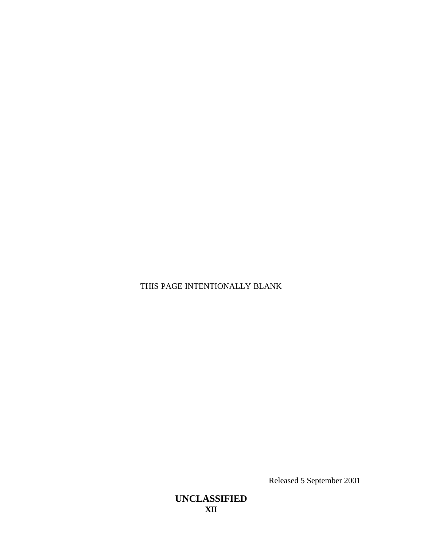Released 5 September 2001

**UNCLASSIFIED XII**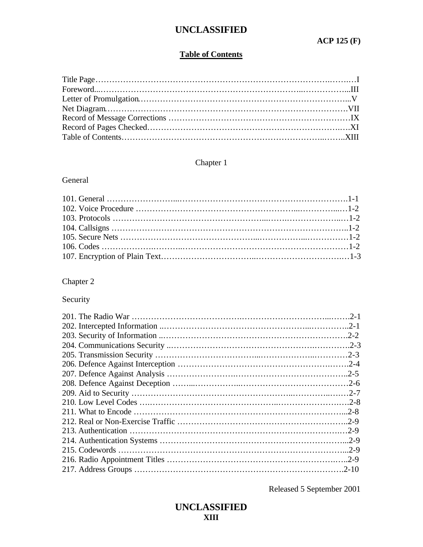### **Table of Contents**

### Chapter 1

## General

### Chapter 2

### Security

| $.2 - 1$ |
|----------|
|          |
|          |
|          |
|          |
|          |
|          |
|          |
|          |
|          |
|          |
|          |
|          |
|          |
|          |
|          |
|          |

Released 5 September 2001

### **UNCLASSIFIED XIII**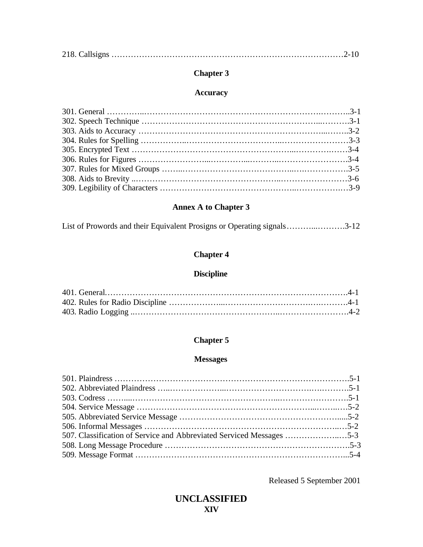### **Chapter 3**

### **Accuracy**

### **Annex A to Chapter 3**

| List of Prowords and their Equivalent Prosigns or Operating signals3-12 |  |  |  |  |
|-------------------------------------------------------------------------|--|--|--|--|
|-------------------------------------------------------------------------|--|--|--|--|

### **Chapter 4**

### **Discipline**

# **Chapter 5**

### **Messages**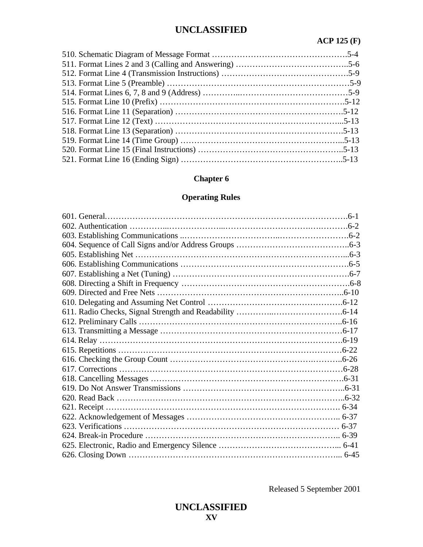### **Chapter 6**

# **Operating Rules**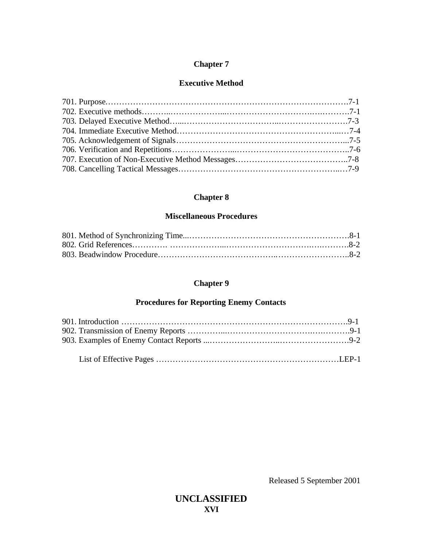### **Chapter 7**

### **Executive Method**

### **Chapter 8**

### **Miscellaneous Procedures**

# **Chapter 9**

# **Procedures for Reporting Enemy Contacts**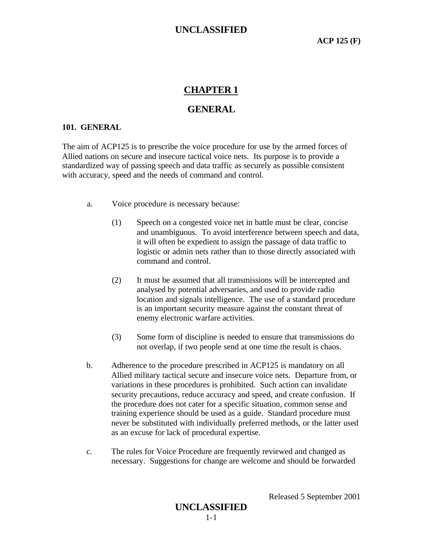## **CHAPTER 1**

### **GENERAL**

#### **101. GENERAL**

The aim of ACP125 is to prescribe the voice procedure for use by the armed forces of Allied nations on secure and insecure tactical voice nets. Its purpose is to provide a standardized way of passing speech and data traffic as securely as possible consistent with accuracy, speed and the needs of command and control.

- a. Voice procedure is necessary because:
	- (1) Speech on a congested voice net in battle must be clear, concise and unambiguous. To avoid interference between speech and data, it will often be expedient to assign the passage of data traffic to logistic or admin nets rather than to those directly associated with command and control.
	- (2) It must be assumed that all transmissions will be intercepted and analysed by potential adversaries, and used to provide radio location and signals intelligence. The use of a standard procedure is an important security measure against the constant threat of enemy electronic warfare activities.
	- (3) Some form of discipline is needed to ensure that transmissions do not overlap, if two people send at one time the result is chaos.
- b. Adherence to the procedure prescribed in ACP125 is mandatory on all Allied military tactical secure and insecure voice nets. Departure from, or variations in these procedures is prohibited. Such action can invalidate security precautions, reduce accuracy and speed, and create confusion. If the procedure does not cater for a specific situation, common sense and training experience should be used as a guide. Standard procedure must never be substituted with individually preferred methods, or the latter used as an excuse for lack of procedural expertise.
- c. The rules for Voice Procedure are frequently reviewed and changed as necessary. Suggestions for change are welcome and should be forwarded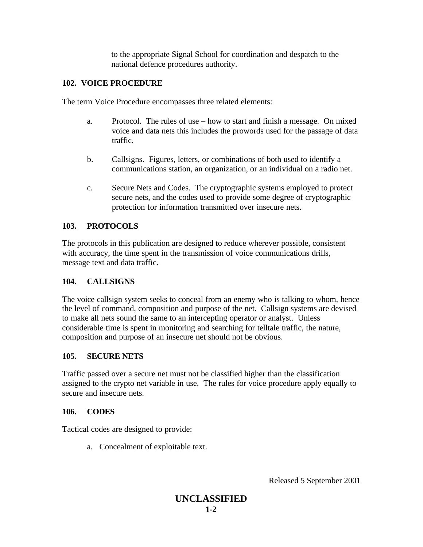to the appropriate Signal School for coordination and despatch to the national defence procedures authority.

### **102. VOICE PROCEDURE**

The term Voice Procedure encompasses three related elements:

- a. Protocol. The rules of use how to start and finish a message. On mixed voice and data nets this includes the prowords used for the passage of data traffic.
- b. Callsigns. Figures, letters, or combinations of both used to identify a communications station, an organization, or an individual on a radio net.
- c. Secure Nets and Codes. The cryptographic systems employed to protect secure nets, and the codes used to provide some degree of cryptographic protection for information transmitted over insecure nets.

### **103. PROTOCOLS**

The protocols in this publication are designed to reduce wherever possible, consistent with accuracy, the time spent in the transmission of voice communications drills, message text and data traffic.

#### **104. CALLSIGNS**

The voice callsign system seeks to conceal from an enemy who is talking to whom, hence the level of command, composition and purpose of the net. Callsign systems are devised to make all nets sound the same to an intercepting operator or analyst. Unless considerable time is spent in monitoring and searching for telltale traffic, the nature, composition and purpose of an insecure net should not be obvious.

#### **105. SECURE NETS**

Traffic passed over a secure net must not be classified higher than the classification assigned to the crypto net variable in use. The rules for voice procedure apply equally to secure and insecure nets.

#### **106. CODES**

Tactical codes are designed to provide:

a. Concealment of exploitable text.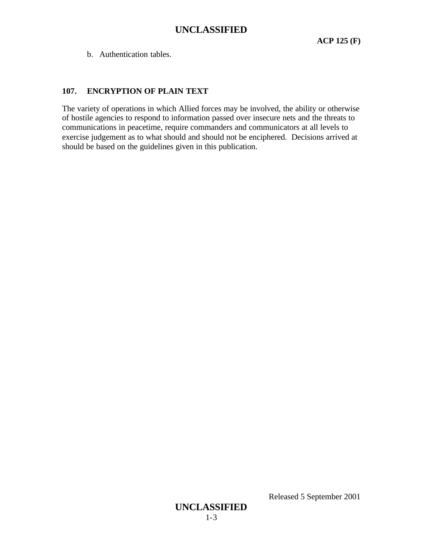b. Authentication tables.

### **107. ENCRYPTION OF PLAIN TEXT**

The variety of operations in which Allied forces may be involved, the ability or otherwise of hostile agencies to respond to information passed over insecure nets and the threats to communications in peacetime, require commanders and communicators at all levels to exercise judgement as to what should and should not be enciphered. Decisions arrived at should be based on the guidelines given in this publication.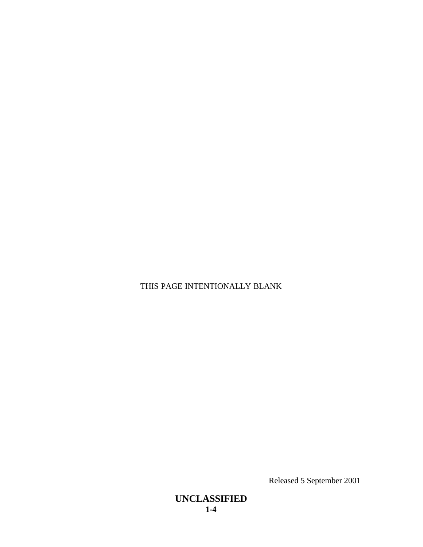Released 5 September 2001

**UNCLASSIFIED 1-4**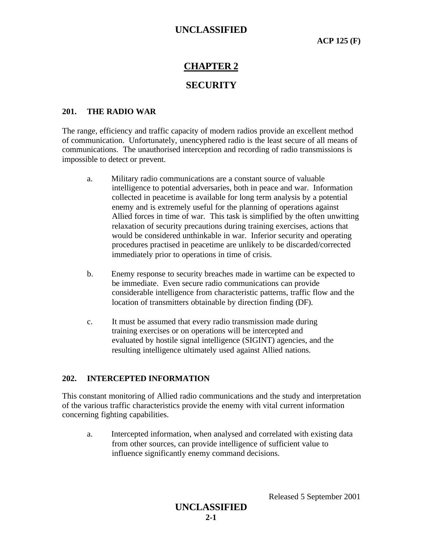## **CHAPTER 2**

## **SECURITY**

#### **201. THE RADIO WAR**

The range, efficiency and traffic capacity of modern radios provide an excellent method of communication. Unfortunately, unencyphered radio is the least secure of all means of communications. The unauthorised interception and recording of radio transmissions is impossible to detect or prevent.

- a. Military radio communications are a constant source of valuable intelligence to potential adversaries, both in peace and war. Information collected in peacetime is available for long term analysis by a potential enemy and is extremely useful for the planning of operations against Allied forces in time of war. This task is simplified by the often unwitting relaxation of security precautions during training exercises, actions that would be considered unthinkable in war. Inferior security and operating procedures practised in peacetime are unlikely to be discarded/corrected immediately prior to operations in time of crisis.
- b. Enemy response to security breaches made in wartime can be expected to be immediate. Even secure radio communications can provide considerable intelligence from characteristic patterns, traffic flow and the location of transmitters obtainable by direction finding (DF).
- c. It must be assumed that every radio transmission made during training exercises or on operations will be intercepted and evaluated by hostile signal intelligence (SIGINT) agencies, and the resulting intelligence ultimately used against Allied nations.

#### **202. INTERCEPTED INFORMATION**

This constant monitoring of Allied radio communications and the study and interpretation of the various traffic characteristics provide the enemy with vital current information concerning fighting capabilities.

a. Intercepted information, when analysed and correlated with existing data from other sources, can provide intelligence of sufficient value to influence significantly enemy command decisions.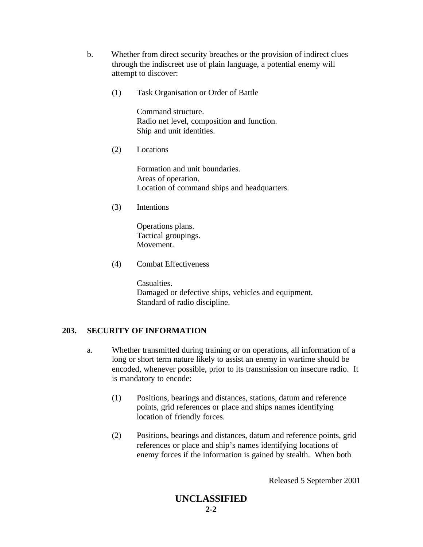- b. Whether from direct security breaches or the provision of indirect clues through the indiscreet use of plain language, a potential enemy will attempt to discover:
	- (1) Task Organisation or Order of Battle

Command structure. Radio net level, composition and function. Ship and unit identities.

(2) Locations

Formation and unit boundaries. Areas of operation. Location of command ships and headquarters.

(3) Intentions

Operations plans. Tactical groupings. Movement.

(4) Combat Effectiveness

Casualties. Damaged or defective ships, vehicles and equipment. Standard of radio discipline.

#### **203. SECURITY OF INFORMATION**

- a. Whether transmitted during training or on operations, all information of a long or short term nature likely to assist an enemy in wartime should be encoded, whenever possible, prior to its transmission on insecure radio. It is mandatory to encode:
	- (1) Positions, bearings and distances, stations, datum and reference points, grid references or place and ships names identifying location of friendly forces.
	- (2) Positions, bearings and distances, datum and reference points, grid references or place and ship's names identifying locations of enemy forces if the information is gained by stealth. When both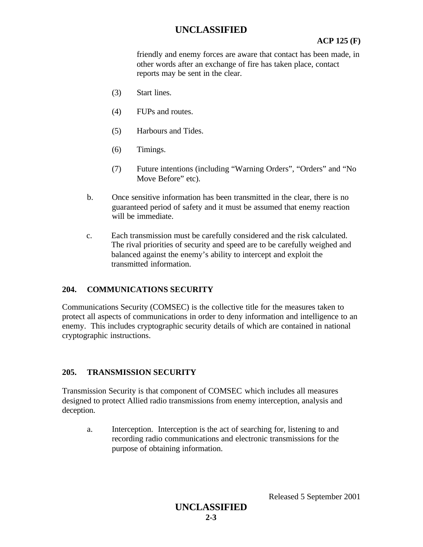friendly and enemy forces are aware that contact has been made, in other words after an exchange of fire has taken place, contact reports may be sent in the clear.

- (3) Start lines.
- (4) FUPs and routes.
- (5) Harbours and Tides.
- (6) Timings.
- (7) Future intentions (including "Warning Orders", "Orders" and "No Move Before" etc).
- b. Once sensitive information has been transmitted in the clear, there is no guaranteed period of safety and it must be assumed that enemy reaction will be immediate.
- c. Each transmission must be carefully considered and the risk calculated. The rival priorities of security and speed are to be carefully weighed and balanced against the enemy's ability to intercept and exploit the transmitted information.

### **204. COMMUNICATIONS SECURITY**

Communications Security (COMSEC) is the collective title for the measures taken to protect all aspects of communications in order to deny information and intelligence to an enemy. This includes cryptographic security details of which are contained in national cryptographic instructions.

#### **205. TRANSMISSION SECURITY**

Transmission Security is that component of COMSEC which includes all measures designed to protect Allied radio transmissions from enemy interception, analysis and deception.

a. Interception. Interception is the act of searching for, listening to and recording radio communications and electronic transmissions for the purpose of obtaining information.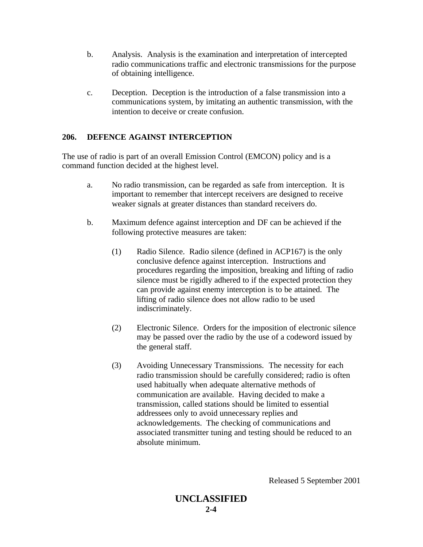- b. Analysis. Analysis is the examination and interpretation of intercepted radio communications traffic and electronic transmissions for the purpose of obtaining intelligence.
- c. Deception. Deception is the introduction of a false transmission into a communications system, by imitating an authentic transmission, with the intention to deceive or create confusion.

### **206. DEFENCE AGAINST INTERCEPTION**

The use of radio is part of an overall Emission Control (EMCON) policy and is a command function decided at the highest level.

- a. No radio transmission, can be regarded as safe from interception. It is important to remember that intercept receivers are designed to receive weaker signals at greater distances than standard receivers do.
- b. Maximum defence against interception and DF can be achieved if the following protective measures are taken:
	- (1) Radio Silence. Radio silence (defined in ACP167) is the only conclusive defence against interception. Instructions and procedures regarding the imposition, breaking and lifting of radio silence must be rigidly adhered to if the expected protection they can provide against enemy interception is to be attained. The lifting of radio silence does not allow radio to be used indiscriminately.
	- (2) Electronic Silence. Orders for the imposition of electronic silence may be passed over the radio by the use of a codeword issued by the general staff.
	- (3) Avoiding Unnecessary Transmissions. The necessity for each radio transmission should be carefully considered; radio is often used habitually when adequate alternative methods of communication are available. Having decided to make a transmission, called stations should be limited to essential addressees only to avoid unnecessary replies and acknowledgements. The checking of communications and associated transmitter tuning and testing should be reduced to an absolute minimum.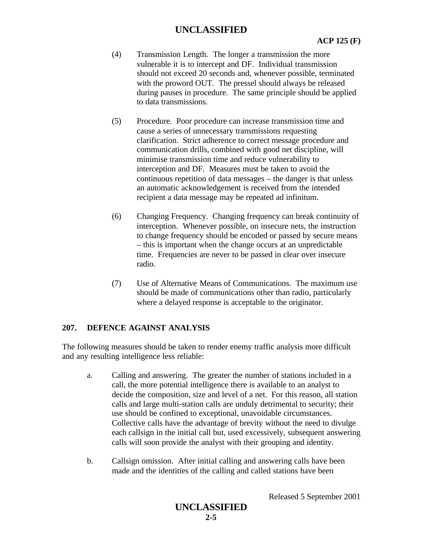- (4) Transmission Length. The longer a transmission the more vulnerable it is to intercept and DF. Individual transmission should not exceed 20 seconds and, whenever possible, terminated with the proword OUT. The pressel should always be released during pauses in procedure. The same principle should be applied to data transmissions.
- (5) Procedure. Poor procedure can increase transmission time and cause a series of unnecessary transmissions requesting clarification. Strict adherence to correct message procedure and communication drills, combined with good net discipline, will minimise transmission time and reduce vulnerability to interception and DF. Measures must be taken to avoid the continuous repetition of data messages – the danger is that unless an automatic acknowledgement is received from the intended recipient a data message may be repeated ad infinitum.
- (6) Changing Frequency. Changing frequency can break continuity of interception. Whenever possible, on insecure nets, the instruction to change frequency should be encoded or passed by secure means – this is important when the change occurs at an unpredictable time. Frequencies are never to be passed in clear over insecure radio.
- (7) Use of Alternative Means of Communications. The maximum use should be made of communications other than radio, particularly where a delayed response is acceptable to the originator.

### **207. DEFENCE AGAINST ANALYSIS**

The following measures should be taken to render enemy traffic analysis more difficult and any resulting intelligence less reliable:

- a. Calling and answering. The greater the number of stations included in a call, the more potential intelligence there is available to an analyst to decide the composition, size and level of a net. For this reason, all station calls and large multi-station calls are unduly detrimental to security; their use should be confined to exceptional, unavoidable circumstances. Collective calls have the advantage of brevity without the need to divulge each callsign in the initial call but, used excessively, subsequent answering calls will soon provide the analyst with their grouping and identity.
- b. Callsign omission. After initial calling and answering calls have been made and the identities of the calling and called stations have been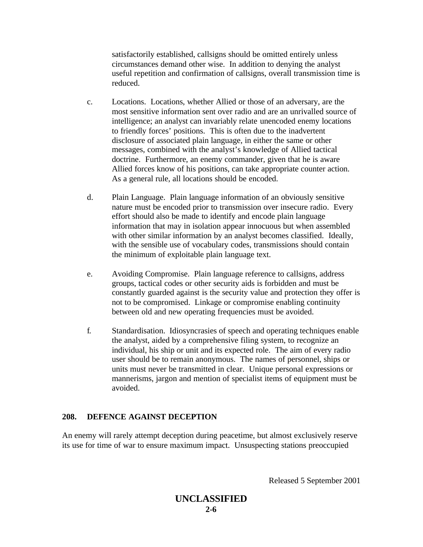satisfactorily established, callsigns should be omitted entirely unless circumstances demand other wise. In addition to denying the analyst useful repetition and confirmation of callsigns, overall transmission time is reduced.

- c. Locations. Locations, whether Allied or those of an adversary, are the most sensitive information sent over radio and are an unrivalled source of intelligence; an analyst can invariably relate unencoded enemy locations to friendly forces' positions. This is often due to the inadvertent disclosure of associated plain language, in either the same or other messages, combined with the analyst's knowledge of Allied tactical doctrine. Furthermore, an enemy commander, given that he is aware Allied forces know of his positions, can take appropriate counter action. As a general rule, all locations should be encoded.
- d. Plain Language. Plain language information of an obviously sensitive nature must be encoded prior to transmission over insecure radio. Every effort should also be made to identify and encode plain language information that may in isolation appear innocuous but when assembled with other similar information by an analyst becomes classified. Ideally, with the sensible use of vocabulary codes, transmissions should contain the minimum of exploitable plain language text.
- e. Avoiding Compromise. Plain language reference to callsigns, address groups, tactical codes or other security aids is forbidden and must be constantly guarded against is the security value and protection they offer is not to be compromised. Linkage or compromise enabling continuity between old and new operating frequencies must be avoided.
- f. Standardisation. Idiosyncrasies of speech and operating techniques enable the analyst, aided by a comprehensive filing system, to recognize an individual, his ship or unit and its expected role. The aim of every radio user should be to remain anonymous. The names of personnel, ships or units must never be transmitted in clear. Unique personal expressions or mannerisms, jargon and mention of specialist items of equipment must be avoided.

#### **208. DEFENCE AGAINST DECEPTION**

An enemy will rarely attempt deception during peacetime, but almost exclusively reserve its use for time of war to ensure maximum impact. Unsuspecting stations preoccupied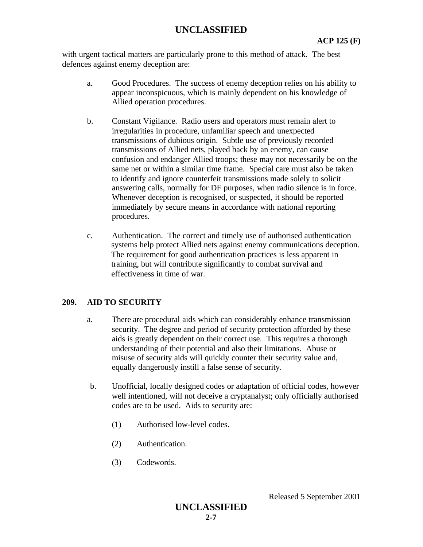with urgent tactical matters are particularly prone to this method of attack. The best defences against enemy deception are:

- a. Good Procedures. The success of enemy deception relies on his ability to appear inconspicuous, which is mainly dependent on his knowledge of Allied operation procedures.
- b. Constant Vigilance. Radio users and operators must remain alert to irregularities in procedure, unfamiliar speech and unexpected transmissions of dubious origin. Subtle use of previously recorded transmissions of Allied nets, played back by an enemy, can cause confusion and endanger Allied troops; these may not necessarily be on the same net or within a similar time frame. Special care must also be taken to identify and ignore counterfeit transmissions made solely to solicit answering calls, normally for DF purposes, when radio silence is in force. Whenever deception is recognised, or suspected, it should be reported immediately by secure means in accordance with national reporting procedures.
- c. Authentication. The correct and timely use of authorised authentication systems help protect Allied nets against enemy communications deception. The requirement for good authentication practices is less apparent in training, but will contribute significantly to combat survival and effectiveness in time of war.

#### **209. AID TO SECURITY**

- a. There are procedural aids which can considerably enhance transmission security. The degree and period of security protection afforded by these aids is greatly dependent on their correct use. This requires a thorough understanding of their potential and also their limitations. Abuse or misuse of security aids will quickly counter their security value and, equally dangerously instill a false sense of security.
- b. Unofficial, locally designed codes or adaptation of official codes, however well intentioned, will not deceive a cryptanalyst; only officially authorised codes are to be used. Aids to security are:
	- (1) Authorised low-level codes.
	- (2) Authentication.
	- (3) Codewords.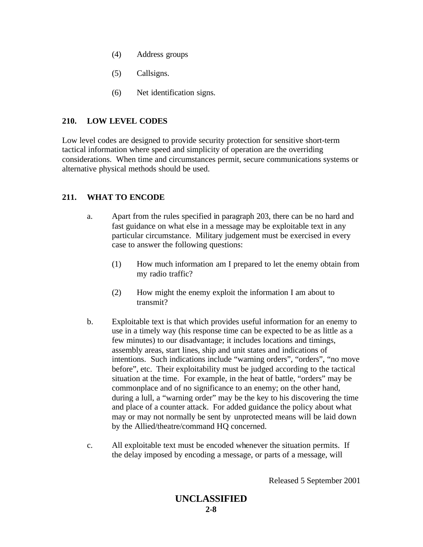- (4) Address groups
- (5) Callsigns.
- (6) Net identification signs.

#### **210. LOW LEVEL CODES**

Low level codes are designed to provide security protection for sensitive short-term tactical information where speed and simplicity of operation are the overriding considerations. When time and circumstances permit, secure communications systems or alternative physical methods should be used.

#### **211. WHAT TO ENCODE**

- a. Apart from the rules specified in paragraph 203, there can be no hard and fast guidance on what else in a message may be exploitable text in any particular circumstance. Military judgement must be exercised in every case to answer the following questions:
	- (1) How much information am I prepared to let the enemy obtain from my radio traffic?
	- (2) How might the enemy exploit the information I am about to transmit?
- b. Exploitable text is that which provides useful information for an enemy to use in a timely way (his response time can be expected to be as little as a few minutes) to our disadvantage; it includes locations and timings, assembly areas, start lines, ship and unit states and indications of intentions. Such indications include "warning orders", "orders", "no move before", etc. Their exploitability must be judged according to the tactical situation at the time. For example, in the heat of battle, "orders" may be commonplace and of no significance to an enemy; on the other hand, during a lull, a "warning order" may be the key to his discovering the time and place of a counter attack. For added guidance the policy about what may or may not normally be sent by unprotected means will be laid down by the Allied/theatre/command HQ concerned.
- c. All exploitable text must be encoded whenever the situation permits. If the delay imposed by encoding a message, or parts of a message, will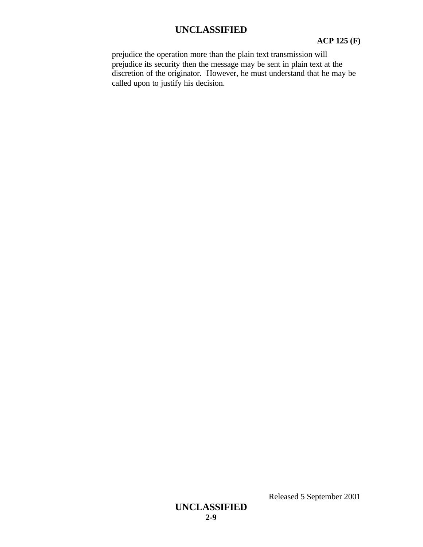prejudice the operation more than the plain text transmission will prejudice its security then the message may be sent in plain text at the discretion of the originator. However, he must understand that he may be called upon to justify his decision.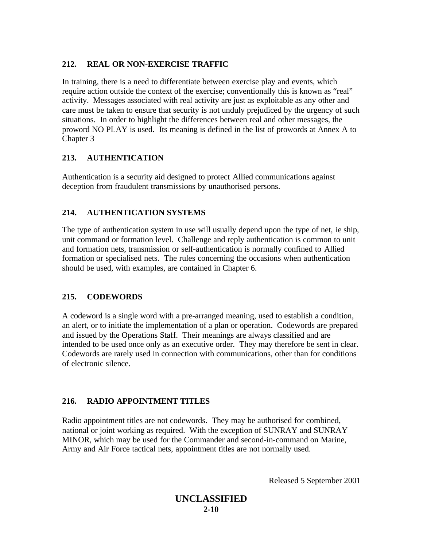### **212. REAL OR NON-EXERCISE TRAFFIC**

In training, there is a need to differentiate between exercise play and events, which require action outside the context of the exercise; conventionally this is known as "real" activity. Messages associated with real activity are just as exploitable as any other and care must be taken to ensure that security is not unduly prejudiced by the urgency of such situations. In order to highlight the differences between real and other messages, the proword NO PLAY is used. Its meaning is defined in the list of prowords at Annex A to Chapter 3

### **213. AUTHENTICATION**

Authentication is a security aid designed to protect Allied communications against deception from fraudulent transmissions by unauthorised persons.

### **214. AUTHENTICATION SYSTEMS**

The type of authentication system in use will usually depend upon the type of net, ie ship, unit command or formation level. Challenge and reply authentication is common to unit and formation nets, transmission or self-authentication is normally confined to Allied formation or specialised nets. The rules concerning the occasions when authentication should be used, with examples, are contained in Chapter 6.

### **215. CODEWORDS**

A codeword is a single word with a pre-arranged meaning, used to establish a condition, an alert, or to initiate the implementation of a plan or operation. Codewords are prepared and issued by the Operations Staff. Their meanings are always classified and are intended to be used once only as an executive order. They may therefore be sent in clear. Codewords are rarely used in connection with communications, other than for conditions of electronic silence.

### **216. RADIO APPOINTMENT TITLES**

Radio appointment titles are not codewords. They may be authorised for combined, national or joint working as required. With the exception of SUNRAY and SUNRAY MINOR, which may be used for the Commander and second-in-command on Marine, Army and Air Force tactical nets, appointment titles are not normally used.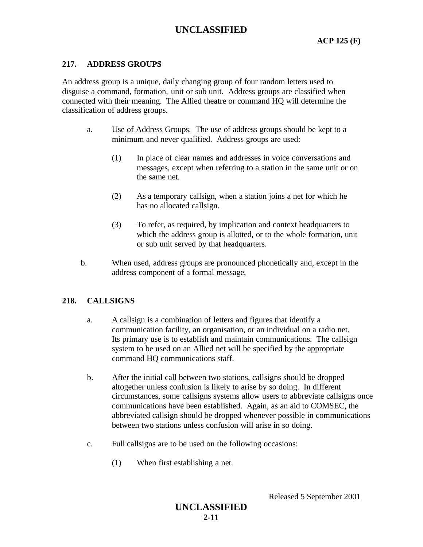#### **217. ADDRESS GROUPS**

An address group is a unique, daily changing group of four random letters used to disguise a command, formation, unit or sub unit. Address groups are classified when connected with their meaning. The Allied theatre or command HQ will determine the classification of address groups.

- a. Use of Address Groups. The use of address groups should be kept to a minimum and never qualified. Address groups are used:
	- (1) In place of clear names and addresses in voice conversations and messages, except when referring to a station in the same unit or on the same net.
	- (2) As a temporary callsign, when a station joins a net for which he has no allocated callsign.
	- (3) To refer, as required, by implication and context headquarters to which the address group is allotted, or to the whole formation, unit or sub unit served by that headquarters.
- b. When used, address groups are pronounced phonetically and, except in the address component of a formal message,

#### **218. CALLSIGNS**

- a. A callsign is a combination of letters and figures that identify a communication facility, an organisation, or an individual on a radio net. Its primary use is to establish and maintain communications. The callsign system to be used on an Allied net will be specified by the appropriate command HQ communications staff.
- b. After the initial call between two stations, callsigns should be dropped altogether unless confusion is likely to arise by so doing. In different circumstances, some callsigns systems allow users to abbreviate callsigns once communications have been established. Again, as an aid to COMSEC, the abbreviated callsign should be dropped whenever possible in communications between two stations unless confusion will arise in so doing.
- c. Full callsigns are to be used on the following occasions:
	- (1) When first establishing a net.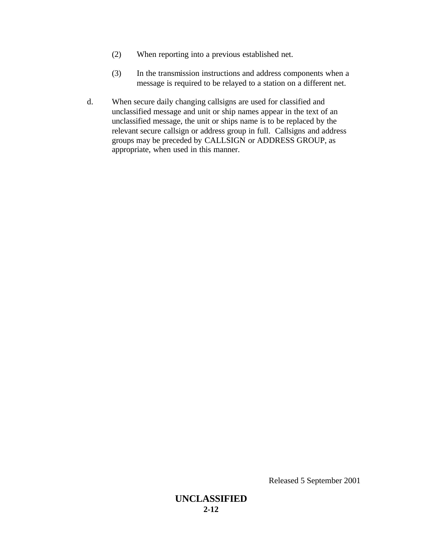- (2) When reporting into a previous established net.
- (3) In the transmission instructions and address components when a message is required to be relayed to a station on a different net.
- d. When secure daily changing callsigns are used for classified and unclassified message and unit or ship names appear in the text of an unclassified message, the unit or ships name is to be replaced by the relevant secure callsign or address group in full. Callsigns and address groups may be preceded by CALLSIGN or ADDRESS GROUP, as appropriate, when used in this manner.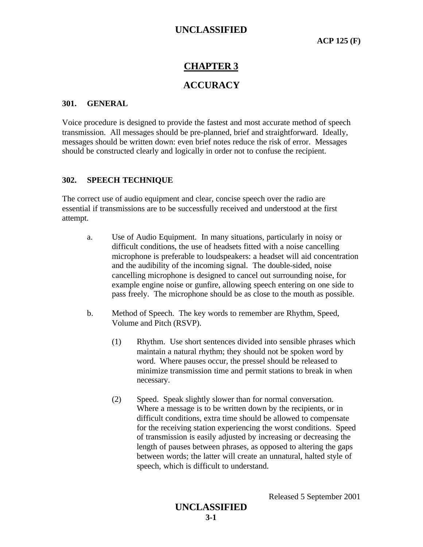## **CHAPTER 3**

### **ACCURACY**

#### **301. GENERAL**

Voice procedure is designed to provide the fastest and most accurate method of speech transmission. All messages should be pre-planned, brief and straightforward. Ideally, messages should be written down: even brief notes reduce the risk of error. Messages should be constructed clearly and logically in order not to confuse the recipient.

#### **302. SPEECH TECHNIQUE**

The correct use of audio equipment and clear, concise speech over the radio are essential if transmissions are to be successfully received and understood at the first attempt.

- a. Use of Audio Equipment. In many situations, particularly in noisy or difficult conditions, the use of headsets fitted with a noise cancelling microphone is preferable to loudspeakers: a headset will aid concentration and the audibility of the incoming signal. The double-sided, noise cancelling microphone is designed to cancel out surrounding noise, for example engine noise or gunfire, allowing speech entering on one side to pass freely. The microphone should be as close to the mouth as possible.
- b. Method of Speech. The key words to remember are Rhythm, Speed, Volume and Pitch (RSVP).
	- (1) Rhythm. Use short sentences divided into sensible phrases which maintain a natural rhythm; they should not be spoken word by word. Where pauses occur, the pressel should be released to minimize transmission time and permit stations to break in when necessary.
	- (2) Speed. Speak slightly slower than for normal conversation. Where a message is to be written down by the recipients, or in difficult conditions, extra time should be allowed to compensate for the receiving station experiencing the worst conditions. Speed of transmission is easily adjusted by increasing or decreasing the length of pauses between phrases, as opposed to altering the gaps between words; the latter will create an unnatural, halted style of speech, which is difficult to understand.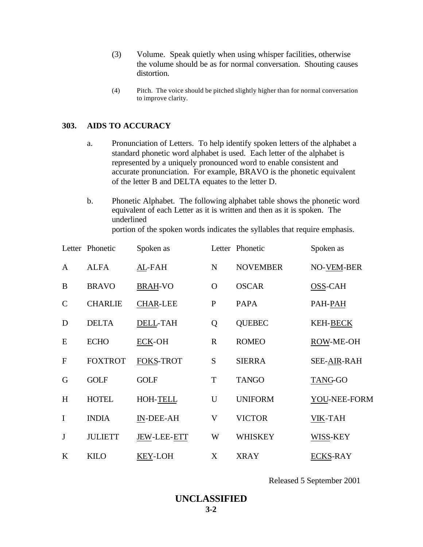- (3) Volume. Speak quietly when using whisper facilities, otherwise the volume should be as for normal conversation. Shouting causes distortion.
- (4) Pitch. The voice should be pitched slightly higher than for normal conversation to improve clarity.

### **303. AIDS TO ACCURACY**

- a. Pronunciation of Letters. To help identify spoken letters of the alphabet a standard phonetic word alphabet is used. Each letter of the alphabet is represented by a uniquely pronounced word to enable consistent and accurate pronunciation. For example, BRAVO is the phonetic equivalent of the letter B and DELTA equates to the letter D.
- b. Phonetic Alphabet. The following alphabet table shows the phonetic word equivalent of each Letter as it is written and then as it is spoken. The underlined

portion of the spoken words indicates the syllables that require emphasis.

|             | Letter Phonetic | Spoken as          |             | Letter Phonetic | Spoken as          |
|-------------|-----------------|--------------------|-------------|-----------------|--------------------|
| A           | <b>ALFA</b>     | AL-FAH             | $\mathbf N$ | <b>NOVEMBER</b> | <b>NO-VEM-BER</b>  |
| B           | <b>BRAVO</b>    | <b>BRAH-VO</b>     | $\Omega$    | <b>OSCAR</b>    | <b>OSS-CAH</b>     |
| $\mathbf C$ | <b>CHARLIE</b>  | <b>CHAR-LEE</b>    | ${\bf P}$   | <b>PAPA</b>     | PAH-PAH            |
| D           | <b>DELTA</b>    | <b>DELL-TAH</b>    | Q           | <b>QUEBEC</b>   | <b>KEH-BECK</b>    |
| E           | <b>ECHO</b>     | <b>ECK-OH</b>      | $\mathbf R$ | <b>ROMEO</b>    | ROW-ME-OH          |
| ${\bf F}$   | <b>FOXTROT</b>  | <b>FOKS-TROT</b>   | S           | <b>SIERRA</b>   | <b>SEE-AIR-RAH</b> |
| G           | <b>GOLF</b>     | <b>GOLF</b>        | T           | <b>TANGO</b>    | TANG-GO            |
| H           | <b>HOTEL</b>    | HOH-TELL           | U           | <b>UNIFORM</b>  | YOU-NEE-FORM       |
| $\mathbf I$ | <b>INDIA</b>    | <b>IN-DEE-AH</b>   | V           | <b>VICTOR</b>   | VIK-TAH            |
| J           | <b>JULIETT</b>  | <b>JEW-LEE-ETT</b> | W           | <b>WHISKEY</b>  | WISS-KEY           |
| K           | <b>KILO</b>     | <b>KEY-LOH</b>     | X           | <b>XRAY</b>     | <b>ECKS-RAY</b>    |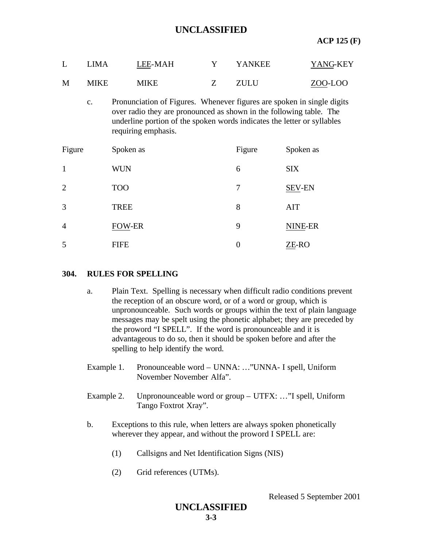#### **ACP 125 (F)**

|   | LIMA        | LEE-MAH     | YANKEE | YANG-KEY |
|---|-------------|-------------|--------|----------|
| M | <b>MIKE</b> | <b>MIKE</b> | ZULU   | ZOO-LOO  |

c. Pronunciation of Figures. Whenever figures are spoken in single digits over radio they are pronounced as shown in the following table. The underline portion of the spoken words indicates the letter or syllables requiring emphasis.

| Figure         | Spoken as     | Figure         | Spoken as     |
|----------------|---------------|----------------|---------------|
| $\mathbf{1}$   | <b>WUN</b>    | 6              | <b>SIX</b>    |
| $\overline{2}$ | <b>TOO</b>    | 7              | <b>SEV-EN</b> |
| 3              | <b>TREE</b>   | 8              | AIT           |
| $\overline{4}$ | <b>FOW-ER</b> | 9              | NINE-ER       |
| 5              | <b>FIFE</b>   | $\overline{0}$ | ZE-RO         |

#### **304. RULES FOR SPELLING**

- a. Plain Text. Spelling is necessary when difficult radio conditions prevent the reception of an obscure word, or of a word or group, which is unpronounceable. Such words or groups within the text of plain language messages may be spelt using the phonetic alphabet; they are preceded by the proword "I SPELL". If the word is pronounceable and it is advantageous to do so, then it should be spoken before and after the spelling to help identify the word.
- Example 1. Pronounceable word UNNA: …"UNNA- I spell, Uniform November November Alfa".
- Example 2. Unpronounceable word or group UTFX: …"I spell, Uniform Tango Foxtrot Xray".
- b. Exceptions to this rule, when letters are always spoken phonetically wherever they appear, and without the proword I SPELL are:
	- (1) Callsigns and Net Identification Signs (NIS)
	- (2) Grid references (UTMs).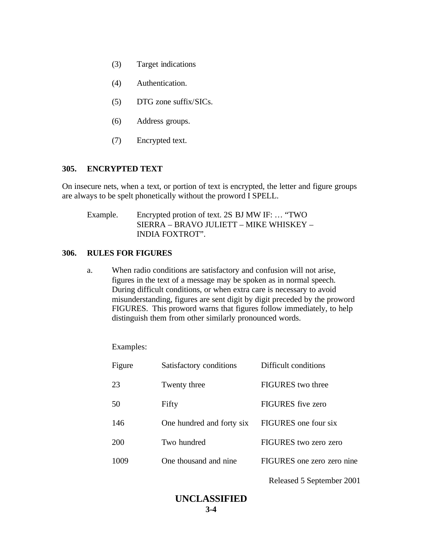- (3) Target indications
- (4) Authentication.
- (5) DTG zone suffix/SICs.
- (6) Address groups.
- (7) Encrypted text.

#### **305. ENCRYPTED TEXT**

On insecure nets, when a text, or portion of text is encrypted, the letter and figure groups are always to be spelt phonetically without the proword I SPELL.

Example. Encrypted protion of text. 2S BJ MW IF: … "TWO SIERRA – BRAVO JULIETT – MIKE WHISKEY – INDIA FOXTROT".

#### **306. RULES FOR FIGURES**

a. When radio conditions are satisfactory and confusion will not arise, figures in the text of a message may be spoken as in normal speech. During difficult conditions, or when extra care is necessary to avoid misunderstanding, figures are sent digit by digit preceded by the proword FIGURES. This proword warns that figures follow immediately, to help distinguish them from other similarly pronounced words.

Examples:

| Figure | Satisfactory conditions   | Difficult conditions       |
|--------|---------------------------|----------------------------|
| 23     | Twenty three              | <b>FIGURES</b> two three   |
| 50     | Fifty                     | FIGURES five zero          |
| 146    | One hundred and forty six | FIGURES one four six       |
| 200    | Two hundred               | FIGURES two zero zero      |
| 1009   | One thousand and nine     | FIGURES one zero zero nine |
|        |                           |                            |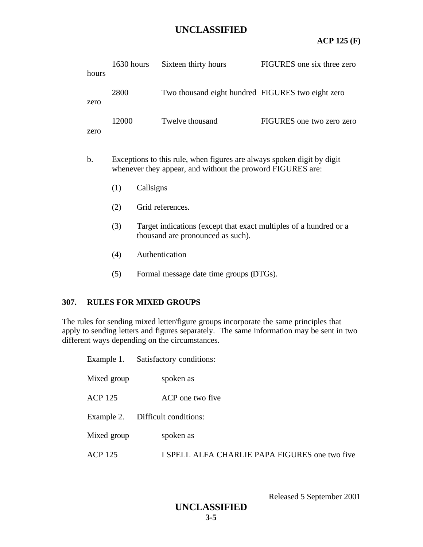**ACP 125 (F)**

| hours         | 1630 hours                                                                                                                           |                                                                                                        | Sixteen thirty hours                              | FIGURES one six three zero |
|---------------|--------------------------------------------------------------------------------------------------------------------------------------|--------------------------------------------------------------------------------------------------------|---------------------------------------------------|----------------------------|
| zero          | 2800                                                                                                                                 |                                                                                                        | Two thousand eight hundred FIGURES two eight zero |                            |
| zero          | 12000                                                                                                                                |                                                                                                        | Twelve thousand                                   | FIGURES one two zero zero  |
| $\mathbf b$ . | Exceptions to this rule, when figures are always spoken digit by digit<br>whenever they appear, and without the proword FIGURES are: |                                                                                                        |                                                   |                            |
|               | (1)                                                                                                                                  | Callsigns                                                                                              |                                                   |                            |
|               | (2)                                                                                                                                  | Grid references.                                                                                       |                                                   |                            |
|               | (3)                                                                                                                                  | Target indications (except that exact multiples of a hundred or a<br>thousand are pronounced as such). |                                                   |                            |
|               | (4)                                                                                                                                  |                                                                                                        | Authentication                                    |                            |
|               | (5)                                                                                                                                  | Formal message date time groups (DTGs).                                                                |                                                   |                            |

### **307. RULES FOR MIXED GROUPS**

The rules for sending mixed letter/figure groups incorporate the same principles that apply to sending letters and figures separately. The same information may be sent in two different ways depending on the circumstances.

|                | Example 1. Satisfactory conditions:            |
|----------------|------------------------------------------------|
| Mixed group    | spoken as                                      |
| <b>ACP 125</b> | ACP one two five                               |
|                | Example 2. Difficult conditions:               |
| Mixed group    | spoken as                                      |
| <b>ACP 125</b> | I SPELL ALFA CHARLIE PAPA FIGURES one two five |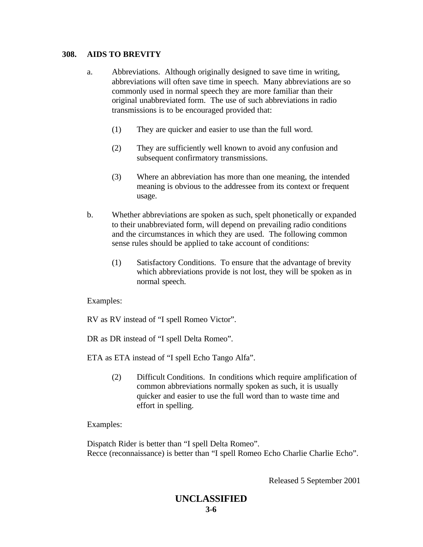#### **308. AIDS TO BREVITY**

- a. Abbreviations. Although originally designed to save time in writing, abbreviations will often save time in speech. Many abbreviations are so commonly used in normal speech they are more familiar than their original unabbreviated form. The use of such abbreviations in radio transmissions is to be encouraged provided that:
	- (1) They are quicker and easier to use than the full word.
	- (2) They are sufficiently well known to avoid any confusion and subsequent confirmatory transmissions.
	- (3) Where an abbreviation has more than one meaning, the intended meaning is obvious to the addressee from its context or frequent usage.
- b. Whether abbreviations are spoken as such, spelt phonetically or expanded to their unabbreviated form, will depend on prevailing radio conditions and the circumstances in which they are used. The following common sense rules should be applied to take account of conditions:
	- (1) Satisfactory Conditions. To ensure that the advantage of brevity which abbreviations provide is not lost, they will be spoken as in normal speech.

Examples:

RV as RV instead of "I spell Romeo Victor".

DR as DR instead of "I spell Delta Romeo".

ETA as ETA instead of "I spell Echo Tango Alfa".

(2) Difficult Conditions. In conditions which require amplification of common abbreviations normally spoken as such, it is usually quicker and easier to use the full word than to waste time and effort in spelling.

Examples:

Dispatch Rider is better than "I spell Delta Romeo". Recce (reconnaissance) is better than "I spell Romeo Echo Charlie Charlie Echo".

Released 5 September 2001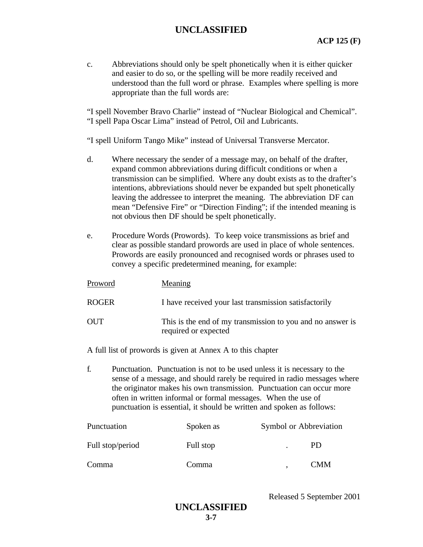c. Abbreviations should only be spelt phonetically when it is either quicker and easier to do so, or the spelling will be more readily received and understood than the full word or phrase. Examples where spelling is more appropriate than the full words are:

"I spell November Bravo Charlie" instead of "Nuclear Biological and Chemical". "I spell Papa Oscar Lima" instead of Petrol, Oil and Lubricants.

"I spell Uniform Tango Mike" instead of Universal Transverse Mercator.

- d. Where necessary the sender of a message may, on behalf of the drafter, expand common abbreviations during difficult conditions or when a transmission can be simplified. Where any doubt exists as to the drafter's intentions, abbreviations should never be expanded but spelt phonetically leaving the addressee to interpret the meaning. The abbreviation DF can mean "Defensive Fire" or "Direction Finding"; if the intended meaning is not obvious then DF should be spelt phonetically.
- e. Procedure Words (Prowords). To keep voice transmissions as brief and clear as possible standard prowords are used in place of whole sentences. Prowords are easily pronounced and recognised words or phrases used to convey a specific predetermined meaning, for example:

| Proword      | Meaning                                                                            |
|--------------|------------------------------------------------------------------------------------|
| <b>ROGER</b> | I have received your last transmission satisfactorily                              |
| <b>OUT</b>   | This is the end of my transmission to you and no answer is<br>required or expected |

A full list of prowords is given at Annex A to this chapter

f. Punctuation. Punctuation is not to be used unless it is necessary to the sense of a message, and should rarely be required in radio messages where the originator makes his own transmission. Punctuation can occur more often in written informal or formal messages. When the use of punctuation is essential, it should be written and spoken as follows:

| Punctuation      | Spoken as | Symbol or Abbreviation |            |
|------------------|-----------|------------------------|------------|
| Full stop/period | Full stop |                        | PD.        |
| Comma            | Comma     |                        | <b>CMM</b> |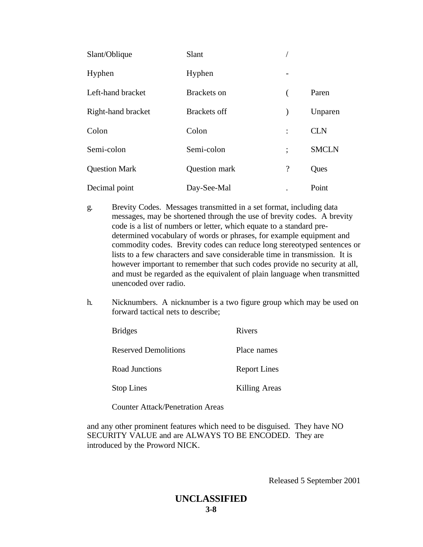| Slant/Oblique        | Slant               |                          |              |
|----------------------|---------------------|--------------------------|--------------|
| Hyphen               | Hyphen              |                          |              |
| Left-hand bracket    | <b>Brackets</b> on  |                          | Paren        |
| Right-hand bracket   | <b>Brackets off</b> | ⟩                        | Unparen      |
| Colon                | Colon               | $\ddot{\cdot}$           | <b>CLN</b>   |
| Semi-colon           | Semi-colon          | $\vdots$                 | <b>SMCLN</b> |
| <b>Question Mark</b> | Question mark       | $\overline{\mathcal{L}}$ | Ques         |
| Decimal point        | Day-See-Mal         |                          | Point        |

- g. Brevity Codes. Messages transmitted in a set format, including data messages, may be shortened through the use of brevity codes. A brevity code is a list of numbers or letter, which equate to a standard predetermined vocabulary of words or phrases, for example equipment and commodity codes. Brevity codes can reduce long stereotyped sentences or lists to a few characters and save considerable time in transmission. It is however important to remember that such codes provide no security at all, and must be regarded as the equivalent of plain language when transmitted unencoded over radio.
- h. Nicknumbers. A nicknumber is a two figure group which may be used on forward tactical nets to describe;

| <b>Bridges</b>              | Rivers              |
|-----------------------------|---------------------|
| <b>Reserved Demolitions</b> | Place names         |
| Road Junctions              | <b>Report Lines</b> |
| <b>Stop Lines</b>           | Killing Areas       |

Counter Attack/Penetration Areas

and any other prominent features which need to be disguised. They have NO SECURITY VALUE and are ALWAYS TO BE ENCODED. They are introduced by the Proword NICK.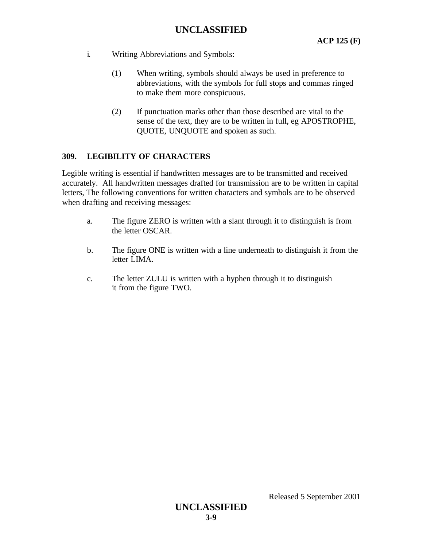- i. Writing Abbreviations and Symbols:
	- (1) When writing, symbols should always be used in preference to abbreviations, with the symbols for full stops and commas ringed to make them more conspicuous.
	- (2) If punctuation marks other than those described are vital to the sense of the text, they are to be written in full, eg APOSTROPHE, QUOTE, UNQUOTE and spoken as such.

### **309. LEGIBILITY OF CHARACTERS**

Legible writing is essential if handwritten messages are to be transmitted and received accurately. All handwritten messages drafted for transmission are to be written in capital letters, The following conventions for written characters and symbols are to be observed when drafting and receiving messages:

- a. The figure ZERO is written with a slant through it to distinguish is from the letter OSCAR.
- b. The figure ONE is written with a line underneath to distinguish it from the letter LIMA.
- c. The letter ZULU is written with a hyphen through it to distinguish it from the figure TWO.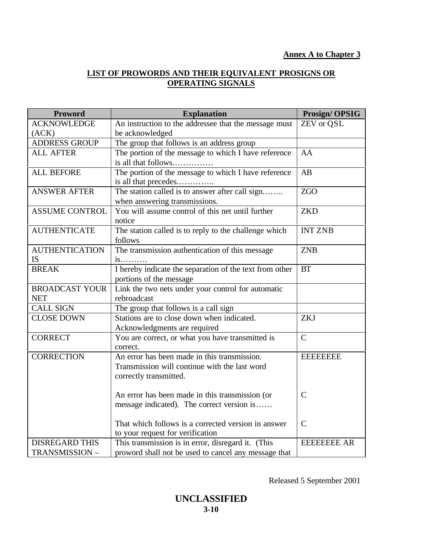## **LIST OF PROWORDS AND THEIR EQUIVALENT PROSIGNS OR OPERATING SIGNALS**

| Proword               | <b>Explanation</b>                                      | Prosign/OPSIG      |
|-----------------------|---------------------------------------------------------|--------------------|
| <b>ACKNOWLEDGE</b>    | An instruction to the addressee that the message must   | <b>ZEV</b> or QSL  |
| (ACK)                 | be acknowledged                                         |                    |
| <b>ADDRESS GROUP</b>  | The group that follows is an address group              |                    |
| <b>ALL AFTER</b>      | The portion of the message to which I have reference    | AA                 |
|                       | is all that follows                                     |                    |
| <b>ALL BEFORE</b>     | The portion of the message to which I have reference    | AB                 |
|                       | is all that precedes                                    |                    |
| <b>ANSWER AFTER</b>   | The station called is to answer after call sign         | <b>ZGO</b>         |
|                       | when answering transmissions.                           |                    |
| <b>ASSUME CONTROL</b> | You will assume control of this net until further       | <b>ZKD</b>         |
|                       | notice                                                  |                    |
| <b>AUTHENTICATE</b>   | The station called is to reply to the challenge which   | <b>INT ZNB</b>     |
|                       | follows                                                 |                    |
| <b>AUTHENTICATION</b> | The transmission authentication of this message         | <b>ZNB</b>         |
| <b>IS</b>             | is                                                      |                    |
| <b>BREAK</b>          | I hereby indicate the separation of the text from other | <b>BT</b>          |
|                       | portions of the message                                 |                    |
| <b>BROADCAST YOUR</b> | Link the two nets under your control for automatic      |                    |
| <b>NET</b>            | rebroadcast                                             |                    |
| <b>CALL SIGN</b>      | The group that follows is a call sign                   |                    |
| <b>CLOSE DOWN</b>     | Stations are to close down when indicated.              | ZKJ                |
|                       | Acknowledgments are required                            |                    |
| <b>CORRECT</b>        | You are correct, or what you have transmitted is        | $\mathcal{C}$      |
|                       | correct.                                                |                    |
| <b>CORRECTION</b>     | An error has been made in this transmission.            | <b>EEEEEEEE</b>    |
|                       | Transmission will continue with the last word           |                    |
|                       | correctly transmitted.                                  |                    |
|                       |                                                         |                    |
|                       | An error has been made in this transmission (or         | $\mathcal{C}$      |
|                       | message indicated). The correct version is              |                    |
|                       | That which follows is a corrected version in answer     | $\mathbf C$        |
|                       | to your request for verification                        |                    |
| <b>DISREGARD THIS</b> | This transmission is in error, disregard it. (This      | <b>EEEEEEEE AR</b> |
| TRANSMISSION -        | proword shall not be used to cancel any message that    |                    |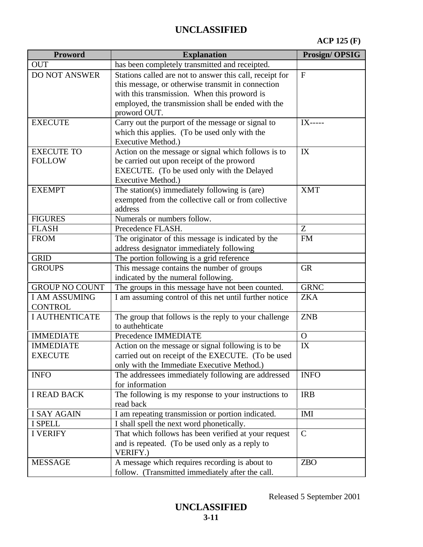## **ACP 125 (F)**

| <b>Proword</b>        | <b>Explanation</b>                                       | <b>Prosign/OPSIG</b> |
|-----------------------|----------------------------------------------------------|----------------------|
| <b>OUT</b>            | has been completely transmitted and receipted.           |                      |
| <b>DO NOT ANSWER</b>  | Stations called are not to answer this call, receipt for | $\mathbf{F}$         |
|                       | this message, or otherwise transmit in connection        |                      |
|                       | with this transmission. When this proword is             |                      |
|                       | employed, the transmission shall be ended with the       |                      |
|                       | proword OUT.                                             |                      |
| <b>EXECUTE</b>        | Carry out the purport of the message or signal to        | $IX$ -----           |
|                       | which this applies. (To be used only with the            |                      |
|                       | Executive Method.)                                       |                      |
| <b>EXECUTE TO</b>     | Action on the message or signal which follows is to      | IX                   |
| <b>FOLLOW</b>         | be carried out upon receipt of the proword               |                      |
|                       | EXECUTE. (To be used only with the Delayed               |                      |
|                       | Executive Method.)                                       |                      |
| <b>EXEMPT</b>         | The station(s) immediately following is (are)            | <b>XMT</b>           |
|                       | exempted from the collective call or from collective     |                      |
|                       | address                                                  |                      |
| <b>FIGURES</b>        | Numerals or numbers follow.                              |                      |
| <b>FLASH</b>          | Precedence FLASH.                                        | Z                    |
| <b>FROM</b>           | The originator of this message is indicated by the       | <b>FM</b>            |
|                       | address designator immediately following                 |                      |
| <b>GRID</b>           | The portion following is a grid reference                |                      |
| <b>GROUPS</b>         | This message contains the number of groups               | <b>GR</b>            |
|                       | indicated by the numeral following.                      |                      |
| <b>GROUP NO COUNT</b> | The groups in this message have not been counted.        | <b>GRNC</b>          |
| <b>I AM ASSUMING</b>  | I am assuming control of this net until further notice   | <b>ZKA</b>           |
| <b>CONTROL</b>        |                                                          |                      |
| <b>I AUTHENTICATE</b> | The group that follows is the reply to your challenge    | <b>ZNB</b>           |
|                       | to authehticate                                          |                      |
| <b>IMMEDIATE</b>      | Precedence IMMEDIATE                                     | $\overline{O}$       |
| <b>IMMEDIATE</b>      | Action on the message or signal following is to be       | IX                   |
| <b>EXECUTE</b>        | carried out on receipt of the EXECUTE. (To be used       |                      |
|                       | only with the Immediate Executive Method.)               |                      |
| <b>INFO</b>           | The addressees immediately following are addressed       | <b>INFO</b>          |
|                       | for information                                          |                      |
| <b>I READ BACK</b>    | The following is my response to your instructions to     | <b>IRB</b>           |
|                       | read back                                                |                      |
| <b>I SAY AGAIN</b>    | I am repeating transmission or portion indicated.        | IMI                  |
| <b>I SPELL</b>        | I shall spell the next word phonetically.                |                      |
| <b>I VERIFY</b>       | That which follows has been verified at your request     | $\mathsf{C}$         |
|                       | and is repeated. (To be used only as a reply to          |                      |
|                       | VERIFY.)                                                 |                      |
| <b>MESSAGE</b>        | A message which requires recording is about to           | <b>ZBO</b>           |
|                       | follow. (Transmitted immediately after the call.         |                      |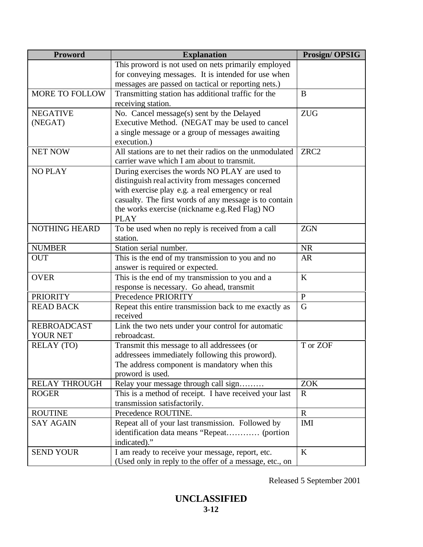| <b>Proword</b><br><b>Explanation</b> |                                                         | Prosign/OPSIG             |
|--------------------------------------|---------------------------------------------------------|---------------------------|
|                                      | This proword is not used on nets primarily employed     |                           |
|                                      | for conveying messages. It is intended for use when     |                           |
|                                      | messages are passed on tactical or reporting nets.)     |                           |
| MORE TO FOLLOW                       | Transmitting station has additional traffic for the     | B                         |
|                                      | receiving station.                                      |                           |
| <b>NEGATIVE</b>                      | No. Cancel message(s) sent by the Delayed               | <b>ZUG</b>                |
| (NEGAT)                              | Executive Method. (NEGAT may be used to cancel          |                           |
|                                      | a single message or a group of messages awaiting        |                           |
|                                      | execution.)                                             |                           |
| <b>NET NOW</b>                       | All stations are to net their radios on the unmodulated | ZRC <sub>2</sub>          |
|                                      | carrier wave which I am about to transmit.              |                           |
| <b>NO PLAY</b>                       | During exercises the words NO PLAY are used to          |                           |
|                                      | distinguish real activity from messages concerned       |                           |
|                                      | with exercise play e.g. a real emergency or real        |                           |
|                                      | casualty. The first words of any message is to contain  |                           |
|                                      | the works exercise (nickname e.g.Red Flag) NO           |                           |
|                                      | <b>PLAY</b>                                             |                           |
| NOTHING HEARD                        | To be used when no reply is received from a call        | <b>ZGN</b>                |
|                                      | station.                                                |                           |
| <b>NUMBER</b>                        | Station serial number.                                  | <b>NR</b>                 |
| <b>OUT</b>                           | This is the end of my transmission to you and no        | <b>AR</b>                 |
|                                      | answer is required or expected.                         |                           |
| <b>OVER</b>                          | This is the end of my transmission to you and a         | $\mathbf K$               |
|                                      | response is necessary. Go ahead, transmit               |                           |
| <b>PRIORITY</b>                      | Precedence PRIORITY                                     | $\mathbf{P}$              |
| <b>READ BACK</b>                     | Repeat this entire transmission back to me exactly as   | G                         |
|                                      | received                                                |                           |
| <b>REBROADCAST</b>                   | Link the two nets under your control for automatic      |                           |
| YOUR NET                             | rebroadcast.                                            |                           |
| RELAY (TO)                           | Transmit this message to all addressees (or             | T or ZOF                  |
|                                      | addressees immediately following this proword).         |                           |
|                                      | The address component is mandatory when this            |                           |
|                                      | proword is used.                                        |                           |
| <b>RELAY THROUGH</b>                 | Relay your message through call sign                    | <b>ZOK</b>                |
| <b>ROGER</b>                         | This is a method of receipt. I have received your last  | $\mathbf R$               |
|                                      | transmission satisfactorily.                            |                           |
| <b>ROUTINE</b>                       | Precedence ROUTINE.                                     | $\mathbf R$<br><b>IMI</b> |
| <b>SAY AGAIN</b>                     | Repeat all of your last transmission. Followed by       |                           |
|                                      |                                                         |                           |
|                                      | indicated)."                                            |                           |
| <b>SEND YOUR</b>                     | I am ready to receive your message, report, etc.        | $\bf K$                   |
|                                      | (Used only in reply to the offer of a message, etc., on |                           |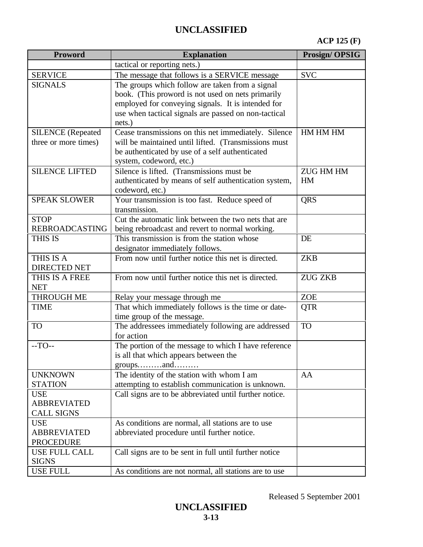# **ACP 125 (F)**

| <b>Proword</b>           | <b>Explanation</b>                                                                | <b>Prosign/OPSIG</b> |
|--------------------------|-----------------------------------------------------------------------------------|----------------------|
|                          | tactical or reporting nets.)                                                      |                      |
| <b>SERVICE</b>           | The message that follows is a SERVICE message                                     | <b>SVC</b>           |
| <b>SIGNALS</b>           | The groups which follow are taken from a signal                                   |                      |
|                          | book. (This proword is not used on nets primarily                                 |                      |
|                          | employed for conveying signals. It is intended for                                |                      |
|                          | use when tactical signals are passed on non-tactical                              |                      |
|                          | nets.)                                                                            |                      |
| <b>SILENCE</b> (Repeated | Cease transmissions on this net immediately. Silence                              | HM HM HM             |
| three or more times)     | will be maintained until lifted. (Transmissions must                              |                      |
|                          | be authenticated by use of a self authenticated                                   |                      |
|                          | system, codeword, etc.)                                                           |                      |
| <b>SILENCE LIFTED</b>    | Silence is lifted. (Transmissions must be                                         | ZUG HM HM            |
|                          | authenticated by means of self authentication system,                             | HM                   |
|                          | codeword, etc.)                                                                   |                      |
| <b>SPEAK SLOWER</b>      | Your transmission is too fast. Reduce speed of                                    | <b>QRS</b>           |
|                          | transmission.                                                                     |                      |
| <b>STOP</b>              | Cut the automatic link between the two nets that are                              |                      |
| <b>REBROADCASTING</b>    | being rebroadcast and revert to normal working.                                   |                      |
| THIS IS                  | This transmission is from the station whose                                       | DE                   |
|                          | designator immediately follows.                                                   |                      |
| THIS IS A                | From now until further notice this net is directed.                               | <b>ZKB</b>           |
| <b>DIRECTED NET</b>      |                                                                                   |                      |
| THIS IS A FREE           | From now until further notice this net is directed.                               | <b>ZUG ZKB</b>       |
| <b>NET</b>               |                                                                                   |                      |
| <b>THROUGH ME</b>        | Relay your message through me                                                     | <b>ZOE</b>           |
| <b>TIME</b>              | That which immediately follows is the time or date-<br>time group of the message. | <b>QTR</b>           |
| <b>TO</b>                | The addressees immediately following are addressed                                | <b>TO</b>            |
|                          | for action                                                                        |                      |
| $-TO-$                   | The portion of the message to which I have reference                              |                      |
|                          | is all that which appears between the                                             |                      |
|                          | groups and                                                                        |                      |
| <b>UNKNOWN</b>           | The identity of the station with whom I am                                        | AA                   |
| <b>STATION</b>           | attempting to establish communication is unknown.                                 |                      |
| <b>USE</b>               | Call signs are to be abbreviated until further notice.                            |                      |
| <b>ABBREVIATED</b>       |                                                                                   |                      |
| <b>CALL SIGNS</b>        |                                                                                   |                      |
| USE                      | As conditions are normal, all stations are to use                                 |                      |
| <b>ABBREVIATED</b>       | abbreviated procedure until further notice.                                       |                      |
| <b>PROCEDURE</b>         |                                                                                   |                      |
| USE FULL CALL            | Call signs are to be sent in full until further notice                            |                      |
| <b>SIGNS</b>             |                                                                                   |                      |
| USE FULL                 | As conditions are not normal, all stations are to use                             |                      |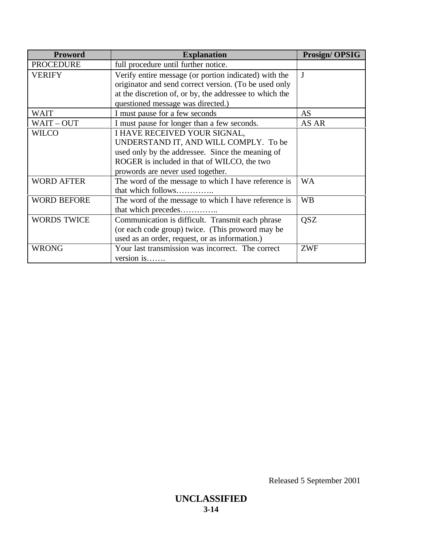| <b>Proword</b>     | <b>Explanation</b>                                      | <b>Prosign/OPSIG</b> |
|--------------------|---------------------------------------------------------|----------------------|
| <b>PROCEDURE</b>   | full procedure until further notice.                    |                      |
| <b>VERIFY</b>      | Verify entire message (or portion indicated) with the   | $\mathbf I$          |
|                    | originator and send correct version. (To be used only   |                      |
|                    | at the discretion of, or by, the addressee to which the |                      |
|                    | questioned message was directed.)                       |                      |
| WAIT               | I must pause for a few seconds                          | <b>AS</b>            |
| WAIT-OUT           | I must pause for longer than a few seconds.             | AS AR                |
| WILCO              | I HAVE RECEIVED YOUR SIGNAL,                            |                      |
|                    | UNDERSTAND IT, AND WILL COMPLY. To be                   |                      |
|                    | used only by the addressee. Since the meaning of        |                      |
|                    | ROGER is included in that of WILCO, the two             |                      |
|                    | prowords are never used together.                       |                      |
| <b>WORD AFTER</b>  | The word of the message to which I have reference is    | <b>WA</b>            |
|                    | that which follows                                      |                      |
| <b>WORD BEFORE</b> | The word of the message to which I have reference is    | <b>WB</b>            |
|                    | that which precedes                                     |                      |
| <b>WORDS TWICE</b> | Communication is difficult. Transmit each phrase        | <b>QSZ</b>           |
|                    | (or each code group) twice. (This proword may be        |                      |
|                    | used as an order, request, or as information.)          |                      |
| <b>WRONG</b>       | Your last transmission was incorrect. The correct       | <b>ZWF</b>           |
|                    | version $is$                                            |                      |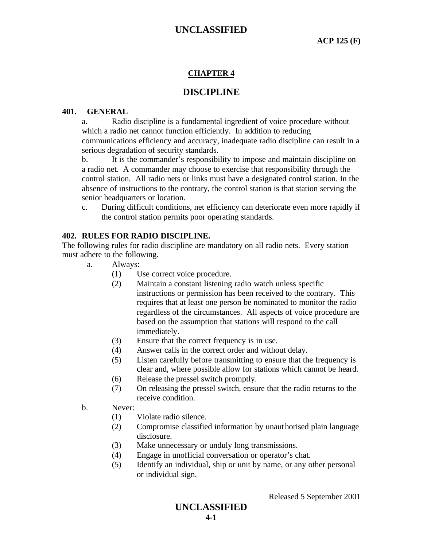## **CHAPTER 4**

## **DISCIPLINE**

#### **401. GENERAL**

a. Radio discipline is a fundamental ingredient of voice procedure without which a radio net cannot function efficiently. In addition to reducing communications efficiency and accuracy, inadequate radio discipline can result in a serious degradation of security standards.

b. It is the commander's responsibility to impose and maintain discipline on a radio net. A commander may choose to exercise that responsibility through the control station. All radio nets or links must have a designated control station. In the absence of instructions to the contrary, the control station is that station serving the senior headquarters or location.

c. During difficult conditions, net efficiency can deteriorate even more rapidly if the control station permits poor operating standards.

#### **402. RULES FOR RADIO DISCIPLINE.**

The following rules for radio discipline are mandatory on all radio nets. Every station must adhere to the following.

- a. Always:
	- (1) Use correct voice procedure.
	- (2) Maintain a constant listening radio watch unless specific instructions or permission has been received to the contrary. This requires that at least one person be nominated to monitor the radio regardless of the circumstances. All aspects of voice procedure are based on the assumption that stations will respond to the call immediately.
	- (3) Ensure that the correct frequency is in use.
	- (4) Answer calls in the correct order and without delay.
	- (5) Listen carefully before transmitting to ensure that the frequency is clear and, where possible allow for stations which cannot be heard.
	- (6) Release the pressel switch promptly.
	- (7) On releasing the pressel switch, ensure that the radio returns to the receive condition.
- b. Never:
	- (1) Violate radio silence.
	- (2) Compromise classified information by unauthorised plain language disclosure.
	- (3) Make unnecessary or unduly long transmissions.
	- (4) Engage in unofficial conversation or operator's chat.
	- (5) Identify an individual, ship or unit by name, or any other personal or individual sign.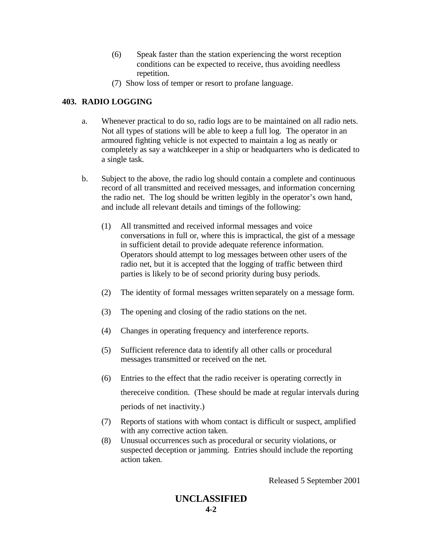- (6) Speak faster than the station experiencing the worst reception conditions can be expected to receive, thus avoiding needless repetition.
- (7) Show loss of temper or resort to profane language.

## **403. RADIO LOGGING**

- a. Whenever practical to do so, radio logs are to be maintained on all radio nets. Not all types of stations will be able to keep a full log. The operator in an armoured fighting vehicle is not expected to maintain a log as neatly or completely as say a watchkeeper in a ship or headquarters who is dedicated to a single task.
- b. Subject to the above, the radio log should contain a complete and continuous record of all transmitted and received messages, and information concerning the radio net. The log should be written legibly in the operator's own hand, and include all relevant details and timings of the following:
	- (1) All transmitted and received informal messages and voice conversations in full or, where this is impractical, the gist of a message in sufficient detail to provide adequate reference information. Operators should attempt to log messages between other users of the radio net, but it is accepted that the logging of traffic between third parties is likely to be of second priority during busy periods.
	- (2) The identity of formal messages written separately on a message form.
	- (3) The opening and closing of the radio stations on the net.
	- (4) Changes in operating frequency and interference reports.
	- (5) Sufficient reference data to identify all other calls or procedural messages transmitted or received on the net.
	- (6) Entries to the effect that the radio receiver is operating correctly in thereceive condition. (These should be made at regular intervals during periods of net inactivity.)
	- (7) Reports of stations with whom contact is difficult or suspect, amplified with any corrective action taken.
	- (8) Unusual occurrences such as procedural or security violations, or suspected deception or jamming. Entries should include the reporting action taken.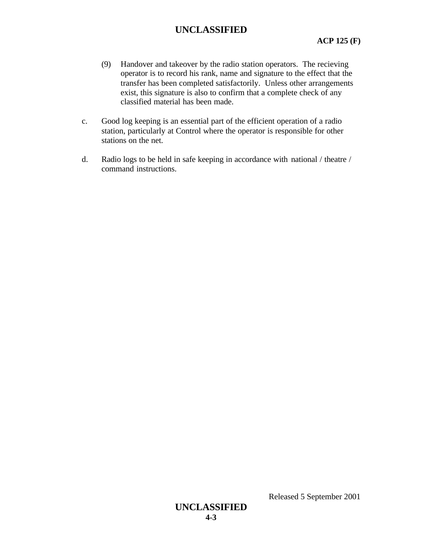- (9) Handover and takeover by the radio station operators. The recieving operator is to record his rank, name and signature to the effect that the transfer has been completed satisfactorily. Unless other arrangements exist, this signature is also to confirm that a complete check of any classified material has been made.
- c. Good log keeping is an essential part of the efficient operation of a radio station, particularly at Control where the operator is responsible for other stations on the net.
- d. Radio logs to be held in safe keeping in accordance with national / theatre / command instructions.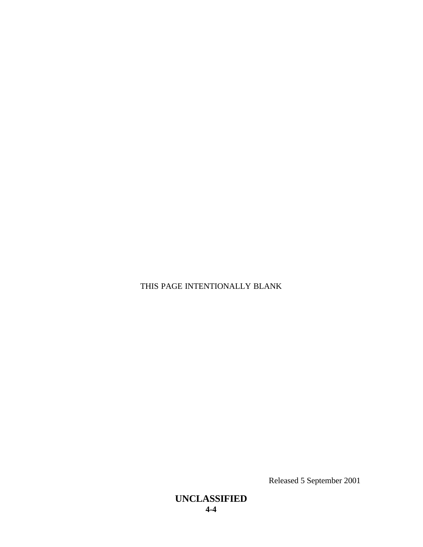THIS PAGE INTENTIONALLY BLANK

Released 5 September 2001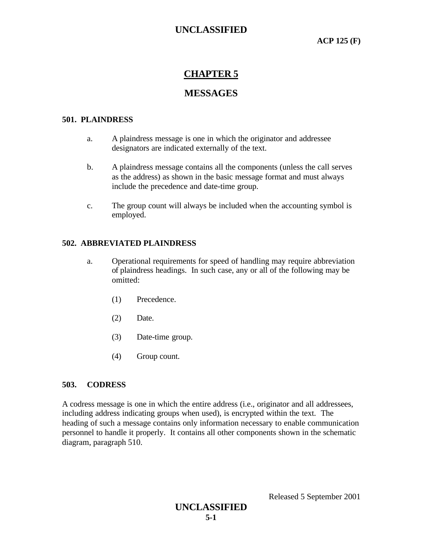## **CHAPTER 5**

## **MESSAGES**

#### **501. PLAINDRESS**

- a. A plaindress message is one in which the originator and addressee designators are indicated externally of the text.
- b. A plaindress message contains all the components (unless the call serves as the address) as shown in the basic message format and must always include the precedence and date-time group.
- c. The group count will always be included when the accounting symbol is employed.

#### **502. ABBREVIATED PLAINDRESS**

- a. Operational requirements for speed of handling may require abbreviation of plaindress headings. In such case, any or all of the following may be omitted:
	- (1) Precedence.
	- (2) Date.
	- (3) Date-time group.
	- (4) Group count.

#### **503. CODRESS**

A codress message is one in which the entire address (i.e., originator and all addressees, including address indicating groups when used), is encrypted within the text. The heading of such a message contains only information necessary to enable communication personnel to handle it properly. It contains all other components shown in the schematic diagram, paragraph 510.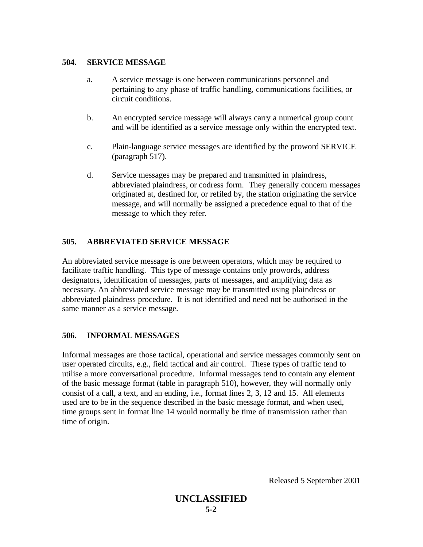#### **504. SERVICE MESSAGE**

- a. A service message is one between communications personnel and pertaining to any phase of traffic handling, communications facilities, or circuit conditions.
- b. An encrypted service message will always carry a numerical group count and will be identified as a service message only within the encrypted text.
- c. Plain-language service messages are identified by the proword SERVICE (paragraph 517).
- d. Service messages may be prepared and transmitted in plaindress, abbreviated plaindress, or codress form. They generally concern messages originated at, destined for, or refiled by, the station originating the service message, and will normally be assigned a precedence equal to that of the message to which they refer.

#### **505. ABBREVIATED SERVICE MESSAGE**

An abbreviated service message is one between operators, which may be required to facilitate traffic handling. This type of message contains only prowords, address designators, identification of messages, parts of messages, and amplifying data as necessary. An abbreviated service message may be transmitted using plaindress or abbreviated plaindress procedure. It is not identified and need not be authorised in the same manner as a service message.

#### **506. INFORMAL MESSAGES**

Informal messages are those tactical, operational and service messages commonly sent on user operated circuits, e.g., field tactical and air control. These types of traffic tend to utilise a more conversational procedure. Informal messages tend to contain any element of the basic message format (table in paragraph 510), however, they will normally only consist of a call, a text, and an ending, i.e., format lines 2, 3, 12 and 15. All elements used are to be in the sequence described in the basic message format, and when used, time groups sent in format line 14 would normally be time of transmission rather than time of origin.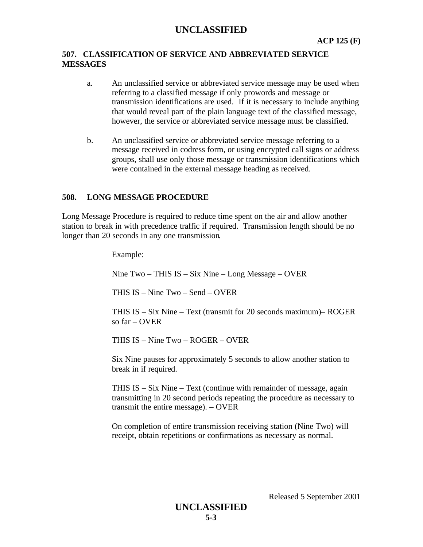#### **507. CLASSIFICATION OF SERVICE AND ABBREVIATED SERVICE MESSAGES**

- a. An unclassified service or abbreviated service message may be used when referring to a classified message if only prowords and message or transmission identifications are used. If it is necessary to include anything that would reveal part of the plain language text of the classified message, however, the service or abbreviated service message must be classified.
- b. An unclassified service or abbreviated service message referring to a message received in codress form, or using encrypted call signs or address groups, shall use only those message or transmission identifications which were contained in the external message heading as received.

#### **508. LONG MESSAGE PROCEDURE**

Long Message Procedure is required to reduce time spent on the air and allow another station to break in with precedence traffic if required. Transmission length should be no longer than 20 seconds in any one transmission.

Example:

Nine Two – THIS IS – Six Nine – Long Message – OVER

THIS IS – Nine Two – Send – OVER

THIS IS – Six Nine – Text (transmit for 20 seconds maximum)– ROGER so far – OVER

THIS IS – Nine Two – ROGER – OVER

Six Nine pauses for approximately 5 seconds to allow another station to break in if required.

THIS IS – Six Nine – Text (continue with remainder of message, again transmitting in 20 second periods repeating the procedure as necessary to transmit the entire message). – OVER

On completion of entire transmission receiving station (Nine Two) will receipt, obtain repetitions or confirmations as necessary as normal.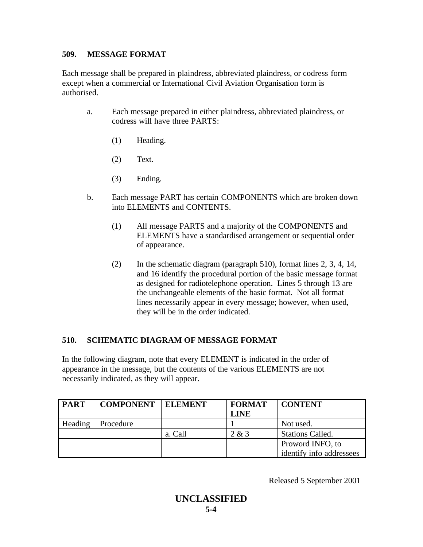#### **509. MESSAGE FORMAT**

Each message shall be prepared in plaindress, abbreviated plaindress, or codress form except when a commercial or International Civil Aviation Organisation form is authorised.

- a. Each message prepared in either plaindress, abbreviated plaindress, or codress will have three PARTS:
	- (1) Heading.
	- (2) Text.
	- (3) Ending.
- b. Each message PART has certain COMPONENTS which are broken down into ELEMENTS and CONTENTS.
	- (1) All message PARTS and a majority of the COMPONENTS and ELEMENTS have a standardised arrangement or sequential order of appearance.
	- (2) In the schematic diagram (paragraph 510), format lines 2, 3, 4, 14, and 16 identify the procedural portion of the basic message format as designed for radiotelephone operation. Lines 5 through 13 are the unchangeable elements of the basic format. Not all format lines necessarily appear in every message; however, when used, they will be in the order indicated.

#### **510. SCHEMATIC DIAGRAM OF MESSAGE FORMAT**

In the following diagram, note that every ELEMENT is indicated in the order of appearance in the message, but the contents of the various ELEMENTS are not necessarily indicated, as they will appear.

| <b>PART</b> | <b>COMPONENT   ELEMENT</b> |         | <b>FORMAT</b><br><b>LINE</b> | <b>CONTENT</b>           |
|-------------|----------------------------|---------|------------------------------|--------------------------|
| Heading     | Procedure                  |         |                              | Not used.                |
|             |                            | a. Call | 2 & 3                        | <b>Stations Called.</b>  |
|             |                            |         |                              | Proword INFO, to         |
|             |                            |         |                              | identify info addressees |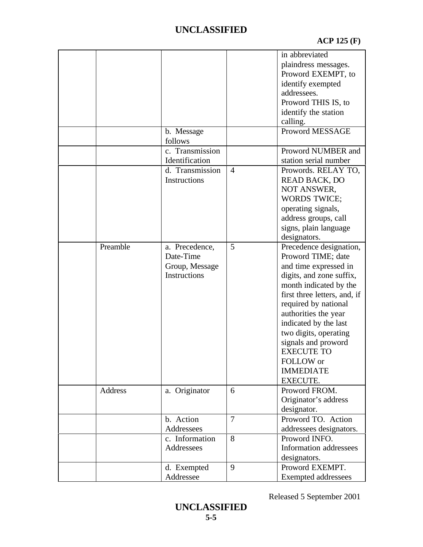|          |                     |                | in abbreviated               |
|----------|---------------------|----------------|------------------------------|
|          |                     |                | plaindress messages.         |
|          |                     |                | Proword EXEMPT, to           |
|          |                     |                | identify exempted            |
|          |                     |                | addressees.                  |
|          |                     |                | Proword THIS IS, to          |
|          |                     |                | identify the station         |
|          |                     |                | calling.                     |
|          | b. Message          |                | Proword MESSAGE              |
|          | follows             |                |                              |
|          | c. Transmission     |                | Proword NUMBER and           |
|          | Identification      |                | station serial number        |
|          | d. Transmission     | $\overline{4}$ | Prowords. RELAY TO,          |
|          | Instructions        |                | READ BACK, DO                |
|          |                     |                | NOT ANSWER,                  |
|          |                     |                | <b>WORDS TWICE;</b>          |
|          |                     |                |                              |
|          |                     |                | operating signals,           |
|          |                     |                | address groups, call         |
|          |                     |                | signs, plain language        |
|          |                     |                | designators.                 |
| Preamble | a. Precedence,      | 5              | Precedence designation,      |
|          | Date-Time           |                | Proword TIME; date           |
|          | Group, Message      |                | and time expressed in        |
|          | <b>Instructions</b> |                | digits, and zone suffix,     |
|          |                     |                | month indicated by the       |
|          |                     |                | first three letters, and, if |
|          |                     |                | required by national         |
|          |                     |                | authorities the year         |
|          |                     |                | indicated by the last        |
|          |                     |                | two digits, operating        |
|          |                     |                | signals and proword          |
|          |                     |                | <b>EXECUTE TO</b>            |
|          |                     |                | FOLLOW or                    |
|          |                     |                | <b>IMMEDIATE</b>             |
|          |                     |                | EXECUTE.                     |
| Address  | a. Originator       | 6              | Proword FROM.                |
|          |                     |                | Originator's address         |
|          |                     |                | designator.                  |
|          | b. Action           | $\overline{7}$ | Proword TO. Action           |
|          | Addressees          |                | addressees designators.      |
|          | c. Information      | 8              | Proword INFO.                |
|          | Addressees          |                | Information addressees       |
|          |                     |                | designators.                 |
|          | d. Exempted         | 9              | Proword EXEMPT.              |
|          | Addressee           |                | Exempted addressees          |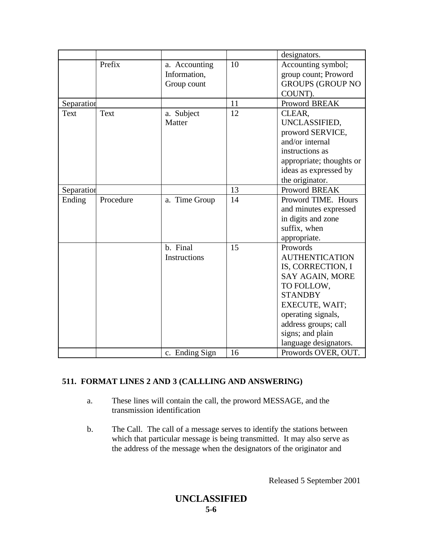|             |             |                |    | designators.             |
|-------------|-------------|----------------|----|--------------------------|
|             | Prefix      | a. Accounting  | 10 | Accounting symbol;       |
|             |             | Information,   |    | group count; Proword     |
|             |             | Group count    |    | <b>GROUPS (GROUP NO</b>  |
|             |             |                |    | COUNT).                  |
| Separation  |             |                | 11 | Proword BREAK            |
| <b>Text</b> | <b>Text</b> | a. Subject     | 12 | CLEAR,                   |
|             |             | Matter         |    | UNCLASSIFIED,            |
|             |             |                |    | proword SERVICE,         |
|             |             |                |    | and/or internal          |
|             |             |                |    | instructions as          |
|             |             |                |    | appropriate; thoughts or |
|             |             |                |    | ideas as expressed by    |
|             |             |                |    | the originator.          |
| Separation  |             |                | 13 | Proword BREAK            |
| Ending      | Procedure   | a. Time Group  | 14 | Proword TIME. Hours      |
|             |             |                |    | and minutes expressed    |
|             |             |                |    | in digits and zone       |
|             |             |                |    | suffix, when             |
|             |             |                |    | appropriate.             |
|             |             | b. Final       | 15 | Prowords                 |
|             |             | Instructions   |    | <b>AUTHENTICATION</b>    |
|             |             |                |    | IS, CORRECTION, I        |
|             |             |                |    | <b>SAY AGAIN, MORE</b>   |
|             |             |                |    | TO FOLLOW,               |
|             |             |                |    | <b>STANDBY</b>           |
|             |             |                |    | EXECUTE, WAIT;           |
|             |             |                |    | operating signals,       |
|             |             |                |    | address groups; call     |
|             |             |                |    | signs; and plain         |
|             |             |                |    | language designators.    |
|             |             | c. Ending Sign | 16 | Prowords OVER, OUT.      |

#### **511. FORMAT LINES 2 AND 3 (CALLLING AND ANSWERING)**

- a. These lines will contain the call, the proword MESSAGE, and the transmission identification
- b. The Call. The call of a message serves to identify the stations between which that particular message is being transmitted. It may also serve as the address of the message when the designators of the originator and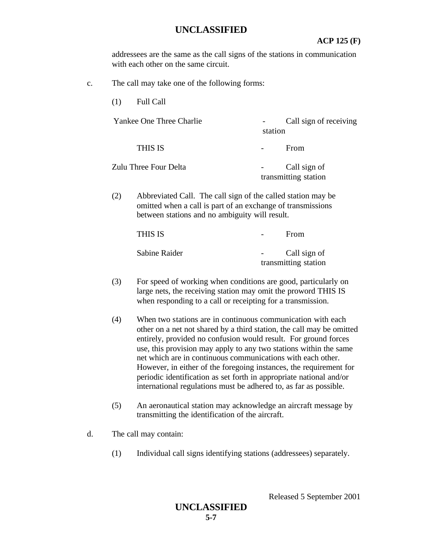addressees are the same as the call signs of the stations in communication with each other on the same circuit.

c. The call may take one of the following forms:

| (1) | <b>Full Call</b>                                                                                                                                                              |         |                                      |
|-----|-------------------------------------------------------------------------------------------------------------------------------------------------------------------------------|---------|--------------------------------------|
|     | Yankee One Three Charlie                                                                                                                                                      | station | Call sign of receiving               |
|     | <b>THIS IS</b>                                                                                                                                                                |         | From                                 |
|     | Zulu Three Four Delta                                                                                                                                                         |         | Call sign of<br>transmitting station |
| (2) | Abbreviated Call. The call sign of the called station may be<br>omitted when a call is part of an exchange of transmissions<br>between stations and no ambiguity will result. |         |                                      |

| <b>THIS IS</b> | From                                 |
|----------------|--------------------------------------|
| Sabine Raider  | Call sign of<br>transmitting station |

- (3) For speed of working when conditions are good, particularly on large nets, the receiving station may omit the proword THIS IS when responding to a call or receipting for a transmission.
- (4) When two stations are in continuous communication with each other on a net not shared by a third station, the call may be omitted entirely, provided no confusion would result. For ground forces use, this provision may apply to any two stations within the same net which are in continuous communications with each other. However, in either of the foregoing instances, the requirement for periodic identification as set forth in appropriate national and/or international regulations must be adhered to, as far as possible.
- (5) An aeronautical station may acknowledge an aircraft message by transmitting the identification of the aircraft.
- d. The call may contain:
	- (1) Individual call signs identifying stations (addressees) separately.

Released 5 September 2001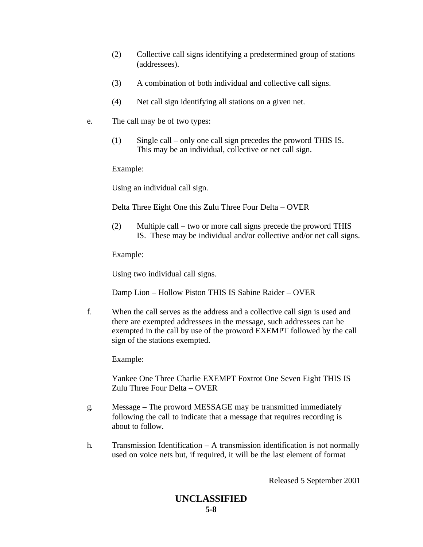- (2) Collective call signs identifying a predetermined group of stations (addressees).
- (3) A combination of both individual and collective call signs.
- (4) Net call sign identifying all stations on a given net.
- e. The call may be of two types:
	- (1) Single call only one call sign precedes the proword THIS IS. This may be an individual, collective or net call sign.

Example:

Using an individual call sign.

Delta Three Eight One this Zulu Three Four Delta – OVER

(2) Multiple call – two or more call signs precede the proword THIS IS. These may be individual and/or collective and/or net call signs.

Example:

Using two individual call signs.

Damp Lion – Hollow Piston THIS IS Sabine Raider – OVER

f. When the call serves as the address and a collective call sign is used and there are exempted addressees in the message, such addressees can be exempted in the call by use of the proword EXEMPT followed by the call sign of the stations exempted.

Example:

Yankee One Three Charlie EXEMPT Foxtrot One Seven Eight THIS IS Zulu Three Four Delta – OVER

- g. Message The proword MESSAGE may be transmitted immediately following the call to indicate that a message that requires recording is about to follow.
- h. Transmission Identification A transmission identification is not normally used on voice nets but, if required, it will be the last element of format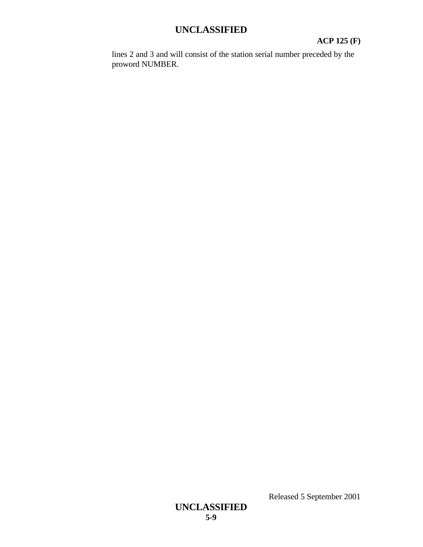lines 2 and 3 and will consist of the station serial number preceded by the proword NUMBER.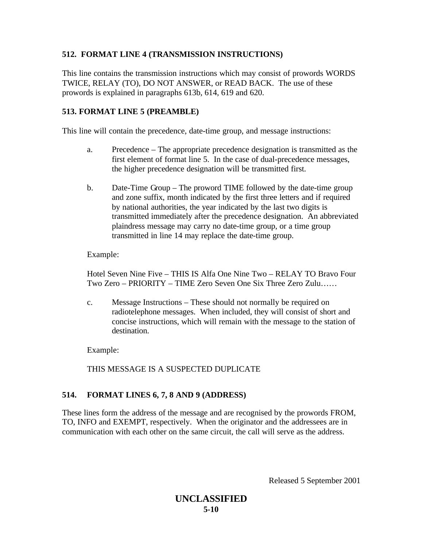#### **512. FORMAT LINE 4 (TRANSMISSION INSTRUCTIONS)**

This line contains the transmission instructions which may consist of prowords WORDS TWICE, RELAY (TO), DO NOT ANSWER, or READ BACK. The use of these prowords is explained in paragraphs 613b, 614, 619 and 620.

## **513. FORMAT LINE 5 (PREAMBLE)**

This line will contain the precedence, date-time group, and message instructions:

- a. Precedence The appropriate precedence designation is transmitted as the first element of format line 5. In the case of dual-precedence messages, the higher precedence designation will be transmitted first.
- b. Date-Time Group The proword TIME followed by the date-time group and zone suffix, month indicated by the first three letters and if required by national authorities, the year indicated by the last two digits is transmitted immediately after the precedence designation. An abbreviated plaindress message may carry no date-time group, or a time group transmitted in line 14 may replace the date-time group.

#### Example:

Hotel Seven Nine Five – THIS IS Alfa One Nine Two – RELAY TO Bravo Four Two Zero – PRIORITY – TIME Zero Seven One Six Three Zero Zulu……

c. Message Instructions – These should not normally be required on radiotelephone messages. When included, they will consist of short and concise instructions, which will remain with the message to the station of destination.

Example:

THIS MESSAGE IS A SUSPECTED DUPLICATE

## **514. FORMAT LINES 6, 7, 8 AND 9 (ADDRESS)**

These lines form the address of the message and are recognised by the prowords FROM, TO, INFO and EXEMPT, respectively. When the originator and the addressees are in communication with each other on the same circuit, the call will serve as the address.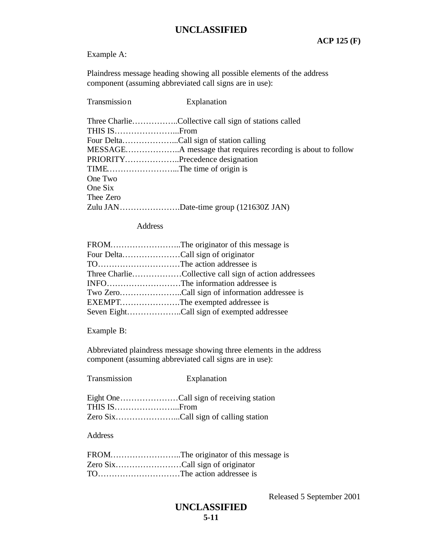Example A:

Plaindress message heading showing all possible elements of the address component (assuming abbreviated call signs are in use):

|                                | Three CharlieCollective call sign of stations called |
|--------------------------------|------------------------------------------------------|
|                                |                                                      |
|                                | Four DeltaCall sign of station calling               |
|                                |                                                      |
| PRIORITYPrecedence designation |                                                      |
| TIMEThe time of origin is      |                                                      |
| One Two                        |                                                      |
| One Six                        |                                                      |
| Thee Zero                      |                                                      |
|                                | Zulu JANDate-time group (121630Z JAN)                |

#### Address

Transmission Explanation

|                                   | FROMThe originator of this message is                  |
|-----------------------------------|--------------------------------------------------------|
| Four DeltaCall sign of originator |                                                        |
| TOThe action addressee is         |                                                        |
|                                   | Three CharlieCollective call sign of action addressees |
|                                   | INFOThe information addressee is                       |
|                                   | Two ZeroCall sign of information addressee is          |
|                                   | EXEMPTThe exempted addressee is                        |
|                                   | Seven EightCall sign of exempted addressee             |

Example B:

Abbreviated plaindress message showing three elements in the address component (assuming abbreviated call signs are in use):

| Transmission | Explanation |
|--------------|-------------|
|              |             |

Eight One…………………Call sign of receiving station THIS IS…………………...From Zero Six…………………...Call sign of calling station

Address

| FROMThe originator of this message is |
|---------------------------------------|
| Zero SixCall sign of originator       |
| TOThe action addressee is             |

## **UNCLASSIFIED 5-11**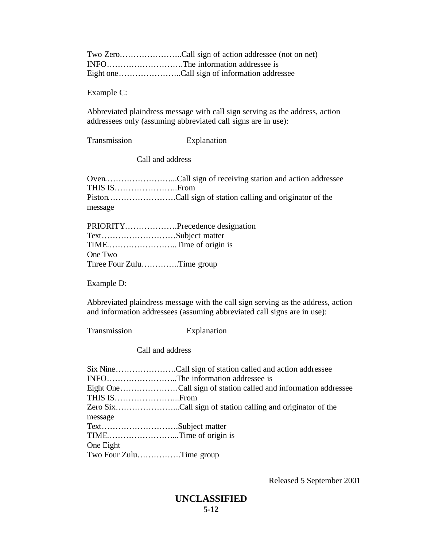| Two ZeroCall sign of action addressee (not on net) |
|----------------------------------------------------|
| INFOThe information addressee is                   |
| Eight oneCall sign of information addressee        |

Example C:

Abbreviated plaindress message with call sign serving as the address, action addressees only (assuming abbreviated call signs are in use):

Transmission Explanation

Call and address

Oven……………………...Call sign of receiving station and action addressee THIS IS…………………..From Piston…………………….Call sign of station calling and originator of the message

|                           | PRIORITYPrecedence designation |
|---------------------------|--------------------------------|
|                           |                                |
| TIMETime of origin is     |                                |
| One Two                   |                                |
| Three Four ZuluTime group |                                |

Example D:

Abbreviated plaindress message with the call sign serving as the address, action and information addressees (assuming abbreviated call signs are in use):

Transmission Explanation

Call and address

|                         | Six NineCall sign of station called and action addressee       |
|-------------------------|----------------------------------------------------------------|
|                         | INFOThe information addressee is                               |
|                         | Eight OneCall sign of station called and information addressee |
| THIS ISFrom             |                                                                |
|                         | Zero SixCall sign of station calling and originator of the     |
| message                 |                                                                |
|                         |                                                                |
| TIMETime of origin is   |                                                                |
| One Eight               |                                                                |
| Two Four ZuluTime group |                                                                |

Released 5 September 2001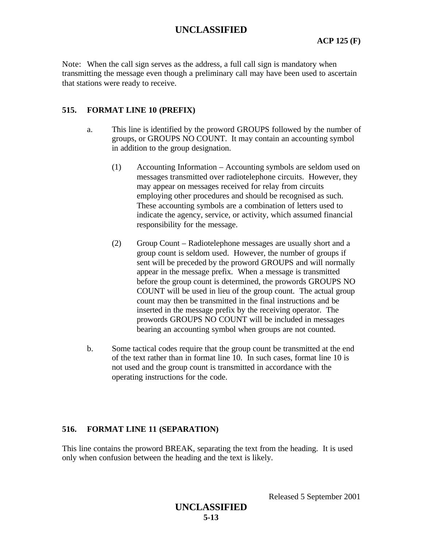Note: When the call sign serves as the address, a full call sign is mandatory when transmitting the message even though a preliminary call may have been used to ascertain that stations were ready to receive.

### **515. FORMAT LINE 10 (PREFIX)**

- a. This line is identified by the proword GROUPS followed by the number of groups, or GROUPS NO COUNT. It may contain an accounting symbol in addition to the group designation.
	- (1) Accounting Information Accounting symbols are seldom used on messages transmitted over radiotelephone circuits. However, they may appear on messages received for relay from circuits employing other procedures and should be recognised as such. These accounting symbols are a combination of letters used to indicate the agency, service, or activity, which assumed financial responsibility for the message.
	- (2) Group Count Radiotelephone messages are usually short and a group count is seldom used. However, the number of groups if sent will be preceded by the proword GROUPS and will normally appear in the message prefix. When a message is transmitted before the group count is determined, the prowords GROUPS NO COUNT will be used in lieu of the group count. The actual group count may then be transmitted in the final instructions and be inserted in the message prefix by the receiving operator. The prowords GROUPS NO COUNT will be included in messages bearing an accounting symbol when groups are not counted.
- b. Some tactical codes require that the group count be transmitted at the end of the text rather than in format line 10. In such cases, format line 10 is not used and the group count is transmitted in accordance with the operating instructions for the code.

#### **516. FORMAT LINE 11 (SEPARATION)**

This line contains the proword BREAK, separating the text from the heading. It is used only when confusion between the heading and the text is likely.

Released 5 September 2001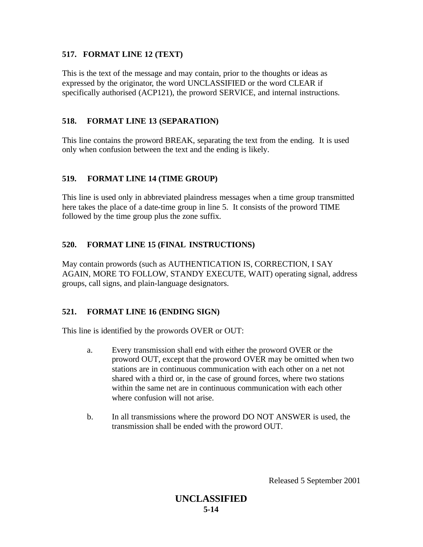#### **517. FORMAT LINE 12 (TEXT)**

This is the text of the message and may contain, prior to the thoughts or ideas as expressed by the originator, the word UNCLASSIFIED or the word CLEAR if specifically authorised (ACP121), the proword SERVICE, and internal instructions.

#### **518. FORMAT LINE 13 (SEPARATION)**

This line contains the proword BREAK, separating the text from the ending. It is used only when confusion between the text and the ending is likely.

#### **519. FORMAT LINE 14 (TIME GROUP)**

This line is used only in abbreviated plaindress messages when a time group transmitted here takes the place of a date-time group in line 5. It consists of the proword TIME followed by the time group plus the zone suffix.

#### **520. FORMAT LINE 15 (FINAL INSTRUCTIONS)**

May contain prowords (such as AUTHENTICATION IS, CORRECTION, I SAY AGAIN, MORE TO FOLLOW, STANDY EXECUTE, WAIT) operating signal, address groups, call signs, and plain-language designators.

#### **521. FORMAT LINE 16 (ENDING SIGN)**

This line is identified by the prowords OVER or OUT:

- a. Every transmission shall end with either the proword OVER or the proword OUT, except that the proword OVER may be omitted when two stations are in continuous communication with each other on a net not shared with a third or, in the case of ground forces, where two stations within the same net are in continuous communication with each other where confusion will not arise.
- b. In all transmissions where the proword DO NOT ANSWER is used, the transmission shall be ended with the proword OUT.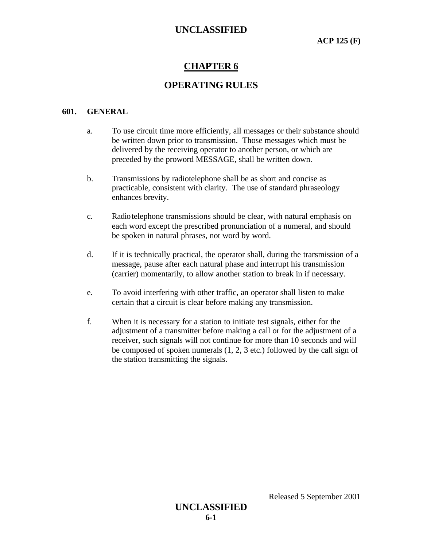## **CHAPTER 6**

## **OPERATING RULES**

#### **601. GENERAL**

- a. To use circuit time more efficiently, all messages or their substance should be written down prior to transmission. Those messages which must be delivered by the receiving operator to another person, or which are preceded by the proword MESSAGE, shall be written down.
- b. Transmissions by radiotelephone shall be as short and concise as practicable, consistent with clarity. The use of standard phraseology enhances brevity.
- c. Radiotelephone transmissions should be clear, with natural emphasis on each word except the prescribed pronunciation of a numeral, and should be spoken in natural phrases, not word by word.
- d. If it is technically practical, the operator shall, during the transmission of a message, pause after each natural phase and interrupt his transmission (carrier) momentarily, to allow another station to break in if necessary.
- e. To avoid interfering with other traffic, an operator shall listen to make certain that a circuit is clear before making any transmission.
- f. When it is necessary for a station to initiate test signals, either for the adjustment of a transmitter before making a call or for the adjustment of a receiver, such signals will not continue for more than 10 seconds and will be composed of spoken numerals (1, 2, 3 etc.) followed by the call sign of the station transmitting the signals.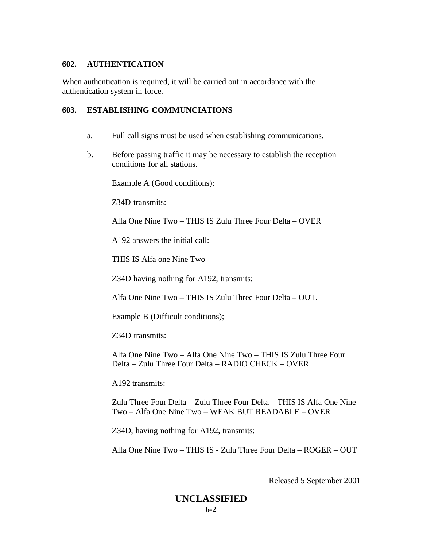#### **602. AUTHENTICATION**

When authentication is required, it will be carried out in accordance with the authentication system in force.

#### **603. ESTABLISHING COMMUNCIATIONS**

- a. Full call signs must be used when establishing communications.
- b. Before passing traffic it may be necessary to establish the reception conditions for all stations.

Example A (Good conditions):

Z34D transmits:

Alfa One Nine Two – THIS IS Zulu Three Four Delta – OVER

A192 answers the initial call:

THIS IS Alfa one Nine Two

Z34D having nothing for A192, transmits:

Alfa One Nine Two – THIS IS Zulu Three Four Delta – OUT.

Example B (Difficult conditions);

Z34D transmits:

Alfa One Nine Two – Alfa One Nine Two – THIS IS Zulu Three Four Delta – Zulu Three Four Delta – RADIO CHECK – OVER

A192 transmits:

Zulu Three Four Delta – Zulu Three Four Delta – THIS IS Alfa One Nine Two – Alfa One Nine Two – WEAK BUT READABLE – OVER

Z34D, having nothing for A192, transmits:

Alfa One Nine Two – THIS IS - Zulu Three Four Delta – ROGER – OUT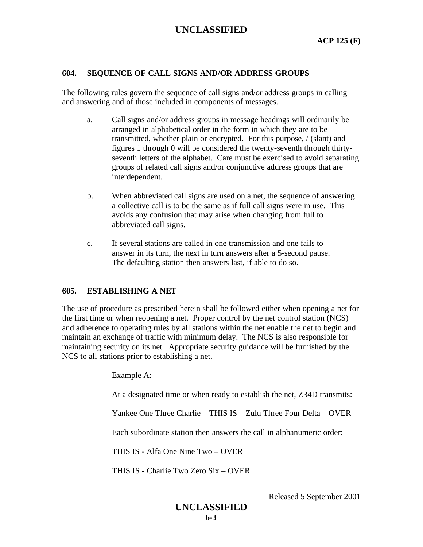#### **604. SEQUENCE OF CALL SIGNS AND/OR ADDRESS GROUPS**

The following rules govern the sequence of call signs and/or address groups in calling and answering and of those included in components of messages.

- a. Call signs and/or address groups in message headings will ordinarily be arranged in alphabetical order in the form in which they are to be transmitted, whether plain or encrypted. For this purpose, / (slant) and figures 1 through 0 will be considered the twenty-seventh through thirtyseventh letters of the alphabet. Care must be exercised to avoid separating groups of related call signs and/or conjunctive address groups that are interdependent.
- b. When abbreviated call signs are used on a net, the sequence of answering a collective call is to be the same as if full call signs were in use. This avoids any confusion that may arise when changing from full to abbreviated call signs.
- c. If several stations are called in one transmission and one fails to answer in its turn, the next in turn answers after a 5-second pause. The defaulting station then answers last, if able to do so.

#### **605. ESTABLISHING A NET**

The use of procedure as prescribed herein shall be followed either when opening a net for the first time or when reopening a net. Proper control by the net control station (NCS) and adherence to operating rules by all stations within the net enable the net to begin and maintain an exchange of traffic with minimum delay. The NCS is also responsible for maintaining security on its net. Appropriate security guidance will be furnished by the NCS to all stations prior to establishing a net.

Example A:

At a designated time or when ready to establish the net, Z34D transmits:

Yankee One Three Charlie – THIS IS – Zulu Three Four Delta – OVER

Each subordinate station then answers the call in alphanumeric order:

THIS IS - Alfa One Nine Two – OVER

THIS IS - Charlie Two Zero Six – OVER

Released 5 September 2001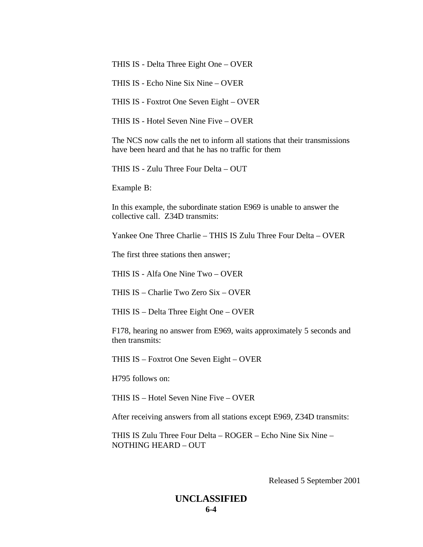THIS IS - Delta Three Eight One – OVER

THIS IS - Echo Nine Six Nine – OVER

THIS IS - Foxtrot One Seven Eight – OVER

THIS IS - Hotel Seven Nine Five – OVER

The NCS now calls the net to inform all stations that their transmissions have been heard and that he has no traffic for them

THIS IS - Zulu Three Four Delta – OUT

Example B:

In this example, the subordinate station E969 is unable to answer the collective call. Z34D transmits:

Yankee One Three Charlie – THIS IS Zulu Three Four Delta – OVER

The first three stations then answer;

THIS IS - Alfa One Nine Two – OVER

THIS IS – Charlie Two Zero Six – OVER

THIS IS – Delta Three Eight One – OVER

F178, hearing no answer from E969, waits approximately 5 seconds and then transmits:

THIS IS – Foxtrot One Seven Eight – OVER

H795 follows on:

THIS IS – Hotel Seven Nine Five – OVER

After receiving answers from all stations except E969, Z34D transmits:

THIS IS Zulu Three Four Delta – ROGER – Echo Nine Six Nine – NOTHING HEARD – OUT

Released 5 September 2001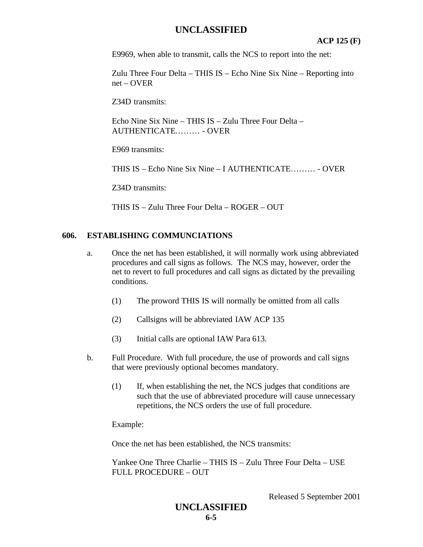E9969, when able to transmit, calls the NCS to report into the net:

Zulu Three Four Delta – THIS IS – Echo Nine Six Nine – Reporting into net – OVER

Z34D transmits:

Echo Nine Six Nine – THIS IS – Zulu Three Four Delta – AUTHENTICATE……… - OVER

E969 transmits:

THIS IS – Echo Nine Six Nine – I AUTHENTICATE……… - OVER

Z34D transmits:

THIS IS – Zulu Three Four Delta – ROGER – OUT

#### **606. ESTABLISHING COMMUNCIATIONS**

- a. Once the net has been established, it will normally work using abbreviated procedures and call signs as follows. The NCS may, however, order the net to revert to full procedures and call signs as dictated by the prevailing conditions.
	- (1) The proword THIS IS will normally be omitted from all calls
	- (2) Callsigns will be abbreviated IAW ACP 135
	- (3) Initial calls are optional IAW Para 613.
- b. Full Procedure. With full procedure, the use of prowords and call signs that were previously optional becomes mandatory.
	- (1) If, when establishing the net, the NCS judges that conditions are such that the use of abbreviated procedure will cause unnecessary repetitions, the NCS orders the use of full procedure.

Example:

Once the net has been established, the NCS transmits:

Yankee One Three Charlie – THIS IS – Zulu Three Four Delta – USE FULL PROCEDURE – OUT

Released 5 September 2001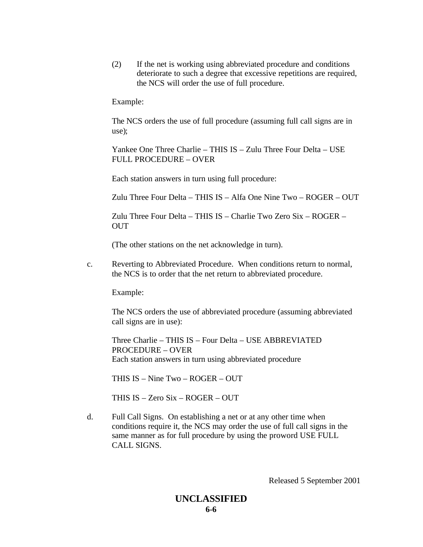(2) If the net is working using abbreviated procedure and conditions deteriorate to such a degree that excessive repetitions are required, the NCS will order the use of full procedure.

Example:

The NCS orders the use of full procedure (assuming full call signs are in use);

Yankee One Three Charlie – THIS IS – Zulu Three Four Delta – USE FULL PROCEDURE – OVER

Each station answers in turn using full procedure:

Zulu Three Four Delta – THIS IS – Alfa One Nine Two – ROGER – OUT

Zulu Three Four Delta – THIS IS – Charlie Two Zero Six – ROGER – **OUT** 

(The other stations on the net acknowledge in turn).

c. Reverting to Abbreviated Procedure. When conditions return to normal, the NCS is to order that the net return to abbreviated procedure.

Example:

The NCS orders the use of abbreviated procedure (assuming abbreviated call signs are in use):

Three Charlie – THIS IS – Four Delta – USE ABBREVIATED PROCEDURE – OVER Each station answers in turn using abbreviated procedure

THIS IS – Nine Two – ROGER – OUT

THIS IS – Zero Six – ROGER – OUT

d. Full Call Signs. On establishing a net or at any other time when conditions require it, the NCS may order the use of full call signs in the same manner as for full procedure by using the proword USE FULL CALL SIGNS.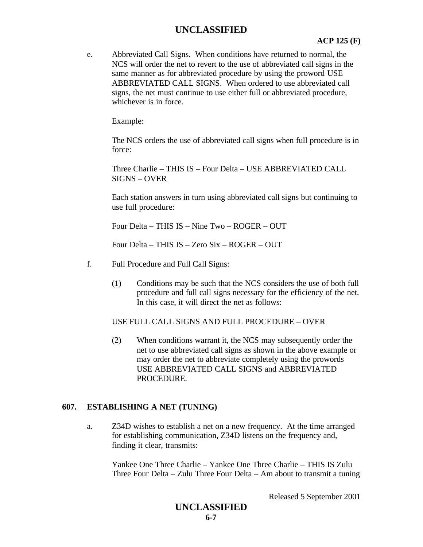e. Abbreviated Call Signs. When conditions have returned to normal, the NCS will order the net to revert to the use of abbreviated call signs in the same manner as for abbreviated procedure by using the proword USE ABBREVIATED CALL SIGNS. When ordered to use abbreviated call signs, the net must continue to use either full or abbreviated procedure, whichever is in force.

Example:

The NCS orders the use of abbreviated call signs when full procedure is in force:

Three Charlie – THIS IS – Four Delta – USE ABBREVIATED CALL SIGNS – OVER

Each station answers in turn using abbreviated call signs but continuing to use full procedure:

Four Delta – THIS IS – Nine Two – ROGER – OUT

Four Delta – THIS IS – Zero Six – ROGER – OUT

- f. Full Procedure and Full Call Signs:
	- (1) Conditions may be such that the NCS considers the use of both full procedure and full call signs necessary for the efficiency of the net. In this case, it will direct the net as follows:

USE FULL CALL SIGNS AND FULL PROCEDURE – OVER

(2) When conditions warrant it, the NCS may subsequently order the net to use abbreviated call signs as shown in the above example or may order the net to abbreviate completely using the prowords USE ABBREVIATED CALL SIGNS and ABBREVIATED PROCEDURE.

#### **607. ESTABLISHING A NET (TUNING)**

a. Z34D wishes to establish a net on a new frequency. At the time arranged for establishing communication, Z34D listens on the frequency and, finding it clear, transmits:

Yankee One Three Charlie – Yankee One Three Charlie – THIS IS Zulu Three Four Delta – Zulu Three Four Delta – Am about to transmit a tuning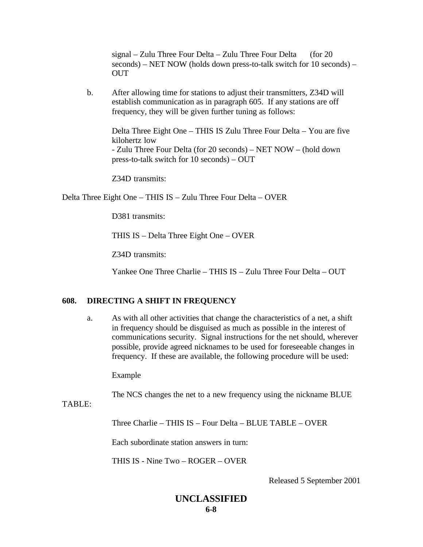signal – Zulu Three Four Delta – Zulu Three Four Delta (for 20 seconds) – NET NOW (holds down press-to-talk switch for 10 seconds) – **OUT** 

b. After allowing time for stations to adjust their transmitters, Z34D will establish communication as in paragraph 605. If any stations are off frequency, they will be given further tuning as follows:

Delta Three Eight One – THIS IS Zulu Three Four Delta – You are five kilohertz low - Zulu Three Four Delta (for 20 seconds) – NET NOW – (hold down press-to-talk switch for 10 seconds) – OUT

Z34D transmits:

Delta Three Eight One – THIS IS – Zulu Three Four Delta – OVER

D<sub>381</sub> transmits:

THIS IS – Delta Three Eight One – OVER

Z34D transmits:

Yankee One Three Charlie – THIS IS – Zulu Three Four Delta – OUT

#### **608. DIRECTING A SHIFT IN FREQUENCY**

a. As with all other activities that change the characteristics of a net, a shift in frequency should be disguised as much as possible in the interest of communications security. Signal instructions for the net should, wherever possible, provide agreed nicknames to be used for foreseeable changes in frequency. If these are available, the following procedure will be used:

Example

The NCS changes the net to a new frequency using the nickname BLUE

TABLE:

Three Charlie – THIS IS – Four Delta – BLUE TABLE – OVER

Each subordinate station answers in turn:

THIS IS - Nine Two – ROGER – OVER

Released 5 September 2001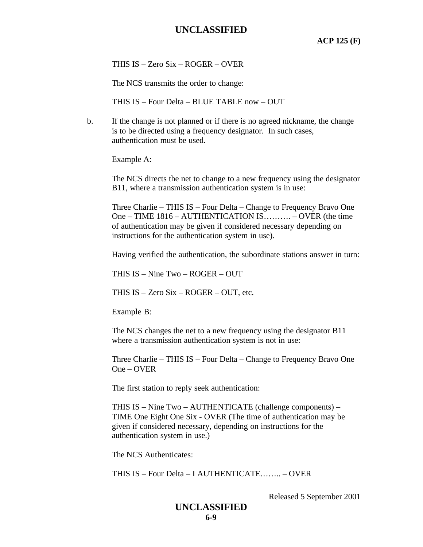**ACP 125 (F)**

THIS IS – Zero Six – ROGER – OVER

The NCS transmits the order to change:

THIS IS – Four Delta – BLUE TABLE now – OUT

b. If the change is not planned or if there is no agreed nickname, the change is to be directed using a frequency designator. In such cases, authentication must be used.

Example A:

The NCS directs the net to change to a new frequency using the designator B11, where a transmission authentication system is in use:

Three Charlie – THIS IS – Four Delta – Change to Frequency Bravo One One – TIME 1816 – AUTHENTICATION IS………. – OVER (the time of authentication may be given if considered necessary depending on instructions for the authentication system in use).

Having verified the authentication, the subordinate stations answer in turn:

THIS IS – Nine Two – ROGER – OUT

THIS IS – Zero Six – ROGER – OUT, etc.

Example B:

The NCS changes the net to a new frequency using the designator B11 where a transmission authentication system is not in use:

Three Charlie – THIS IS – Four Delta – Change to Frequency Bravo One One – OVER

The first station to reply seek authentication:

THIS IS – Nine Two – AUTHENTICATE (challenge components) – TIME One Eight One Six - OVER (The time of authentication may be given if considered necessary, depending on instructions for the authentication system in use.)

The NCS Authenticates:

THIS IS – Four Delta – I AUTHENTICATE…….. – OVER

Released 5 September 2001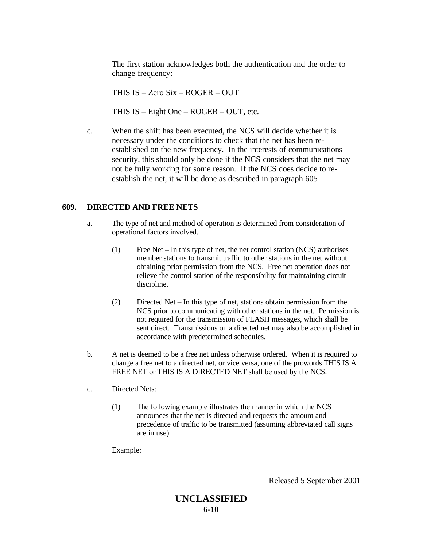The first station acknowledges both the authentication and the order to change frequency:

THIS IS – Zero Six – ROGER – OUT

THIS IS – Eight One – ROGER – OUT, etc.

c. When the shift has been executed, the NCS will decide whether it is necessary under the conditions to check that the net has been reestablished on the new frequency. In the interests of communications security, this should only be done if the NCS considers that the net may not be fully working for some reason. If the NCS does decide to reestablish the net, it will be done as described in paragraph 605

## **609. DIRECTED AND FREE NETS**

- a. The type of net and method of operation is determined from consideration of operational factors involved.
	- (1) Free Net In this type of net, the net control station (NCS) authorises member stations to transmit traffic to other stations in the net without obtaining prior permission from the NCS. Free net operation does not relieve the control station of the responsibility for maintaining circuit discipline.
	- (2) Directed Net In this type of net, stations obtain permission from the NCS prior to communicating with other stations in the net. Permission is not required for the transmission of FLASH messages, which shall be sent direct. Transmissions on a directed net may also be accomplished in accordance with predetermined schedules.
- b. A net is deemed to be a free net unless otherwise ordered. When it is required to change a free net to a directed net, or vice versa, one of the prowords THIS IS A FREE NET or THIS IS A DIRECTED NET shall be used by the NCS.
- c. Directed Nets:
	- (1) The following example illustrates the manner in which the NCS announces that the net is directed and requests the amount and precedence of traffic to be transmitted (assuming abbreviated call signs are in use).

Example: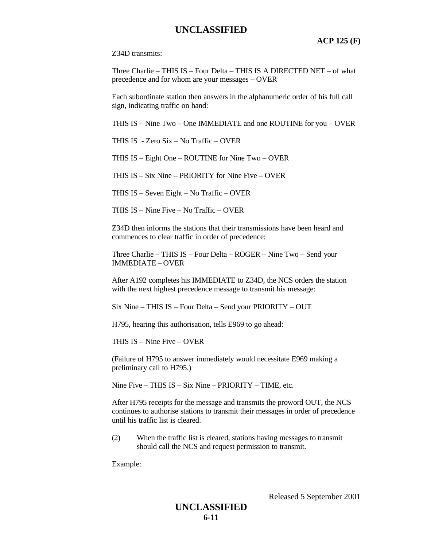Z34D transmits:

Three Charlie – THIS IS – Four Delta – THIS IS A DIRECTED NET – of what precedence and for whom are your messages – OVER

Each subordinate station then answers in the alphanumeric order of his full call sign, indicating traffic on hand:

THIS IS – Nine Two – One IMMEDIATE and one ROUTINE for you – OVER

THIS IS - Zero Six – No Traffic – OVER

THIS IS – Eight One – ROUTINE for Nine Two – OVER

THIS IS – Six Nine – PRIORITY for Nine Five – OVER

THIS IS – Seven Eight – No Traffic – OVER

THIS IS – Nine Five – No Traffic – OVER

Z34D then informs the stations that their transmissions have been heard and commences to clear traffic in order of precedence:

Three Charlie – THIS IS – Four Delta – ROGER – Nine Two – Send your IMMEDIATE – OVER

After A192 completes his IMMEDIATE to Z34D, the NCS orders the station with the next highest precedence message to transmit his message:

Six Nine – THIS IS – Four Delta – Send your PRIORITY – OUT

H795, hearing this authorisation, tells E969 to go ahead:

THIS IS – Nine Five – OVER

(Failure of H795 to answer immediately would necessitate E969 making a preliminary call to H795.)

Nine Five – THIS IS – Six Nine – PRIORITY – TIME, etc.

After H795 receipts for the message and transmits the proword OUT, the NCS continues to authorise stations to transmit their messages in order of precedence until his traffic list is cleared.

(2) When the traffic list is cleared, stations having messages to transmit should call the NCS and request permission to transmit.

Example:

Released 5 September 2001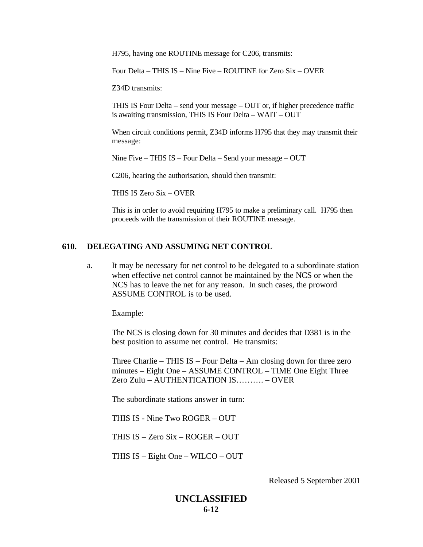H795, having one ROUTINE message for C206, transmits:

Four Delta – THIS IS – Nine Five – ROUTINE for Zero Six – OVER

Z34D transmits:

THIS IS Four Delta – send your message – OUT or, if higher precedence traffic is awaiting transmission, THIS IS Four Delta – WAIT – OUT

When circuit conditions permit, Z34D informs H795 that they may transmit their message:

Nine Five – THIS IS – Four Delta – Send your message – OUT

C206, hearing the authorisation, should then transmit:

THIS IS Zero Six – OVER

This is in order to avoid requiring H795 to make a preliminary call. H795 then proceeds with the transmission of their ROUTINE message.

#### **610. DELEGATING AND ASSUMING NET CONTROL**

a. It may be necessary for net control to be delegated to a subordinate station when effective net control cannot be maintained by the NCS or when the NCS has to leave the net for any reason. In such cases, the proword ASSUME CONTROL is to be used.

Example:

The NCS is closing down for 30 minutes and decides that D381 is in the best position to assume net control. He transmits:

Three Charlie – THIS IS – Four Delta – Am closing down for three zero minutes – Eight One – ASSUME CONTROL – TIME One Eight Three Zero Zulu – AUTHENTICATION IS………. – OVER

The subordinate stations answer in turn:

THIS IS - Nine Two ROGER – OUT

THIS IS – Zero Six – ROGER – OUT

THIS IS – Eight One – WILCO – OUT

Released 5 September 2001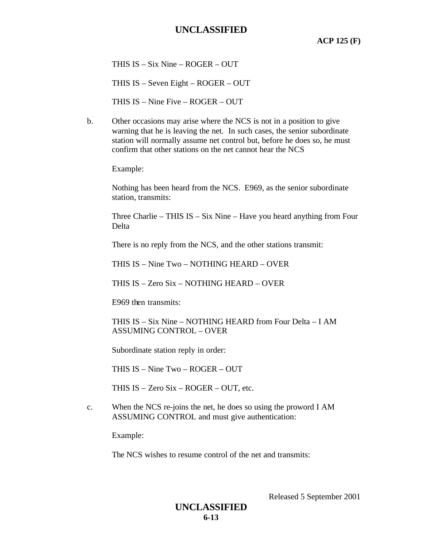THIS IS – Six Nine – ROGER – OUT

THIS IS – Seven Eight – ROGER – OUT

THIS IS – Nine Five – ROGER – OUT

b. Other occasions may arise where the NCS is not in a position to give warning that he is leaving the net. In such cases, the senior subordinate station will normally assume net control but, before he does so, he must confirm that other stations on the net cannot hear the NCS

Example:

Nothing has been heard from the NCS. E969, as the senior subordinate station, transmits:

Three Charlie – THIS IS – Six Nine – Have you heard anything from Four Delta

There is no reply from the NCS, and the other stations transmit:

THIS IS – Nine Two – NOTHING HEARD – OVER

THIS IS – Zero Six – NOTHING HEARD – OVER

E969 then transmits:

THIS IS – Six Nine – NOTHING HEARD from Four Delta – I AM ASSUMING CONTROL – OVER

Subordinate station reply in order:

THIS IS – Nine Two – ROGER – OUT

THIS IS – Zero Six – ROGER – OUT, etc.

c. When the NCS re-joins the net, he does so using the proword I AM ASSUMING CONTROL and must give authentication:

Example:

The NCS wishes to resume control of the net and transmits:

Released 5 September 2001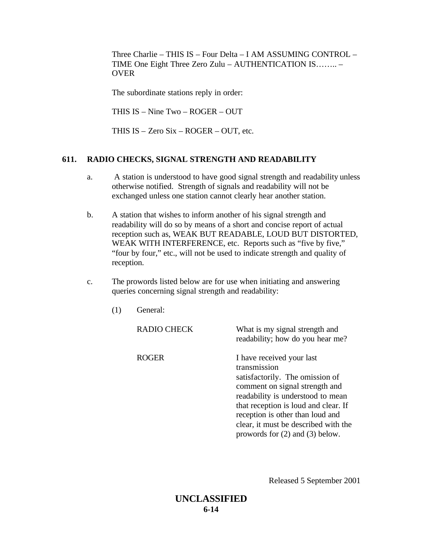Three Charlie – THIS IS – Four Delta – I AM ASSUMING CONTROL – TIME One Eight Three Zero Zulu – AUTHENTICATION IS…….. – **OVER** 

The subordinate stations reply in order:

THIS IS – Nine Two – ROGER – OUT

THIS IS – Zero Six – ROGER – OUT, etc.

#### **611. RADIO CHECKS, SIGNAL STRENGTH AND READABILITY**

- a. A station is understood to have good signal strength and readability unless otherwise notified. Strength of signals and readability will not be exchanged unless one station cannot clearly hear another station.
- b. A station that wishes to inform another of his signal strength and readability will do so by means of a short and concise report of actual reception such as, WEAK BUT READABLE, LOUD BUT DISTORTED, WEAK WITH INTERFERENCE, etc. Reports such as "five by five," "four by four," etc., will not be used to indicate strength and quality of reception.
- c. The prowords listed below are for use when initiating and answering queries concerning signal strength and readability:
	- (1) General:

| <b>RADIO CHECK</b> | What is my signal strength and<br>readability; how do you hear me?                                                                                                                                                                                                                                             |
|--------------------|----------------------------------------------------------------------------------------------------------------------------------------------------------------------------------------------------------------------------------------------------------------------------------------------------------------|
| <b>ROGER</b>       | I have received your last<br>transmission<br>satisfactorily. The omission of<br>comment on signal strength and<br>readability is understood to mean<br>that reception is loud and clear. If<br>reception is other than loud and<br>clear, it must be described with the<br>prowords for $(2)$ and $(3)$ below. |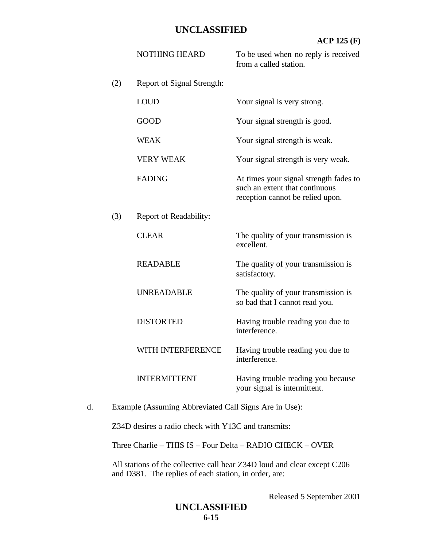|     | <b>NOTHING HEARD</b>       | To be used when no reply is received<br>from a called station.                                               |
|-----|----------------------------|--------------------------------------------------------------------------------------------------------------|
| (2) | Report of Signal Strength: |                                                                                                              |
|     | <b>LOUD</b>                | Your signal is very strong.                                                                                  |
|     | <b>GOOD</b>                | Your signal strength is good.                                                                                |
|     | <b>WEAK</b>                | Your signal strength is weak.                                                                                |
|     | <b>VERY WEAK</b>           | Your signal strength is very weak.                                                                           |
|     | <b>FADING</b>              | At times your signal strength fades to<br>such an extent that continuous<br>reception cannot be relied upon. |
| (3) | Report of Readability:     |                                                                                                              |
|     | <b>CLEAR</b>               | The quality of your transmission is<br>excellent.                                                            |
|     | <b>READABLE</b>            | The quality of your transmission is<br>satisfactory.                                                         |
|     | <b>UNREADABLE</b>          | The quality of your transmission is<br>so bad that I cannot read you.                                        |
|     | <b>DISTORTED</b>           | Having trouble reading you due to<br>interference.                                                           |
|     | WITH INTERFERENCE          | Having trouble reading you due to<br>interference.                                                           |
|     | <b>INTERMITTENT</b>        | Having trouble reading you because<br>your signal is intermittent.                                           |
|     |                            |                                                                                                              |

d. Example (Assuming Abbreviated Call Signs Are in Use):

Z34D desires a radio check with Y13C and transmits:

Three Charlie – THIS IS – Four Delta – RADIO CHECK – OVER

All stations of the collective call hear Z34D loud and clear except C206 and D381. The replies of each station, in order, are:

Released 5 September 2001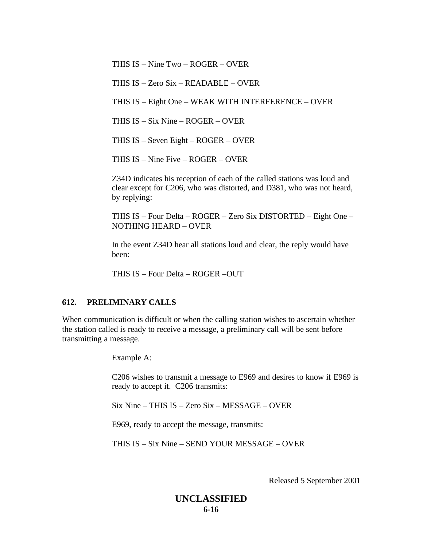THIS IS – Nine Two – ROGER – OVER

THIS IS – Zero Six – READABLE – OVER

THIS IS – Eight One – WEAK WITH INTERFERENCE – OVER

THIS IS – Six Nine – ROGER – OVER

THIS IS – Seven Eight – ROGER – OVER

THIS IS – Nine Five – ROGER – OVER

Z34D indicates his reception of each of the called stations was loud and clear except for C206, who was distorted, and D381, who was not heard, by replying:

THIS IS – Four Delta – ROGER – Zero Six DISTORTED – Eight One – NOTHING HEARD – OVER

In the event Z34D hear all stations loud and clear, the reply would have been:

THIS IS – Four Delta – ROGER –OUT

#### **612. PRELIMINARY CALLS**

When communication is difficult or when the calling station wishes to ascertain whether the station called is ready to receive a message, a preliminary call will be sent before transmitting a message.

Example A:

C206 wishes to transmit a message to E969 and desires to know if E969 is ready to accept it. C206 transmits:

Six Nine – THIS IS – Zero Six – MESSAGE – OVER

E969, ready to accept the message, transmits:

THIS IS – Six Nine – SEND YOUR MESSAGE – OVER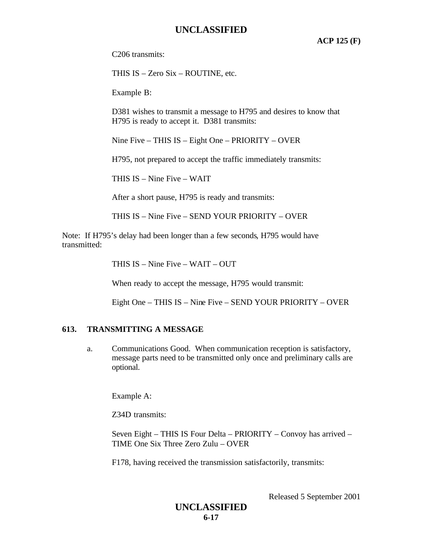C206 transmits:

THIS IS – Zero Six – ROUTINE, etc.

Example B:

D381 wishes to transmit a message to H795 and desires to know that H795 is ready to accept it. D381 transmits:

Nine Five – THIS IS – Eight One – PRIORITY – OVER

H795, not prepared to accept the traffic immediately transmits:

THIS IS – Nine Five – WAIT

After a short pause, H795 is ready and transmits:

THIS IS – Nine Five – SEND YOUR PRIORITY – OVER

Note: If H795's delay had been longer than a few seconds, H795 would have transmitted:

THIS IS – Nine Five – WAIT – OUT

When ready to accept the message, H795 would transmit:

Eight One – THIS IS – Nine Five – SEND YOUR PRIORITY – OVER

#### **613. TRANSMITTING A MESSAGE**

a. Communications Good. When communication reception is satisfactory, message parts need to be transmitted only once and preliminary calls are optional.

Example A:

Z34D transmits:

Seven Eight – THIS IS Four Delta – PRIORITY – Convoy has arrived – TIME One Six Three Zero Zulu – OVER

F178, having received the transmission satisfactorily, transmits:

Released 5 September 2001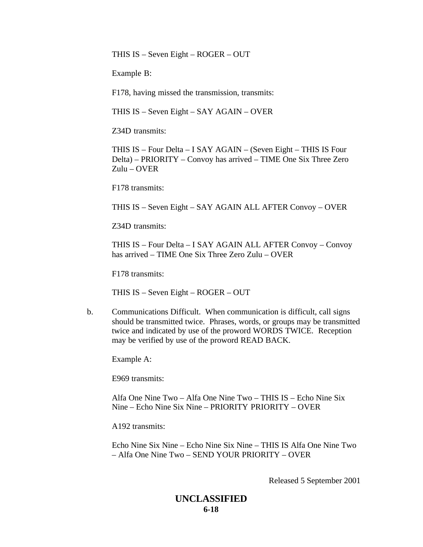THIS IS – Seven Eight – ROGER – OUT

Example B:

F178, having missed the transmission, transmits:

THIS IS – Seven Eight – SAY AGAIN – OVER

Z34D transmits:

THIS IS – Four Delta – I SAY AGAIN – (Seven Eight – THIS IS Four Delta) – PRIORITY – Convoy has arrived – TIME One Six Three Zero Zulu – OVER

F178 transmits:

THIS IS – Seven Eight – SAY AGAIN ALL AFTER Convoy – OVER

Z34D transmits:

THIS IS – Four Delta – I SAY AGAIN ALL AFTER Convoy – Convoy has arrived – TIME One Six Three Zero Zulu – OVER

F178 transmits:

THIS IS – Seven Eight – ROGER – OUT

b. Communications Difficult. When communication is difficult, call signs should be transmitted twice. Phrases, words, or groups may be transmitted twice and indicated by use of the proword WORDS TWICE. Reception may be verified by use of the proword READ BACK.

Example A:

E969 transmits:

Alfa One Nine Two – Alfa One Nine Two – THIS IS – Echo Nine Six Nine – Echo Nine Six Nine – PRIORITY PRIORITY – OVER

A192 transmits:

Echo Nine Six Nine – Echo Nine Six Nine – THIS IS Alfa One Nine Two – Alfa One Nine Two – SEND YOUR PRIORITY – OVER

Released 5 September 2001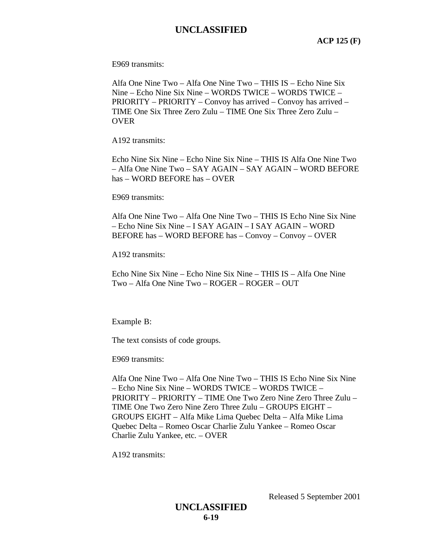E969 transmits:

Alfa One Nine Two – Alfa One Nine Two – THIS IS – Echo Nine Six Nine – Echo Nine Six Nine – WORDS TWICE – WORDS TWICE – PRIORITY – PRIORITY – Convoy has arrived – Convoy has arrived – TIME One Six Three Zero Zulu – TIME One Six Three Zero Zulu – **OVER** 

A192 transmits:

Echo Nine Six Nine – Echo Nine Six Nine – THIS IS Alfa One Nine Two – Alfa One Nine Two – SAY AGAIN – SAY AGAIN – WORD BEFORE has – WORD BEFORE has – OVER

E969 transmits:

Alfa One Nine Two – Alfa One Nine Two – THIS IS Echo Nine Six Nine – Echo Nine Six Nine – I SAY AGAIN – I SAY AGAIN – WORD BEFORE has – WORD BEFORE has – Convoy – Convoy – OVER

A192 transmits:

Echo Nine Six Nine – Echo Nine Six Nine – THIS IS – Alfa One Nine Two – Alfa One Nine Two – ROGER – ROGER – OUT

Example B:

The text consists of code groups.

E969 transmits:

Alfa One Nine Two – Alfa One Nine Two – THIS IS Echo Nine Six Nine – Echo Nine Six Nine – WORDS TWICE – WORDS TWICE – PRIORITY – PRIORITY – TIME One Two Zero Nine Zero Three Zulu – TIME One Two Zero Nine Zero Three Zulu – GROUPS EIGHT – GROUPS EIGHT – Alfa Mike Lima Quebec Delta – Alfa Mike Lima Quebec Delta – Romeo Oscar Charlie Zulu Yankee – Romeo Oscar Charlie Zulu Yankee, etc. – OVER

A192 transmits: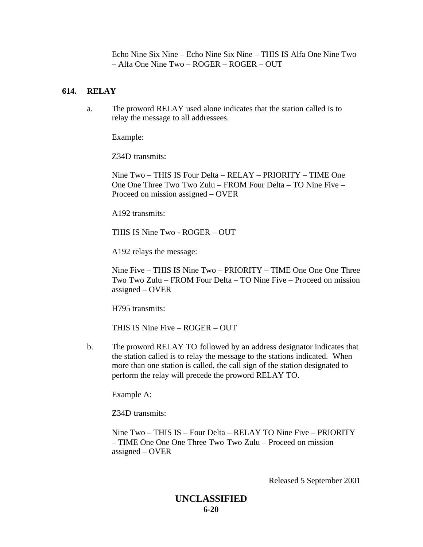Echo Nine Six Nine – Echo Nine Six Nine – THIS IS Alfa One Nine Two – Alfa One Nine Two – ROGER – ROGER – OUT

#### **614. RELAY**

a. The proword RELAY used alone indicates that the station called is to relay the message to all addressees.

Example:

Z34D transmits:

Nine Two – THIS IS Four Delta – RELAY – PRIORITY – TIME One One One Three Two Two Zulu – FROM Four Delta – TO Nine Five – Proceed on mission assigned – OVER

A192 transmits:

THIS IS Nine Two - ROGER – OUT

A192 relays the message:

Nine Five – THIS IS Nine Two – PRIORITY – TIME One One One Three Two Two Zulu – FROM Four Delta – TO Nine Five – Proceed on mission assigned – OVER

H795 transmits:

THIS IS Nine Five – ROGER – OUT

b. The proword RELAY TO followed by an address designator indicates that the station called is to relay the message to the stations indicated. When more than one station is called, the call sign of the station designated to perform the relay will precede the proword RELAY TO.

Example A:

Z34D transmits:

Nine Two – THIS IS – Four Delta – RELAY TO Nine Five – PRIORITY – TIME One One One Three Two Two Zulu – Proceed on mission assigned – OVER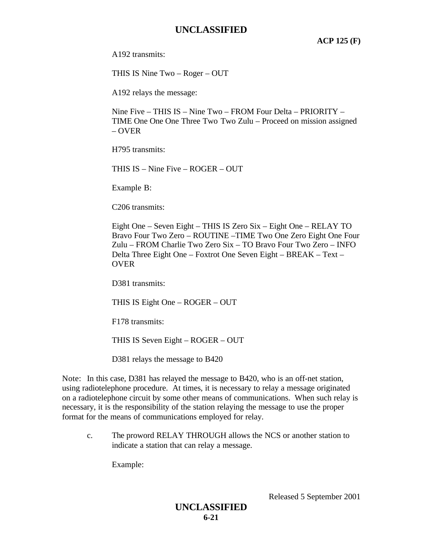**ACP 125 (F)**

A192 transmits:

THIS IS Nine Two – Roger – OUT

A192 relays the message:

Nine Five – THIS IS – Nine Two – FROM Four Delta – PRIORITY – TIME One One One Three Two Two Zulu – Proceed on mission assigned – OVER

H795 transmits:

THIS IS – Nine Five – ROGER – OUT

Example B:

C206 transmits:

Eight One – Seven Eight – THIS IS Zero Six – Eight One – RELAY TO Bravo Four Two Zero – ROUTINE –TIME Two One Zero Eight One Four Zulu – FROM Charlie Two Zero Six – TO Bravo Four Two Zero – INFO Delta Three Eight One – Foxtrot One Seven Eight – BREAK – Text – OVER

D<sub>381</sub> transmits:

THIS IS Eight One – ROGER – OUT

F178 transmits:

THIS IS Seven Eight – ROGER – OUT

D381 relays the message to B420

Note: In this case, D381 has relayed the message to B420, who is an off-net station, using radiotelephone procedure. At times, it is necessary to relay a message originated on a radiotelephone circuit by some other means of communications. When such relay is necessary, it is the responsibility of the station relaying the message to use the proper format for the means of communications employed for relay.

c. The proword RELAY THROUGH allows the NCS or another station to indicate a station that can relay a message.

Example: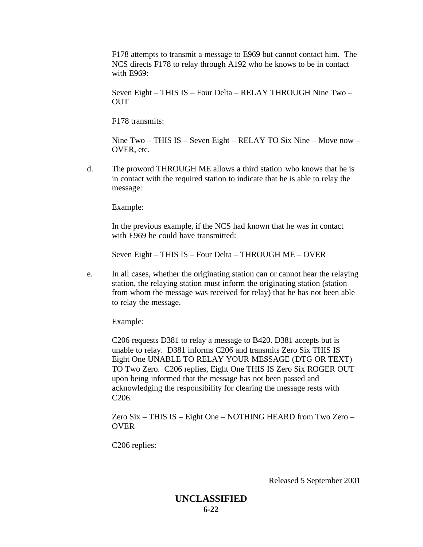F178 attempts to transmit a message to E969 but cannot contact him. The NCS directs F178 to relay through A192 who he knows to be in contact with E969:

Seven Eight – THIS IS – Four Delta – RELAY THROUGH Nine Two – **OUT** 

F178 transmits:

Nine Two – THIS IS – Seven Eight – RELAY TO Six Nine – Move now – OVER, etc.

d. The proword THROUGH ME allows a third station who knows that he is in contact with the required station to indicate that he is able to relay the message:

Example:

In the previous example, if the NCS had known that he was in contact with E969 he could have transmitted:

Seven Eight – THIS IS – Four Delta – THROUGH ME – OVER

e. In all cases, whether the originating station can or cannot hear the relaying station, the relaying station must inform the originating station (station from whom the message was received for relay) that he has not been able to relay the message.

Example:

C206 requests D381 to relay a message to B420. D381 accepts but is unable to relay. D381 informs C206 and transmits Zero Six THIS IS Eight One UNABLE TO RELAY YOUR MESSAGE (DTG OR TEXT) TO Two Zero. C206 replies, Eight One THIS IS Zero Six ROGER OUT upon being informed that the message has not been passed and acknowledging the responsibility for clearing the message rests with C206.

Zero Six – THIS IS – Eight One – NOTHING HEARD from Two Zero – **OVER** 

C206 replies: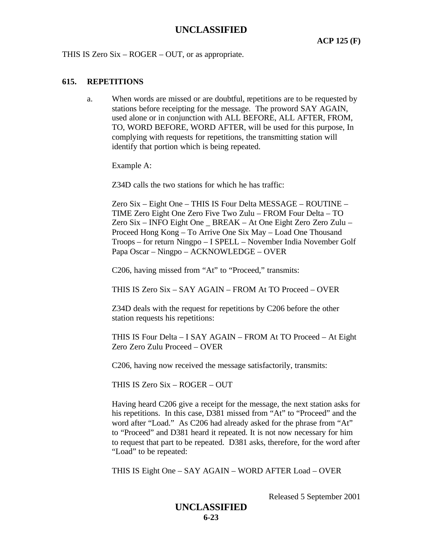THIS IS Zero Six – ROGER – OUT, or as appropriate.

#### **615. REPETITIONS**

a. When words are missed or are doubtful, repetitions are to be requested by stations before receipting for the message. The proword SAY AGAIN, used alone or in conjunction with ALL BEFORE, ALL AFTER, FROM, TO, WORD BEFORE, WORD AFTER, will be used for this purpose, In complying with requests for repetitions, the transmitting station will identify that portion which is being repeated.

Example A:

Z34D calls the two stations for which he has traffic:

Zero Six – Eight One – THIS IS Four Delta MESSAGE – ROUTINE – TIME Zero Eight One Zero Five Two Zulu – FROM Four Delta – TO Zero Six – INFO Eight One \_ BREAK – At One Eight Zero Zero Zulu – Proceed Hong Kong – To Arrive One Six May – Load One Thousand Troops – for return Ningpo – I SPELL – November India November Golf Papa Oscar – Ningpo – ACKNOWLEDGE – OVER

C206, having missed from "At" to "Proceed," transmits:

THIS IS Zero Six – SAY AGAIN – FROM At TO Proceed – OVER

Z34D deals with the request for repetitions by C206 before the other station requests his repetitions:

THIS IS Four Delta – I SAY AGAIN – FROM At TO Proceed – At Eight Zero Zero Zulu Proceed – OVER

C206, having now received the message satisfactorily, transmits:

THIS IS Zero Six – ROGER – OUT

Having heard C206 give a receipt for the message, the next station asks for his repetitions. In this case, D381 missed from "At" to "Proceed" and the word after "Load." As C206 had already asked for the phrase from "At" to "Proceed" and D381 heard it repeated. It is not now necessary for him to request that part to be repeated. D381 asks, therefore, for the word after "Load" to be repeated:

THIS IS Eight One – SAY AGAIN – WORD AFTER Load – OVER

Released 5 September 2001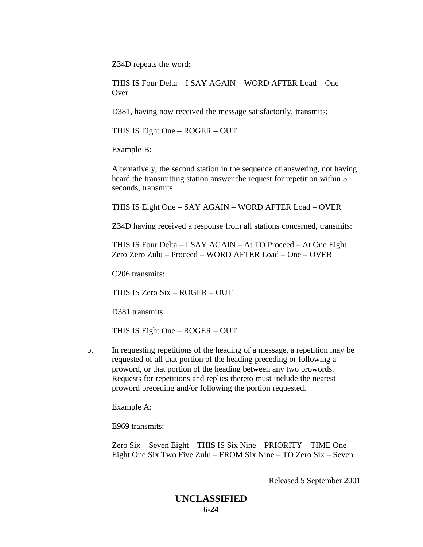Z34D repeats the word:

THIS IS Four Delta – I SAY AGAIN – WORD AFTER Load – One – **Over** 

D381, having now received the message satisfactorily, transmits:

THIS IS Eight One – ROGER – OUT

Example B:

Alternatively, the second station in the sequence of answering, not having heard the transmitting station answer the request for repetition within 5 seconds, transmits:

THIS IS Eight One – SAY AGAIN – WORD AFTER Load – OVER

Z34D having received a response from all stations concerned, transmits:

THIS IS Four Delta – I SAY AGAIN – At TO Proceed – At One Eight Zero Zero Zulu – Proceed – WORD AFTER Load – One – OVER

C206 transmits:

THIS IS Zero Six – ROGER – OUT

D381 transmits:

THIS IS Eight One – ROGER – OUT

b. In requesting repetitions of the heading of a message, a repetition may be requested of all that portion of the heading preceding or following a proword, or that portion of the heading between any two prowords. Requests for repetitions and replies thereto must include the nearest proword preceding and/or following the portion requested.

Example A:

E969 transmits:

Zero Six – Seven Eight – THIS IS Six Nine – PRIORITY – TIME One Eight One Six Two Five Zulu – FROM Six Nine – TO Zero Six – Seven

Released 5 September 2001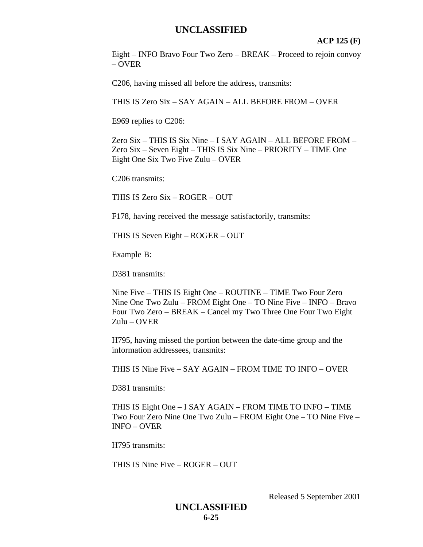Eight – INFO Bravo Four Two Zero – BREAK – Proceed to rejoin convoy – OVER

C206, having missed all before the address, transmits:

THIS IS Zero Six – SAY AGAIN – ALL BEFORE FROM – OVER

E969 replies to C206:

Zero Six – THIS IS Six Nine – I SAY AGAIN – ALL BEFORE FROM – Zero Six – Seven Eight – THIS IS Six Nine – PRIORITY – TIME One Eight One Six Two Five Zulu – OVER

C206 transmits:

THIS IS Zero Six – ROGER – OUT

F178, having received the message satisfactorily, transmits:

THIS IS Seven Eight – ROGER – OUT

Example B:

D<sub>381</sub> transmits:

Nine Five – THIS IS Eight One – ROUTINE – TIME Two Four Zero Nine One Two Zulu – FROM Eight One – TO Nine Five – INFO – Bravo Four Two Zero – BREAK – Cancel my Two Three One Four Two Eight Zulu – OVER

H795, having missed the portion between the date-time group and the information addressees, transmits:

THIS IS Nine Five – SAY AGAIN – FROM TIME TO INFO – OVER

D<sub>381</sub> transmits:

THIS IS Eight One – I SAY AGAIN – FROM TIME TO INFO – TIME Two Four Zero Nine One Two Zulu – FROM Eight One – TO Nine Five – INFO – OVER

H795 transmits:

THIS IS Nine Five – ROGER – OUT

Released 5 September 2001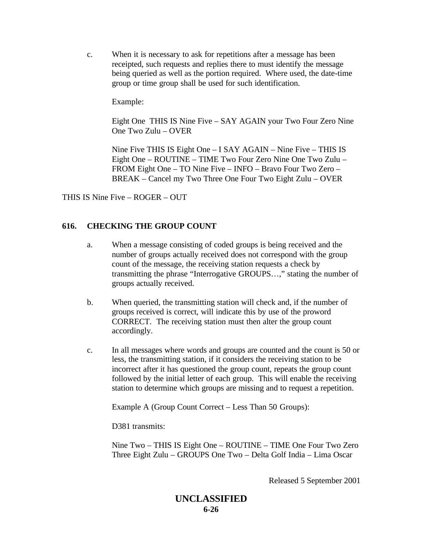c. When it is necessary to ask for repetitions after a message has been receipted, such requests and replies there to must identify the message being queried as well as the portion required. Where used, the date-time group or time group shall be used for such identification.

Example:

Eight One THIS IS Nine Five – SAY AGAIN your Two Four Zero Nine One Two Zulu – OVER

Nine Five THIS IS Eight One – I SAY AGAIN – Nine Five – THIS IS Eight One – ROUTINE – TIME Two Four Zero Nine One Two Zulu – FROM Eight One – TO Nine Five – INFO – Bravo Four Two Zero – BREAK – Cancel my Two Three One Four Two Eight Zulu – OVER

THIS IS Nine Five – ROGER – OUT

## **616. CHECKING THE GROUP COUNT**

- a. When a message consisting of coded groups is being received and the number of groups actually received does not correspond with the group count of the message, the receiving station requests a check by transmitting the phrase "Interrogative GROUPS…," stating the number of groups actually received.
- b. When queried, the transmitting station will check and, if the number of groups received is correct, will indicate this by use of the proword CORRECT. The receiving station must then alter the group count accordingly.
- c. In all messages where words and groups are counted and the count is 50 or less, the transmitting station, if it considers the receiving station to be incorrect after it has questioned the group count, repeats the group count followed by the initial letter of each group. This will enable the receiving station to determine which groups are missing and to request a repetition.

Example A (Group Count Correct – Less Than 50 Groups):

D381 transmits:

Nine Two – THIS IS Eight One – ROUTINE – TIME One Four Two Zero Three Eight Zulu – GROUPS One Two – Delta Golf India – Lima Oscar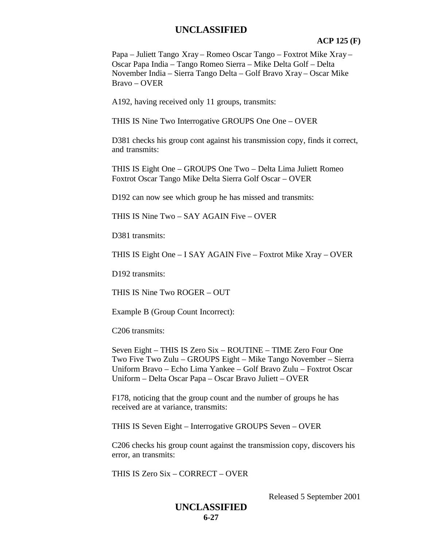#### **ACP 125 (F)**

Papa – Juliett Tango Xray – Romeo Oscar Tango – Foxtrot Mike Xray – Oscar Papa India – Tango Romeo Sierra – Mike Delta Golf – Delta November India – Sierra Tango Delta – Golf Bravo Xray – Oscar Mike Bravo – OVER

A192, having received only 11 groups, transmits:

THIS IS Nine Two Interrogative GROUPS One One – OVER

D381 checks his group cont against his transmission copy, finds it correct, and transmits:

THIS IS Eight One – GROUPS One Two – Delta Lima Juliett Romeo Foxtrot Oscar Tango Mike Delta Sierra Golf Oscar – OVER

D192 can now see which group he has missed and transmits:

THIS IS Nine Two – SAY AGAIN Five – OVER

D<sub>381</sub> transmits:

THIS IS Eight One – I SAY AGAIN Five – Foxtrot Mike Xray – OVER

D<sub>192</sub> transmits:

THIS IS Nine Two ROGER – OUT

Example B (Group Count Incorrect):

C206 transmits:

Seven Eight – THIS IS Zero Six – ROUTINE – TIME Zero Four One Two Five Two Zulu – GROUPS Eight – Mike Tango November – Sierra Uniform Bravo – Echo Lima Yankee – Golf Bravo Zulu – Foxtrot Oscar Uniform – Delta Oscar Papa – Oscar Bravo Juliett – OVER

F178, noticing that the group count and the number of groups he has received are at variance, transmits:

THIS IS Seven Eight – Interrogative GROUPS Seven – OVER

C206 checks his group count against the transmission copy, discovers his error, an transmits:

THIS IS Zero Six – CORRECT – OVER

Released 5 September 2001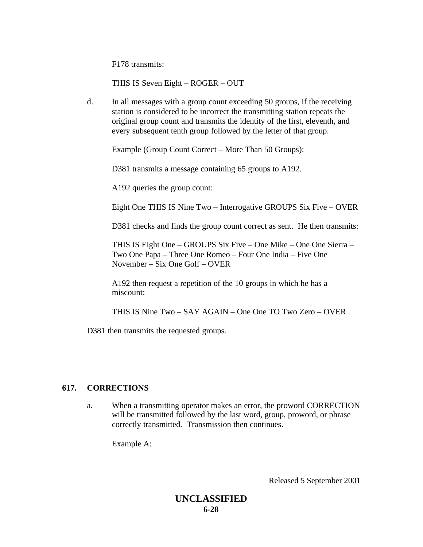F178 transmits:

THIS IS Seven Eight – ROGER – OUT

d. In all messages with a group count exceeding 50 groups, if the receiving station is considered to be incorrect the transmitting station repeats the original group count and transmits the identity of the first, eleventh, and every subsequent tenth group followed by the letter of that group.

Example (Group Count Correct – More Than 50 Groups):

D381 transmits a message containing 65 groups to A192.

A192 queries the group count:

Eight One THIS IS Nine Two – Interrogative GROUPS Six Five – OVER

D381 checks and finds the group count correct as sent. He then transmits:

THIS IS Eight One – GROUPS Six Five – One Mike – One One Sierra – Two One Papa – Three One Romeo – Four One India – Five One November – Six One Golf – OVER

A192 then request a repetition of the 10 groups in which he has a miscount:

THIS IS Nine Two – SAY AGAIN – One One TO Two Zero – OVER

D381 then transmits the requested groups.

#### **617. CORRECTIONS**

a. When a transmitting operator makes an error, the proword CORRECTION will be transmitted followed by the last word, group, proword, or phrase correctly transmitted. Transmission then continues.

Example A: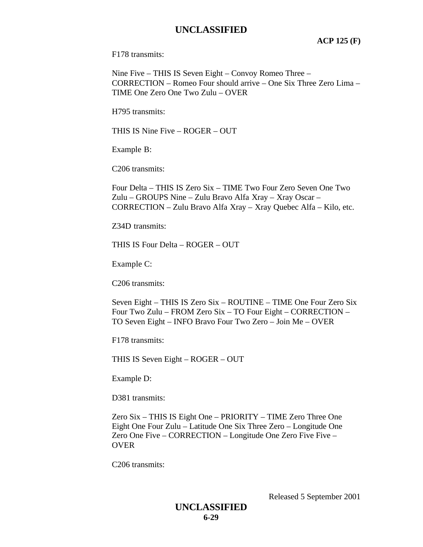F178 transmits:

Nine Five – THIS IS Seven Eight – Convoy Romeo Three – CORRECTION – Romeo Four should arrive – One Six Three Zero Lima – TIME One Zero One Two Zulu – OVER

H795 transmits:

THIS IS Nine Five – ROGER – OUT

Example B:

C206 transmits:

Four Delta – THIS IS Zero Six – TIME Two Four Zero Seven One Two Zulu – GROUPS Nine – Zulu Bravo Alfa Xray – Xray Oscar – CORRECTION – Zulu Bravo Alfa Xray – Xray Quebec Alfa – Kilo, etc.

Z34D transmits:

THIS IS Four Delta – ROGER – OUT

Example C:

C206 transmits:

Seven Eight – THIS IS Zero Six – ROUTINE – TIME One Four Zero Six Four Two Zulu – FROM Zero Six – TO Four Eight – CORRECTION – TO Seven Eight – INFO Bravo Four Two Zero – Join Me – OVER

F178 transmits:

THIS IS Seven Eight – ROGER – OUT

Example D:

D<sub>381</sub> transmits:

Zero Six – THIS IS Eight One – PRIORITY – TIME Zero Three One Eight One Four Zulu – Latitude One Six Three Zero – Longitude One Zero One Five – CORRECTION – Longitude One Zero Five Five – OVER

C206 transmits: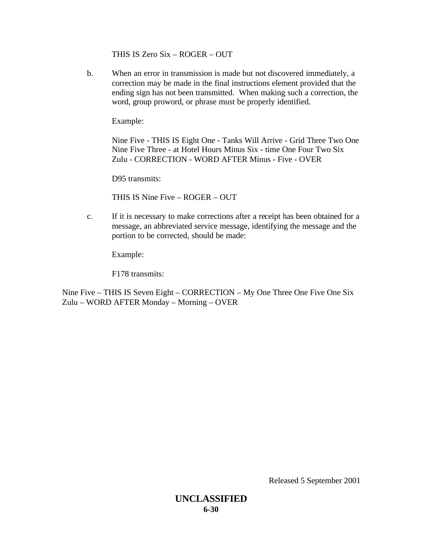THIS IS Zero Six – ROGER – OUT

b. When an error in transmission is made but not discovered immediately, a correction may be made in the final instructions element provided that the ending sign has not been transmitted. When making such a correction, the word, group proword, or phrase must be properly identified.

Example:

Nine Five - THIS IS Eight One - Tanks Will Arrive - Grid Three Two One Nine Five Three - at Hotel Hours Minus Six - time One Four Two Six Zulu - CORRECTION - WORD AFTER Minus - Five - OVER

D95 transmits:

THIS IS Nine Five – ROGER – OUT

c. If it is necessary to make corrections after a receipt has been obtained for a message, an abbreviated service message, identifying the message and the portion to be corrected, should be made:

Example:

F178 transmits:

Nine Five – THIS IS Seven Eight – CORRECTION – My One Three One Five One Six Zulu – WORD AFTER Monday – Morning – OVER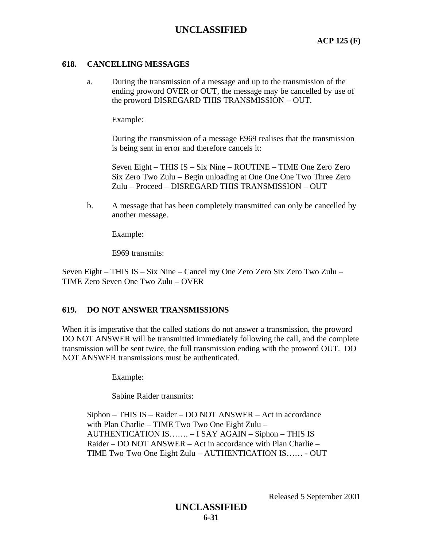## **618. CANCELLING MESSAGES**

a. During the transmission of a message and up to the transmission of the ending proword OVER or OUT, the message may be cancelled by use of the proword DISREGARD THIS TRANSMISSION – OUT.

Example:

During the transmission of a message E969 realises that the transmission is being sent in error and therefore cancels it:

Seven Eight – THIS IS – Six Nine – ROUTINE – TIME One Zero Zero Six Zero Two Zulu – Begin unloading at One One One Two Three Zero Zulu – Proceed – DISREGARD THIS TRANSMISSION – OUT

b. A message that has been completely transmitted can only be cancelled by another message.

Example:

E969 transmits:

Seven Eight – THIS IS – Six Nine – Cancel my One Zero Zero Six Zero Two Zulu – TIME Zero Seven One Two Zulu – OVER

# **619. DO NOT ANSWER TRANSMISSIONS**

When it is imperative that the called stations do not answer a transmission, the proword DO NOT ANSWER will be transmitted immediately following the call, and the complete transmission will be sent twice, the full transmission ending with the proword OUT. DO NOT ANSWER transmissions must be authenticated.

Example:

Sabine Raider transmits:

Siphon – THIS IS – Raider – DO NOT ANSWER – Act in accordance with Plan Charlie – TIME Two Two One Eight Zulu – AUTHENTICATION IS……. – I SAY AGAIN – Siphon – THIS IS Raider – DO NOT ANSWER – Act in accordance with Plan Charlie – TIME Two Two One Eight Zulu – AUTHENTICATION IS…… - OUT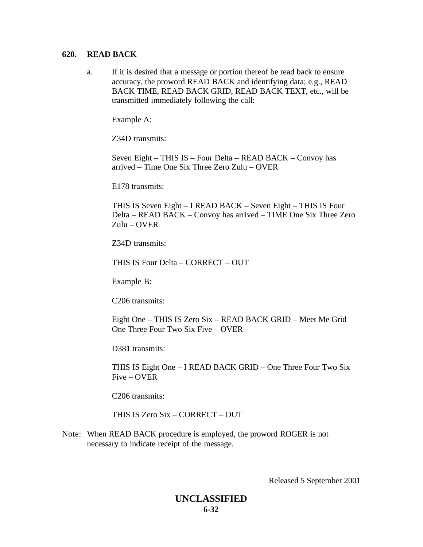#### **620. READ BACK**

a. If it is desired that a message or portion thereof be read back to ensure accuracy, the proword READ BACK and identifying data; e.g., READ BACK TIME, READ BACK GRID, READ BACK TEXT, etc., will be transmitted immediately following the call:

Example A:

Z34D transmits:

Seven Eight – THIS IS – Four Delta – READ BACK – Convoy has arrived – Time One Six Three Zero Zulu – OVER

E178 transmits:

THIS IS Seven Eight – I READ BACK – Seven Eight – THIS IS Four Delta – READ BACK – Convoy has arrived – TIME One Six Three Zero Zulu – OVER

Z34D transmits:

THIS IS Four Delta – CORRECT – OUT

Example B:

C206 transmits:

Eight One – THIS IS Zero Six – READ BACK GRID – Meet Me Grid One Three Four Two Six Five – OVER

D<sub>381</sub> transmits:

THIS IS Eight One – I READ BACK GRID – One Three Four Two Six Five – OVER

C206 transmits:

THIS IS Zero Six – CORRECT – OUT

Note: When READ BACK procedure is employed, the proword ROGER is not necessary to indicate receipt of the message.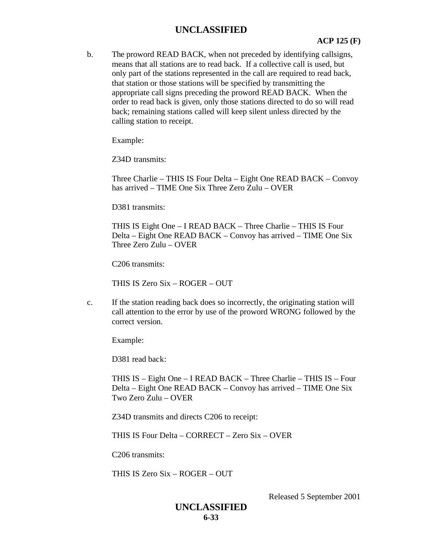b. The proword READ BACK, when not preceded by identifying callsigns, means that all stations are to read back. If a collective call is used, but only part of the stations represented in the call are required to read back, that station or those stations will be specified by transmitting the appropriate call signs preceding the proword READ BACK. When the order to read back is given, only those stations directed to do so will read back; remaining stations called will keep silent unless directed by the calling station to receipt.

Example:

Z34D transmits:

Three Charlie – THIS IS Four Delta – Eight One READ BACK – Convoy has arrived – TIME One Six Three Zero Zulu – OVER

D<sub>381</sub> transmits:

THIS IS Eight One – I READ BACK – Three Charlie – THIS IS Four Delta – Eight One READ BACK – Convoy has arrived – TIME One Six Three Zero Zulu – OVER

C206 transmits:

THIS IS Zero Six – ROGER – OUT

c. If the station reading back does so incorrectly, the originating station will call attention to the error by use of the proword WRONG followed by the correct version.

Example:

D<sub>381</sub> read back:

THIS IS – Eight One – I READ BACK – Three Charlie – THIS IS – Four Delta – Eight One READ BACK – Convoy has arrived – TIME One Six Two Zero Zulu – OVER

Z34D transmits and directs C206 to receipt:

THIS IS Four Delta – CORRECT – Zero Six – OVER

C206 transmits:

THIS IS Zero Six – ROGER – OUT

Released 5 September 2001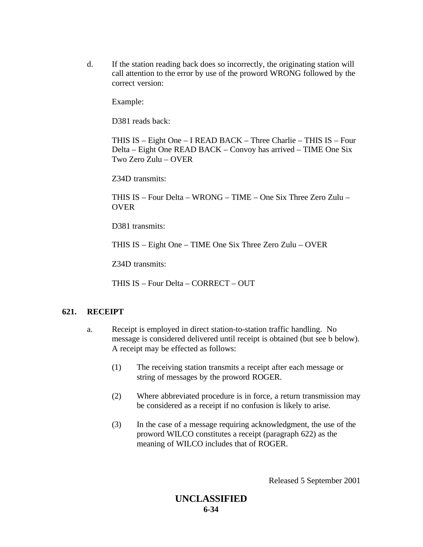d. If the station reading back does so incorrectly, the originating station will call attention to the error by use of the proword WRONG followed by the correct version:

Example:

D<sub>381</sub> reads back:

THIS IS – Eight One – I READ BACK – Three Charlie – THIS IS – Four Delta – Eight One READ BACK – Convoy has arrived – TIME One Six Two Zero Zulu – OVER

Z34D transmits:

THIS IS – Four Delta – WRONG – TIME – One Six Three Zero Zulu – **OVER** 

D<sub>381</sub> transmits:

THIS IS – Eight One – TIME One Six Three Zero Zulu – OVER

Z34D transmits:

THIS IS – Four Delta – CORRECT – OUT

#### **621. RECEIPT**

- a. Receipt is employed in direct station-to-station traffic handling. No message is considered delivered until receipt is obtained (but see b below). A receipt may be effected as follows:
	- (1) The receiving station transmits a receipt after each message or string of messages by the proword ROGER.
	- (2) Where abbreviated procedure is in force, a return transmission may be considered as a receipt if no confusion is likely to arise.
	- (3) In the case of a message requiring acknowledgment, the use of the proword WILCO constitutes a receipt (paragraph 622) as the meaning of WILCO includes that of ROGER.

Released 5 September 2001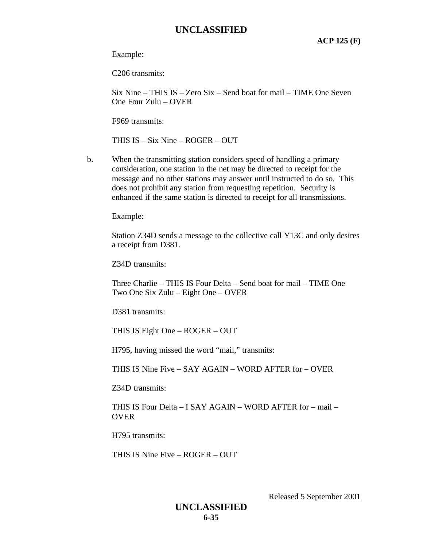Example:

C206 transmits:

Six Nine – THIS IS – Zero Six – Send boat for mail – TIME One Seven One Four Zulu – OVER

F969 transmits:

THIS IS – Six Nine – ROGER – OUT

b. When the transmitting station considers speed of handling a primary consideration, one station in the net may be directed to receipt for the message and no other stations may answer until instructed to do so. This does not prohibit any station from requesting repetition. Security is enhanced if the same station is directed to receipt for all transmissions.

Example:

Station Z34D sends a message to the collective call Y13C and only desires a receipt from D381.

Z34D transmits:

Three Charlie – THIS IS Four Delta – Send boat for mail – TIME One Two One Six Zulu – Eight One – OVER

D381 transmits:

THIS IS Eight One – ROGER – OUT

H795, having missed the word "mail," transmits:

THIS IS Nine Five – SAY AGAIN – WORD AFTER for – OVER

Z34D transmits:

THIS IS Four Delta – I SAY AGAIN – WORD AFTER for – mail – OVER

H795 transmits:

THIS IS Nine Five – ROGER – OUT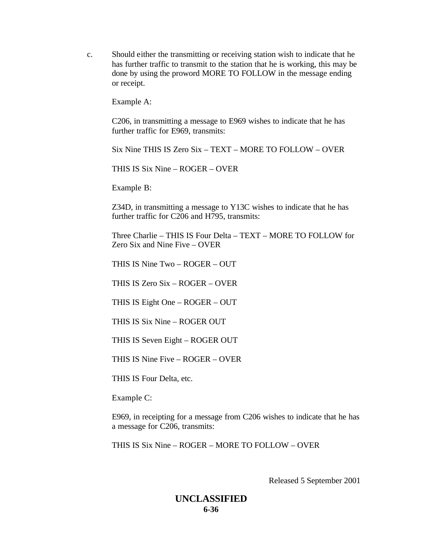c. Should either the transmitting or receiving station wish to indicate that he has further traffic to transmit to the station that he is working, this may be done by using the proword MORE TO FOLLOW in the message ending or receipt.

Example A:

C206, in transmitting a message to E969 wishes to indicate that he has further traffic for E969, transmits:

Six Nine THIS IS Zero Six – TEXT – MORE TO FOLLOW – OVER

THIS IS Six Nine – ROGER – OVER

Example B:

Z34D, in transmitting a message to Y13C wishes to indicate that he has further traffic for C206 and H795, transmits:

Three Charlie – THIS IS Four Delta – TEXT – MORE TO FOLLOW for Zero Six and Nine Five – OVER

THIS IS Nine Two – ROGER – OUT

THIS IS Zero Six – ROGER – OVER

THIS IS Eight One – ROGER – OUT

THIS IS Six Nine – ROGER OUT

THIS IS Seven Eight – ROGER OUT

THIS IS Nine Five – ROGER – OVER

THIS IS Four Delta, etc.

Example C:

E969, in receipting for a message from C206 wishes to indicate that he has a message for C206, transmits:

THIS IS Six Nine – ROGER – MORE TO FOLLOW – OVER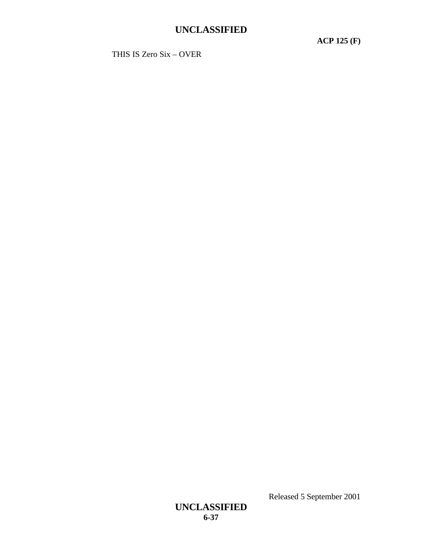**ACP 125 (F)**

THIS IS Zero Six – OVER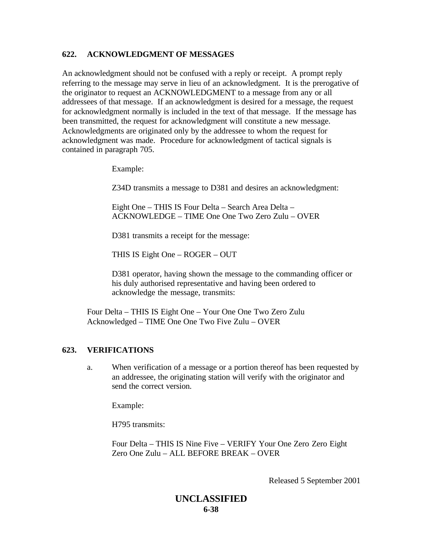## **622. ACKNOWLEDGMENT OF MESSAGES**

An acknowledgment should not be confused with a reply or receipt. A prompt reply referring to the message may serve in lieu of an acknowledgment. It is the prerogative of the originator to request an ACKNOWLEDGMENT to a message from any or all addressees of that message. If an acknowledgment is desired for a message, the request for acknowledgment normally is included in the text of that message. If the message has been transmitted, the request for acknowledgment will constitute a new message. Acknowledgments are originated only by the addressee to whom the request for acknowledgment was made. Procedure for acknowledgment of tactical signals is contained in paragraph 705.

Example:

Z34D transmits a message to D381 and desires an acknowledgment:

Eight One – THIS IS Four Delta – Search Area Delta – ACKNOWLEDGE – TIME One One Two Zero Zulu – OVER

D381 transmits a receipt for the message:

THIS IS Eight One – ROGER – OUT

D381 operator, having shown the message to the commanding officer or his duly authorised representative and having been ordered to acknowledge the message, transmits:

Four Delta – THIS IS Eight One – Your One One Two Zero Zulu Acknowledged – TIME One One Two Five Zulu – OVER

#### **623. VERIFICATIONS**

a. When verification of a message or a portion thereof has been requested by an addressee, the originating station will verify with the originator and send the correct version.

Example:

H795 transmits:

Four Delta – THIS IS Nine Five – VERIFY Your One Zero Zero Eight Zero One Zulu – ALL BEFORE BREAK – OVER

Released 5 September 2001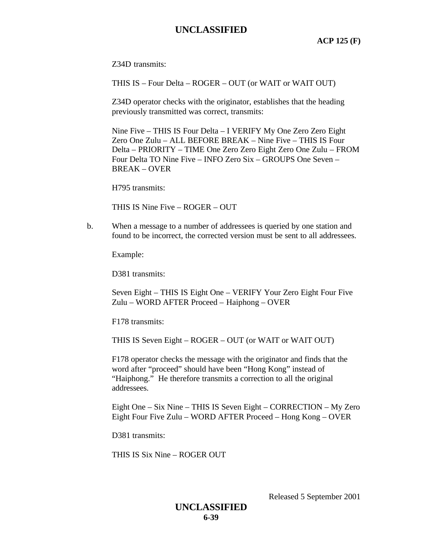Z34D transmits:

THIS IS – Four Delta – ROGER – OUT (or WAIT or WAIT OUT)

Z34D operator checks with the originator, establishes that the heading previously transmitted was correct, transmits:

Nine Five – THIS IS Four Delta – I VERIFY My One Zero Zero Eight Zero One Zulu – ALL BEFORE BREAK – Nine Five – THIS IS Four Delta – PRIORITY – TIME One Zero Zero Eight Zero One Zulu – FROM Four Delta TO Nine Five – INFO Zero Six – GROUPS One Seven – BREAK – OVER

H795 transmits:

THIS IS Nine Five – ROGER – OUT

b. When a message to a number of addressees is queried by one station and found to be incorrect, the corrected version must be sent to all addressees.

Example:

D381 transmits:

Seven Eight – THIS IS Eight One – VERIFY Your Zero Eight Four Five Zulu – WORD AFTER Proceed – Haiphong – OVER

F178 transmits:

THIS IS Seven Eight – ROGER – OUT (or WAIT or WAIT OUT)

F178 operator checks the message with the originator and finds that the word after "proceed" should have been "Hong Kong" instead of "Haiphong." He therefore transmits a correction to all the original addressees.

Eight One – Six Nine – THIS IS Seven Eight – CORRECTION – My Zero Eight Four Five Zulu – WORD AFTER Proceed – Hong Kong – OVER

D<sub>381</sub> transmits:

THIS IS Six Nine – ROGER OUT

Released 5 September 2001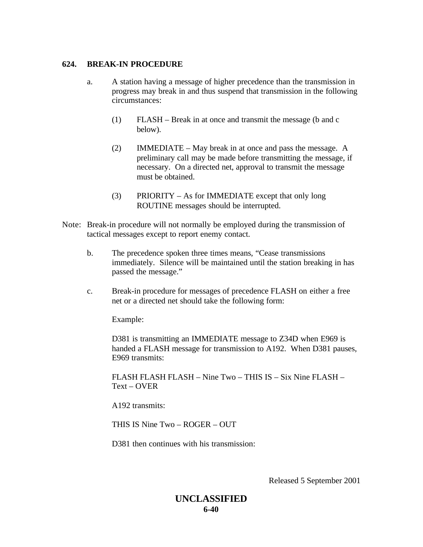## **624. BREAK-IN PROCEDURE**

- a. A station having a message of higher precedence than the transmission in progress may break in and thus suspend that transmission in the following circumstances:
	- (1) FLASH Break in at once and transmit the message (b and c below).
	- (2) IMMEDIATE May break in at once and pass the message. A preliminary call may be made before transmitting the message, if necessary. On a directed net, approval to transmit the message must be obtained.
	- (3) PRIORITY As for IMMEDIATE except that only long ROUTINE messages should be interrupted.
- Note: Break-in procedure will not normally be employed during the transmission of tactical messages except to report enemy contact.
	- b. The precedence spoken three times means, "Cease transmissions immediately. Silence will be maintained until the station breaking in has passed the message."
	- c. Break-in procedure for messages of precedence FLASH on either a free net or a directed net should take the following form:

Example:

D381 is transmitting an IMMEDIATE message to Z34D when E969 is handed a FLASH message for transmission to A192. When D381 pauses, E969 transmits:

FLASH FLASH FLASH – Nine Two – THIS IS – Six Nine FLASH – Text – OVER

A192 transmits:

THIS IS Nine Two – ROGER – OUT

D<sub>381</sub> then continues with his transmission: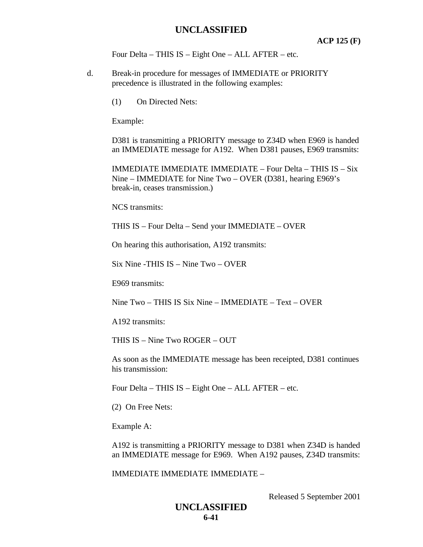Four Delta – THIS IS – Eight One – ALL AFTER – etc.

- d. Break-in procedure for messages of IMMEDIATE or PRIORITY precedence is illustrated in the following examples:
	- (1) On Directed Nets:

Example:

D381 is transmitting a PRIORITY message to Z34D when E969 is handed an IMMEDIATE message for A192. When D381 pauses, E969 transmits:

IMMEDIATE IMMEDIATE IMMEDIATE – Four Delta – THIS IS – Six Nine – IMMEDIATE for Nine Two – OVER (D381, hearing E969's break-in, ceases transmission.)

NCS transmits:

THIS IS – Four Delta – Send your IMMEDIATE – OVER

On hearing this authorisation, A192 transmits:

Six Nine -THIS IS – Nine Two – OVER

E969 transmits:

Nine Two – THIS IS Six Nine – IMMEDIATE – Text – OVER

A192 transmits:

THIS IS – Nine Two ROGER – OUT

As soon as the IMMEDIATE message has been receipted, D381 continues his transmission:

Four Delta – THIS IS – Eight One – ALL AFTER – etc.

(2) On Free Nets:

Example A:

A192 is transmitting a PRIORITY message to D381 when Z34D is handed an IMMEDIATE message for E969. When A192 pauses, Z34D transmits:

IMMEDIATE IMMEDIATE IMMEDIATE –

Released 5 September 2001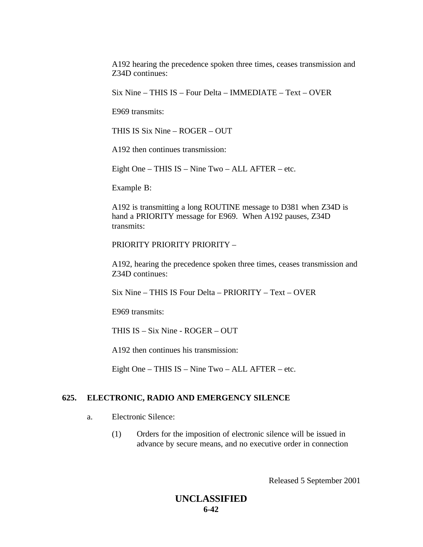A192 hearing the precedence spoken three times, ceases transmission and Z34D continues:

Six Nine – THIS IS – Four Delta – IMMEDIATE – Text – OVER

E969 transmits:

THIS IS Six Nine – ROGER – OUT

A192 then continues transmission:

Eight One – THIS IS – Nine Two – ALL AFTER – etc.

Example B:

A192 is transmitting a long ROUTINE message to D381 when Z34D is hand a PRIORITY message for E969. When A192 pauses, Z34D transmits:

PRIORITY PRIORITY PRIORITY –

A192, hearing the precedence spoken three times, ceases transmission and Z34D continues:

Six Nine – THIS IS Four Delta – PRIORITY – Text – OVER

E969 transmits:

THIS IS – Six Nine - ROGER – OUT

A192 then continues his transmission:

Eight One – THIS IS – Nine Two – ALL AFTER – etc.

#### **625. ELECTRONIC, RADIO AND EMERGENCY SILENCE**

- a. Electronic Silence:
	- (1) Orders for the imposition of electronic silence will be issued in advance by secure means, and no executive order in connection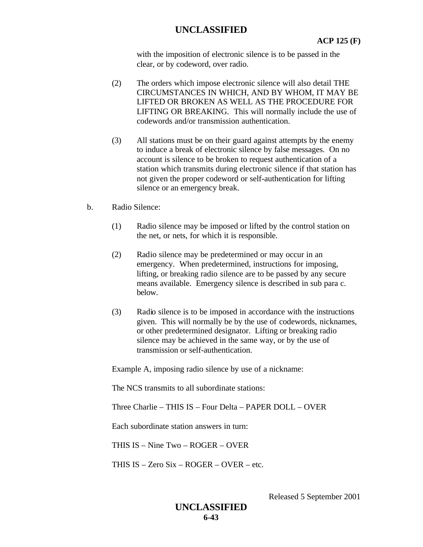with the imposition of electronic silence is to be passed in the clear, or by codeword, over radio.

- (2) The orders which impose electronic silence will also detail THE CIRCUMSTANCES IN WHICH, AND BY WHOM, IT MAY BE LIFTED OR BROKEN AS WELL AS THE PROCEDURE FOR LIFTING OR BREAKING. This will normally include the use of codewords and/or transmission authentication.
- (3) All stations must be on their guard against attempts by the enemy to induce a break of electronic silence by false messages. On no account is silence to be broken to request authentication of a station which transmits during electronic silence if that station has not given the proper codeword or self-authentication for lifting silence or an emergency break.
- b. Radio Silence:
	- (1) Radio silence may be imposed or lifted by the control station on the net, or nets, for which it is responsible.
	- (2) Radio silence may be predetermined or may occur in an emergency. When predetermined, instructions for imposing, lifting, or breaking radio silence are to be passed by any secure means available. Emergency silence is described in sub para c. below.
	- (3) Radio silence is to be imposed in accordance with the instructions given. This will normally be by the use of codewords, nicknames, or other predetermined designator. Lifting or breaking radio silence may be achieved in the same way, or by the use of transmission or self-authentication.

Example A, imposing radio silence by use of a nickname:

The NCS transmits to all subordinate stations:

Three Charlie – THIS IS – Four Delta – PAPER DOLL – OVER

Each subordinate station answers in turn:

THIS IS – Nine Two – ROGER – OVER

THIS IS – Zero Six – ROGER – OVER – etc.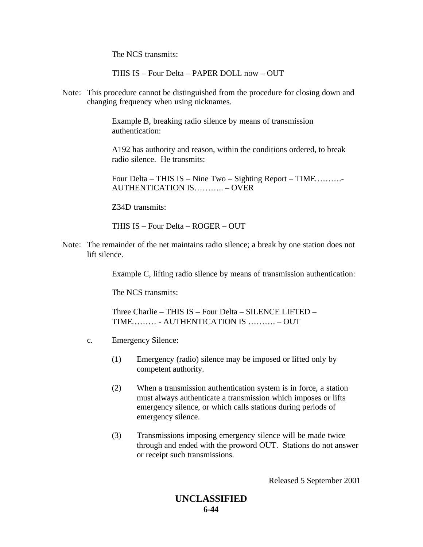The NCS transmits:

THIS IS – Four Delta – PAPER DOLL now – OUT

Note: This procedure cannot be distinguished from the procedure for closing down and changing frequency when using nicknames.

> Example B, breaking radio silence by means of transmission authentication:

A192 has authority and reason, within the conditions ordered, to break radio silence. He transmits:

Four Delta – THIS IS – Nine Two – Sighting Report – TIME……….- AUTHENTICATION IS……….. – OVER

Z34D transmits:

THIS IS – Four Delta – ROGER – OUT

Note: The remainder of the net maintains radio silence; a break by one station does not lift silence.

Example C, lifting radio silence by means of transmission authentication:

The NCS transmits:

Three Charlie – THIS IS – Four Delta – SILENCE LIFTED – TIME……… - AUTHENTICATION IS ………. – OUT

- c. Emergency Silence:
	- (1) Emergency (radio) silence may be imposed or lifted only by competent authority.
	- (2) When a transmission authentication system is in force, a station must always authenticate a transmission which imposes or lifts emergency silence, or which calls stations during periods of emergency silence.
	- (3) Transmissions imposing emergency silence will be made twice through and ended with the proword OUT. Stations do not answer or receipt such transmissions.

Released 5 September 2001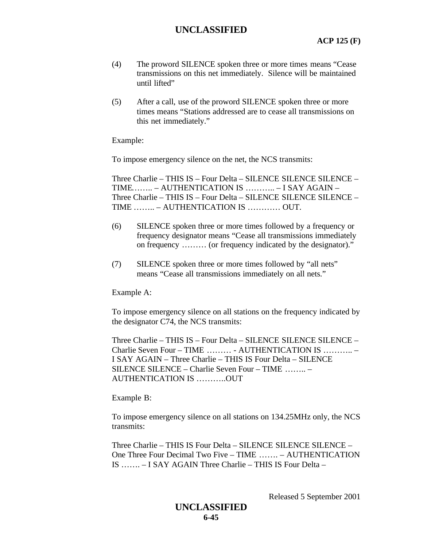- (4) The proword SILENCE spoken three or more times means "Cease transmissions on this net immediately. Silence will be maintained until lifted"
- (5) After a call, use of the proword SILENCE spoken three or more times means "Stations addressed are to cease all transmissions on this net immediately."

Example:

To impose emergency silence on the net, the NCS transmits:

Three Charlie – THIS IS – Four Delta – SILENCE SILENCE SILENCE – TIME…….. – AUTHENTICATION IS ……….. – I SAY AGAIN – Three Charlie – THIS IS – Four Delta – SILENCE SILENCE SILENCE – TIME …….. – AUTHENTICATION IS ………… OUT.

- (6) SILENCE spoken three or more times followed by a frequency or frequency designator means "Cease all transmissions immediately on frequency ……… (or frequency indicated by the designator)."
- (7) SILENCE spoken three or more times followed by "all nets" means "Cease all transmissions immediately on all nets."

Example A:

To impose emergency silence on all stations on the frequency indicated by the designator C74, the NCS transmits:

Three Charlie – THIS IS – Four Delta – SILENCE SILENCE SILENCE – Charlie Seven Four – TIME ……… - AUTHENTICATION IS ……….. – I SAY AGAIN – Three Charlie – THIS IS Four Delta – SILENCE SILENCE SILENCE – Charlie Seven Four – TIME …….. – AUTHENTICATION IS ………..OUT

Example B:

To impose emergency silence on all stations on 134.25MHz only, the NCS transmits:

Three Charlie – THIS IS Four Delta – SILENCE SILENCE SILENCE – One Three Four Decimal Two Five – TIME ……. – AUTHENTICATION IS ……. – I SAY AGAIN Three Charlie – THIS IS Four Delta –

Released 5 September 2001

## **UNCLASSIFIED 6-45**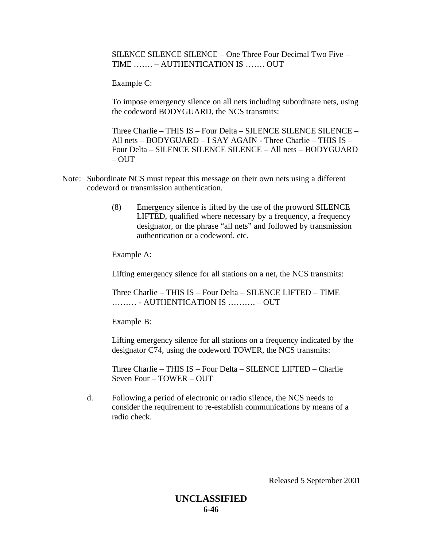SILENCE SILENCE SILENCE – One Three Four Decimal Two Five – TIME ……. – AUTHENTICATION IS ……. OUT

Example C:

To impose emergency silence on all nets including subordinate nets, using the codeword BODYGUARD, the NCS transmits:

Three Charlie – THIS IS – Four Delta – SILENCE SILENCE SILENCE – All nets – BODYGUARD – I SAY AGAIN - Three Charlie – THIS IS – Four Delta – SILENCE SILENCE SILENCE – All nets – BODYGUARD  $-$  OUT

- Note: Subordinate NCS must repeat this message on their own nets using a different codeword or transmission authentication.
	- (8) Emergency silence is lifted by the use of the proword SILENCE LIFTED, qualified where necessary by a frequency, a frequency designator, or the phrase "all nets" and followed by transmission authentication or a codeword, etc.

Example A:

Lifting emergency silence for all stations on a net, the NCS transmits:

Three Charlie – THIS IS – Four Delta – SILENCE LIFTED – TIME ……… - AUTHENTICATION IS ………. – OUT

Example B:

Lifting emergency silence for all stations on a frequency indicated by the designator C74, using the codeword TOWER, the NCS transmits:

Three Charlie – THIS IS – Four Delta – SILENCE LIFTED – Charlie Seven Four – TOWER – OUT

d. Following a period of electronic or radio silence, the NCS needs to consider the requirement to re-establish communications by means of a radio check.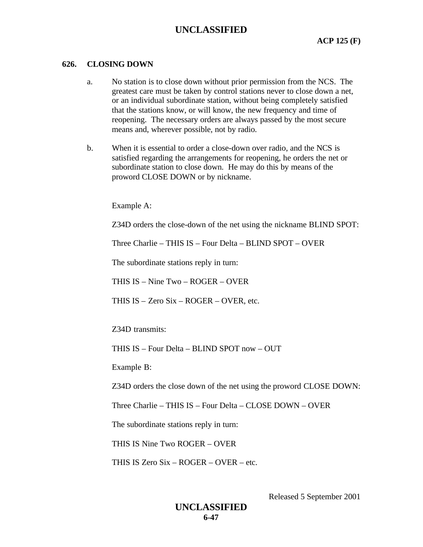### **626. CLOSING DOWN**

- a. No station is to close down without prior permission from the NCS. The greatest care must be taken by control stations never to close down a net, or an individual subordinate station, without being completely satisfied that the stations know, or will know, the new frequency and time of reopening. The necessary orders are always passed by the most secure means and, wherever possible, not by radio.
- b. When it is essential to order a close-down over radio, and the NCS is satisfied regarding the arrangements for reopening, he orders the net or subordinate station to close down. He may do this by means of the proword CLOSE DOWN or by nickname.

Example A:

Z34D orders the close-down of the net using the nickname BLIND SPOT:

Three Charlie – THIS IS – Four Delta – BLIND SPOT – OVER

The subordinate stations reply in turn:

THIS IS – Nine Two – ROGER – OVER

THIS IS – Zero Six – ROGER – OVER, etc.

Z34D transmits:

THIS IS – Four Delta – BLIND SPOT now – OUT

Example B:

Z34D orders the close down of the net using the proword CLOSE DOWN:

Three Charlie – THIS IS – Four Delta – CLOSE DOWN – OVER

The subordinate stations reply in turn:

THIS IS Nine Two ROGER – OVER

THIS IS Zero Six – ROGER – OVER – etc.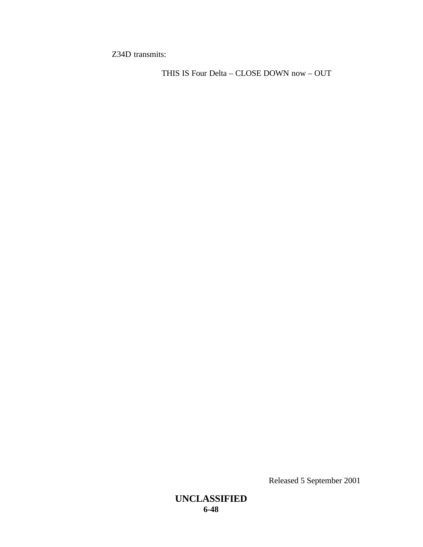Z34D transmits:

THIS IS Four Delta – CLOSE DOWN now – OUT

Released 5 September 2001

**UNCLASSIFIED 6-48**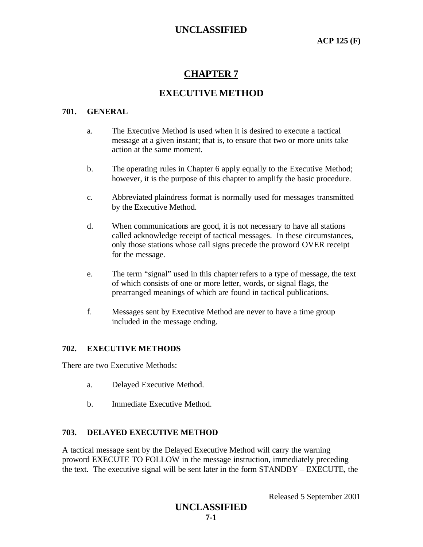# **CHAPTER 7**

## **EXECUTIVE METHOD**

### **701. GENERAL**

- a. The Executive Method is used when it is desired to execute a tactical message at a given instant; that is, to ensure that two or more units take action at the same moment.
- b. The operating rules in Chapter 6 apply equally to the Executive Method; however, it is the purpose of this chapter to amplify the basic procedure.
- c. Abbreviated plaindress format is normally used for messages transmitted by the Executive Method.
- d. When communications are good, it is not necessary to have all stations called acknowledge receipt of tactical messages. In these circumstances, only those stations whose call signs precede the proword OVER receipt for the message.
- e. The term "signal" used in this chapter refers to a type of message, the text of which consists of one or more letter, words, or signal flags, the prearranged meanings of which are found in tactical publications.
- f. Messages sent by Executive Method are never to have a time group included in the message ending.

### **702. EXECUTIVE METHODS**

There are two Executive Methods:

- a. Delayed Executive Method.
- b. Immediate Executive Method.

### **703. DELAYED EXECUTIVE METHOD**

A tactical message sent by the Delayed Executive Method will carry the warning proword EXECUTE TO FOLLOW in the message instruction, immediately preceding the text. The executive signal will be sent later in the form STANDBY – EXECUTE, the

Released 5 September 2001

## **UNCLASSIFIED 7-1**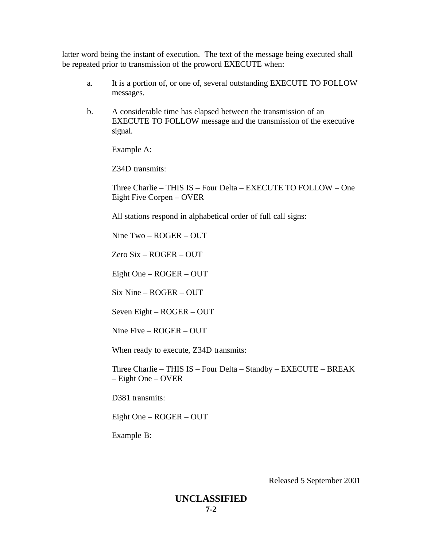latter word being the instant of execution. The text of the message being executed shall be repeated prior to transmission of the proword EXECUTE when:

- a. It is a portion of, or one of, several outstanding EXECUTE TO FOLLOW messages.
- b. A considerable time has elapsed between the transmission of an EXECUTE TO FOLLOW message and the transmission of the executive signal.

Example A:

Z34D transmits:

Three Charlie – THIS IS – Four Delta – EXECUTE TO FOLLOW – One Eight Five Corpen – OVER

All stations respond in alphabetical order of full call signs:

Nine Two – ROGER – OUT

Zero Six – ROGER – OUT

Eight One – ROGER – OUT

Six Nine – ROGER – OUT

Seven Eight – ROGER – OUT

Nine Five – ROGER – OUT

When ready to execute, Z34D transmits:

Three Charlie – THIS IS – Four Delta – Standby – EXECUTE – BREAK – Eight One – OVER

D<sub>381</sub> transmits:

Eight One – ROGER – OUT

Example B: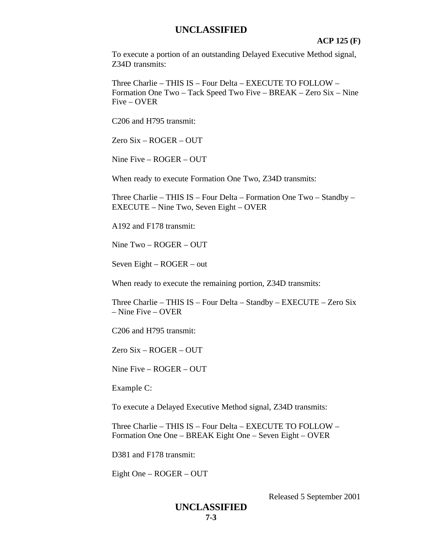To execute a portion of an outstanding Delayed Executive Method signal, Z34D transmits:

Three Charlie – THIS IS – Four Delta – EXECUTE TO FOLLOW – Formation One Two – Tack Speed Two Five – BREAK – Zero Six – Nine Five – OVER

C206 and H795 transmit:

Zero Six – ROGER – OUT

Nine Five – ROGER – OUT

When ready to execute Formation One Two, Z34D transmits:

Three Charlie – THIS IS – Four Delta – Formation One Two – Standby – EXECUTE – Nine Two, Seven Eight – OVER

A192 and F178 transmit:

Nine Two – ROGER – OUT

Seven Eight – ROGER – out

When ready to execute the remaining portion, Z34D transmits:

Three Charlie – THIS IS – Four Delta – Standby – EXECUTE – Zero Six – Nine Five – OVER

C206 and H795 transmit:

Zero Six – ROGER – OUT

Nine Five – ROGER – OUT

Example C:

To execute a Delayed Executive Method signal, Z34D transmits:

Three Charlie – THIS IS – Four Delta – EXECUTE TO FOLLOW – Formation One One – BREAK Eight One – Seven Eight – OVER

D381 and F178 transmit:

Eight One – ROGER – OUT

Released 5 September 2001

### **UNCLASSIFIED 7-3**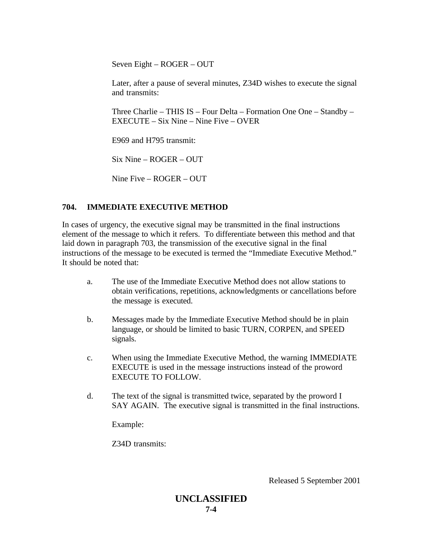Seven Eight – ROGER – OUT

Later, after a pause of several minutes, Z34D wishes to execute the signal and transmits:

Three Charlie – THIS IS – Four Delta – Formation One One – Standby – EXECUTE – Six Nine – Nine Five – OVER

E969 and H795 transmit:

Six Nine – ROGER – OUT

Nine Five – ROGER – OUT

## **704. IMMEDIATE EXECUTIVE METHOD**

In cases of urgency, the executive signal may be transmitted in the final instructions element of the message to which it refers. To differentiate between this method and that laid down in paragraph 703, the transmission of the executive signal in the final instructions of the message to be executed is termed the "Immediate Executive Method." It should be noted that:

- a. The use of the Immediate Executive Method does not allow stations to obtain verifications, repetitions, acknowledgments or cancellations before the message is executed.
- b. Messages made by the Immediate Executive Method should be in plain language, or should be limited to basic TURN, CORPEN, and SPEED signals.
- c. When using the Immediate Executive Method, the warning IMMEDIATE EXECUTE is used in the message instructions instead of the proword EXECUTE TO FOLLOW.
- d. The text of the signal is transmitted twice, separated by the proword I SAY AGAIN. The executive signal is transmitted in the final instructions.

Example:

Z34D transmits: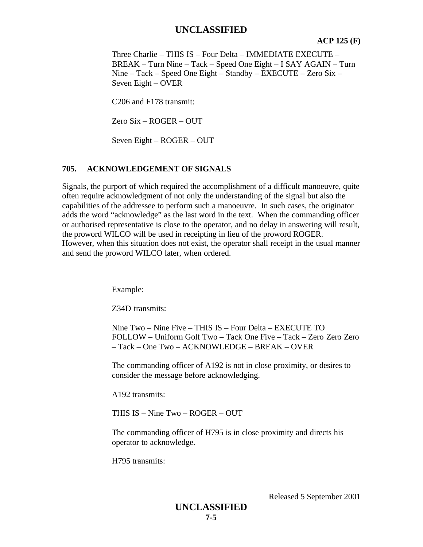Three Charlie – THIS IS – Four Delta – IMMEDIATE EXECUTE – BREAK – Turn Nine – Tack – Speed One Eight – I SAY AGAIN – Turn Nine – Tack – Speed One Eight – Standby – EXECUTE – Zero Six – Seven Eight – OVER

C206 and F178 transmit:

Zero Six – ROGER – OUT

Seven Eight – ROGER – OUT

### **705. ACKNOWLEDGEMENT OF SIGNALS**

Signals, the purport of which required the accomplishment of a difficult manoeuvre, quite often require acknowledgment of not only the understanding of the signal but also the capabilities of the addressee to perform such a manoeuvre. In such cases, the originator adds the word "acknowledge" as the last word in the text. When the commanding officer or authorised representative is close to the operator, and no delay in answering will result, the proword WILCO will be used in receipting in lieu of the proword ROGER. However, when this situation does not exist, the operator shall receipt in the usual manner and send the proword WILCO later, when ordered.

Example:

Z34D transmits:

Nine Two – Nine Five – THIS IS – Four Delta – EXECUTE TO FOLLOW – Uniform Golf Two – Tack One Five – Tack – Zero Zero Zero – Tack – One Two – ACKNOWLEDGE – BREAK – OVER

The commanding officer of A192 is not in close proximity, or desires to consider the message before acknowledging.

A192 transmits:

THIS IS – Nine Two – ROGER – OUT

The commanding officer of H795 is in close proximity and directs his operator to acknowledge.

H795 transmits:

Released 5 September 2001

### **UNCLASSIFIED 7-5**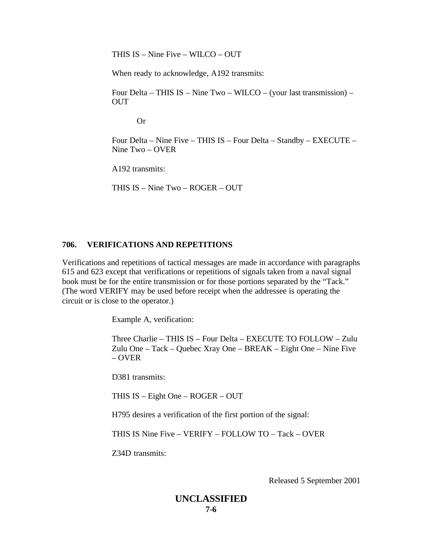THIS IS – Nine Five – WILCO – OUT

When ready to acknowledge, A192 transmits:

Four Delta – THIS IS – Nine Two – WILCO – (your last transmission) – **OUT** 

Or

Four Delta – Nine Five – THIS IS – Four Delta – Standby – EXECUTE – Nine Two – OVER

A192 transmits:

THIS IS – Nine Two – ROGER – OUT

#### **706. VERIFICATIONS AND REPETITIONS**

Verifications and repetitions of tactical messages are made in accordance with paragraphs 615 and 623 except that verifications or repetitions of signals taken from a naval signal book must be for the entire transmission or for those portions separated by the "Tack." (The word VERIFY may be used before receipt when the addressee is operating the circuit or is close to the operator.)

Example A, verification:

Three Charlie – THIS IS – Four Delta – EXECUTE TO FOLLOW – Zulu Zulu One – Tack – Quebec Xray One – BREAK – Eight One – Nine Five – OVER

D<sub>381</sub> transmits:

THIS IS – Eight One – ROGER – OUT

H795 desires a verification of the first portion of the signal:

THIS IS Nine Five – VERIFY – FOLLOW TO – Tack – OVER

Z34D transmits: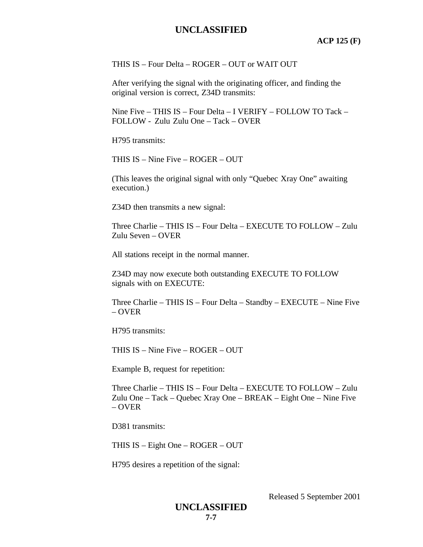THIS IS – Four Delta – ROGER – OUT or WAIT OUT

After verifying the signal with the originating officer, and finding the original version is correct, Z34D transmits:

Nine Five – THIS IS – Four Delta – I VERIFY – FOLLOW TO Tack – FOLLOW - Zulu Zulu One – Tack – OVER

H795 transmits:

THIS IS – Nine Five – ROGER – OUT

(This leaves the original signal with only "Quebec Xray One" awaiting execution.)

Z34D then transmits a new signal:

Three Charlie – THIS IS – Four Delta – EXECUTE TO FOLLOW – Zulu Zulu Seven – OVER

All stations receipt in the normal manner.

Z34D may now execute both outstanding EXECUTE TO FOLLOW signals with on EXECUTE:

Three Charlie – THIS IS – Four Delta – Standby – EXECUTE – Nine Five – OVER

H795 transmits:

THIS IS – Nine Five – ROGER – OUT

Example B, request for repetition:

Three Charlie – THIS IS – Four Delta – EXECUTE TO FOLLOW – Zulu Zulu One – Tack – Quebec Xray One – BREAK – Eight One – Nine Five – OVER

D381 transmits:

THIS IS – Eight One – ROGER – OUT

H795 desires a repetition of the signal: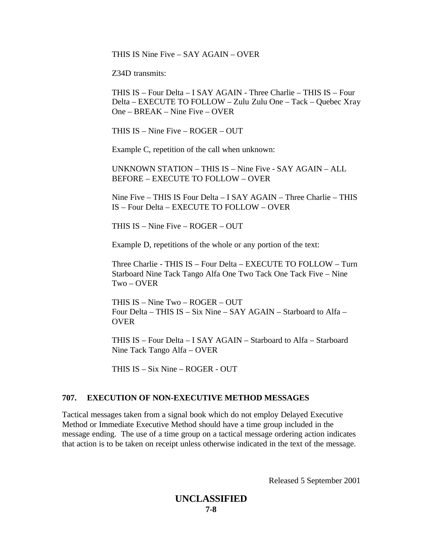THIS IS Nine Five – SAY AGAIN – OVER

Z34D transmits:

THIS IS – Four Delta – I SAY AGAIN - Three Charlie – THIS IS – Four Delta – EXECUTE TO FOLLOW – Zulu Zulu One – Tack – Quebec Xray One – BREAK – Nine Five – OVER

THIS IS – Nine Five – ROGER – OUT

Example C, repetition of the call when unknown:

UNKNOWN STATION – THIS IS – Nine Five - SAY AGAIN – ALL BEFORE – EXECUTE TO FOLLOW – OVER

Nine Five – THIS IS Four Delta – I SAY AGAIN – Three Charlie – THIS IS – Four Delta – EXECUTE TO FOLLOW – OVER

THIS IS – Nine Five – ROGER – OUT

Example D, repetitions of the whole or any portion of the text:

Three Charlie - THIS IS – Four Delta – EXECUTE TO FOLLOW – Turn Starboard Nine Tack Tango Alfa One Two Tack One Tack Five – Nine Two – OVER

THIS IS – Nine Two – ROGER – OUT Four Delta – THIS IS – Six Nine – SAY AGAIN – Starboard to Alfa – **OVER** 

THIS IS – Four Delta – I SAY AGAIN – Starboard to Alfa – Starboard Nine Tack Tango Alfa – OVER

THIS IS – Six Nine – ROGER - OUT

#### **707. EXECUTION OF NON-EXECUTIVE METHOD MESSAGES**

Tactical messages taken from a signal book which do not employ Delayed Executive Method or Immediate Executive Method should have a time group included in the message ending. The use of a time group on a tactical message ordering action indicates that action is to be taken on receipt unless otherwise indicated in the text of the message.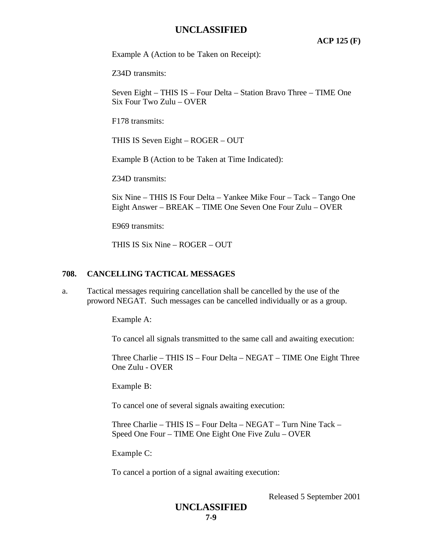Example A (Action to be Taken on Receipt):

Z34D transmits:

Seven Eight – THIS IS – Four Delta – Station Bravo Three – TIME One Six Four Two Zulu – OVER

F178 transmits:

THIS IS Seven Eight – ROGER – OUT

Example B (Action to be Taken at Time Indicated):

Z34D transmits:

Six Nine – THIS IS Four Delta – Yankee Mike Four – Tack – Tango One Eight Answer – BREAK – TIME One Seven One Four Zulu – OVER

E969 transmits:

THIS IS Six Nine – ROGER – OUT

### **708. CANCELLING TACTICAL MESSAGES**

a. Tactical messages requiring cancellation shall be cancelled by the use of the proword NEGAT. Such messages can be cancelled individually or as a group.

Example A:

To cancel all signals transmitted to the same call and awaiting execution:

Three Charlie – THIS IS – Four Delta – NEGAT – TIME One Eight Three One Zulu - OVER

Example B:

To cancel one of several signals awaiting execution:

Three Charlie – THIS IS – Four Delta – NEGAT – Turn Nine Tack – Speed One Four – TIME One Eight One Five Zulu – OVER

Example C:

To cancel a portion of a signal awaiting execution:

Released 5 September 2001

### **UNCLASSIFIED 7-9**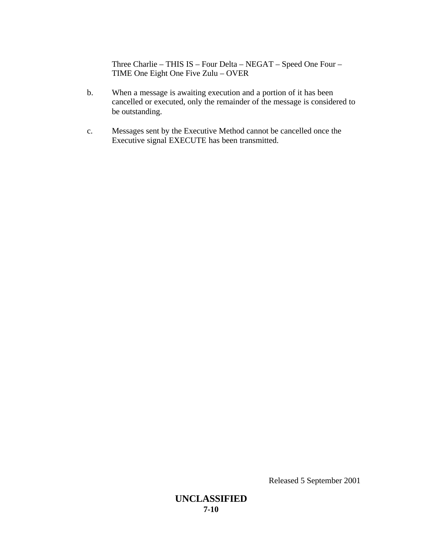Three Charlie – THIS IS – Four Delta – NEGAT – Speed One Four – TIME One Eight One Five Zulu – OVER

- b. When a message is awaiting execution and a portion of it has been cancelled or executed, only the remainder of the message is considered to be outstanding.
- c. Messages sent by the Executive Method cannot be cancelled once the Executive signal EXECUTE has been transmitted.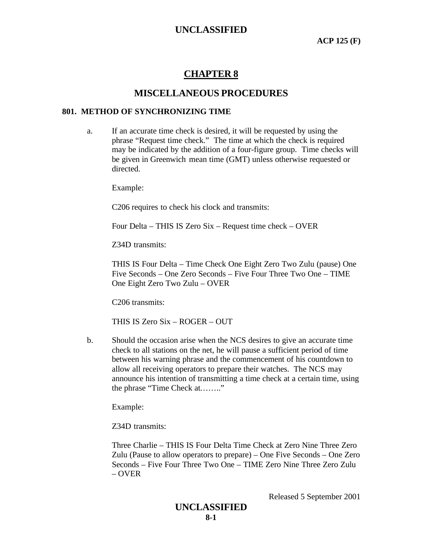**ACP 125 (F)**

## **CHAPTER 8**

## **MISCELLANEOUS PROCEDURES**

#### **801. METHOD OF SYNCHRONIZING TIME**

a. If an accurate time check is desired, it will be requested by using the phrase "Request time check." The time at which the check is required may be indicated by the addition of a four-figure group. Time checks will be given in Greenwich mean time (GMT) unless otherwise requested or directed.

Example:

C206 requires to check his clock and transmits:

Four Delta – THIS IS Zero Six – Request time check – OVER

Z34D transmits:

THIS IS Four Delta – Time Check One Eight Zero Two Zulu (pause) One Five Seconds – One Zero Seconds – Five Four Three Two One – TIME One Eight Zero Two Zulu – OVER

C206 transmits:

THIS IS Zero Six – ROGER – OUT

b. Should the occasion arise when the NCS desires to give an accurate time check to all stations on the net, he will pause a sufficient period of time between his warning phrase and the commencement of his countdown to allow all receiving operators to prepare their watches. The NCS may announce his intention of transmitting a time check at a certain time, using the phrase "Time Check at…….."

Example:

Z34D transmits:

Three Charlie – THIS IS Four Delta Time Check at Zero Nine Three Zero Zulu (Pause to allow operators to prepare) – One Five Seconds – One Zero Seconds – Five Four Three Two One – TIME Zero Nine Three Zero Zulu – OVER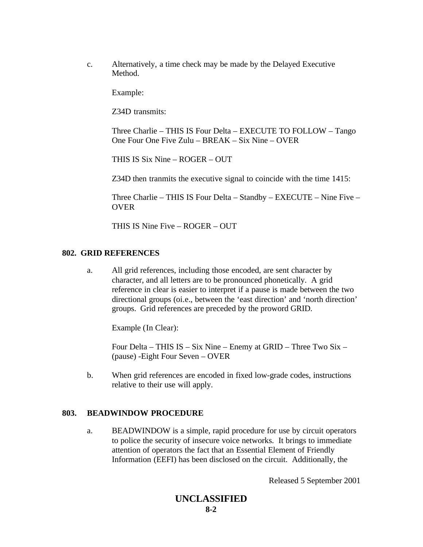c. Alternatively, a time check may be made by the Delayed Executive Method.

Example:

Z34D transmits:

Three Charlie – THIS IS Four Delta – EXECUTE TO FOLLOW – Tango One Four One Five Zulu – BREAK – Six Nine – OVER

THIS IS Six Nine – ROGER – OUT

Z34D then tranmits the executive signal to coincide with the time 1415:

Three Charlie – THIS IS Four Delta – Standby – EXECUTE – Nine Five – **OVER** 

THIS IS Nine Five – ROGER – OUT

#### **802. GRID REFERENCES**

a. All grid references, including those encoded, are sent character by character, and all letters are to be pronounced phonetically. A grid reference in clear is easier to interpret if a pause is made between the two directional groups (oi.e., between the 'east direction' and 'north direction' groups. Grid references are preceded by the proword GRID.

Example (In Clear):

Four Delta – THIS IS – Six Nine – Enemy at GRID – Three Two Six – (pause) -Eight Four Seven – OVER

b. When grid references are encoded in fixed low-grade codes, instructions relative to their use will apply.

### **803. BEADWINDOW PROCEDURE**

a. BEADWINDOW is a simple, rapid procedure for use by circuit operators to police the security of insecure voice networks. It brings to immediate attention of operators the fact that an Essential Element of Friendly Information (EEFI) has been disclosed on the circuit. Additionally, the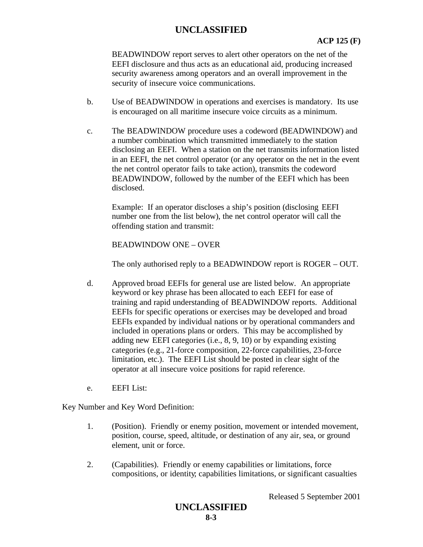BEADWINDOW report serves to alert other operators on the net of the EEFI disclosure and thus acts as an educational aid, producing increased security awareness among operators and an overall improvement in the security of insecure voice communications.

- b. Use of BEADWINDOW in operations and exercises is mandatory. Its use is encouraged on all maritime insecure voice circuits as a minimum.
- c. The BEADWINDOW procedure uses a codeword (BEADWINDOW) and a number combination which transmitted immediately to the station disclosing an EEFI. When a station on the net transmits information listed in an EEFI, the net control operator (or any operator on the net in the event the net control operator fails to take action), transmits the codeword BEADWINDOW, followed by the number of the EEFI which has been disclosed.

Example: If an operator discloses a ship's position (disclosing EEFI number one from the list below), the net control operator will call the offending station and transmit:

### BEADWINDOW ONE – OVER

The only authorised reply to a BEADWINDOW report is ROGER – OUT.

- d. Approved broad EEFIs for general use are listed below. An appropriate keyword or key phrase has been allocated to each EEFI for ease of training and rapid understanding of BEADWINDOW reports. Additional EEFIs for specific operations or exercises may be developed and broad EEFIs expanded by individual nations or by operational commanders and included in operations plans or orders. This may be accomplished by adding new EEFI categories (i.e., 8, 9, 10) or by expanding existing categories (e.g., 21-force composition, 22-force capabilities, 23-force limitation, etc.). The EEFI List should be posted in clear sight of the operator at all insecure voice positions for rapid reference.
- e. EEFI List:

Key Number and Key Word Definition:

- 1. (Position). Friendly or enemy position, movement or intended movement, position, course, speed, altitude, or destination of any air, sea, or ground element, unit or force.
- 2. (Capabilities). Friendly or enemy capabilities or limitations, force compositions, or identity; capabilities limitations, or significant casualties

Released 5 September 2001

## **UNCLASSIFIED 8-3**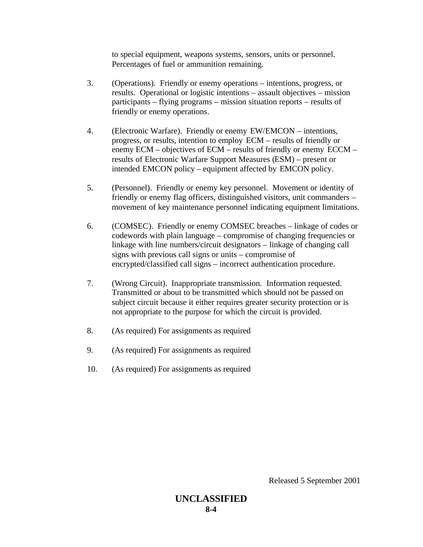to special equipment, weapons systems, sensors, units or personnel. Percentages of fuel or ammunition remaining.

- 3. (Operations). Friendly or enemy operations intentions, progress, or results. Operational or logistic intentions – assault objectives – mission participants – flying programs – mission situation reports – results of friendly or enemy operations.
- 4. (Electronic Warfare). Friendly or enemy EW/EMCON intentions, progress, or results, intention to employ ECM – results of friendly or enemy ECM – objectives of ECM – results of friendly or enemy ECCM – results of Electronic Warfare Support Measures (ESM) – present or intended EMCON policy – equipment affected by EMCON policy.
- 5. (Personnel). Friendly or enemy key personnel. Movement or identity of friendly or enemy flag officers, distinguished visitors, unit commanders – movement of key maintenance personnel indicating equipment limitations.
- 6. (COMSEC). Friendly or enemy COMSEC breaches linkage of codes or codewords with plain language – compromise of changing frequencies or linkage with line numbers/circuit designators – linkage of changing call signs with previous call signs or units – compromise of encrypted/classified call signs – incorrect authentication procedure.
- 7. (Wrong Circuit). Inappropriate transmission. Information requested. Transmitted or about to be transmitted which should not be passed on subject circuit because it either requires greater security protection or is not appropriate to the purpose for which the circuit is provided.
- 8. (As required) For assignments as required
- 9. (As required) For assignments as required
- 10. (As required) For assignments as required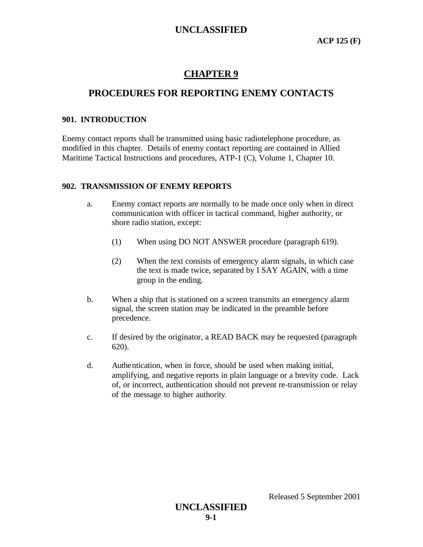## **CHAPTER 9**

## **PROCEDURES FOR REPORTING ENEMY CONTACTS**

#### **901. INTRODUCTION**

Enemy contact reports shall be transmitted using basic radiotelephone procedure, as modified in this chapter. Details of enemy contact reporting are contained in Allied Maritime Tactical Instructions and procedures, ATP-1 (C), Volume 1, Chapter 10.

#### **902. TRANSMISSION OF ENEMY REPORTS**

- a. Enemy contact reports are normally to be made once only when in direct communication with officer in tactical command, higher authority, or shore radio station, except:
	- (1) When using DO NOT ANSWER procedure (paragraph 619).
	- (2) When the text consists of emergency alarm signals, in which case the text is made twice, separated by I SAY AGAIN, with a time group in the ending.
- b. When a ship that is stationed on a screen transmits an emergency alarm signal, the screen station may be indicated in the preamble before precedence.
- c. If desired by the originator, a READ BACK may be requested (paragraph 620).
- d. Authentication, when in force, should be used when making initial, amplifying, and negative reports in plain language or a brevity code. Lack of, or incorrect, authentication should not prevent re-transmission or relay of the message to higher authority.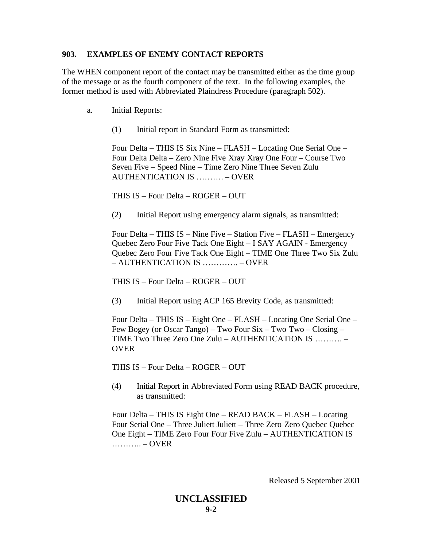#### **903. EXAMPLES OF ENEMY CONTACT REPORTS**

The WHEN component report of the contact may be transmitted either as the time group of the message or as the fourth component of the text. In the following examples, the former method is used with Abbreviated Plaindress Procedure (paragraph 502).

- a. Initial Reports:
	- (1) Initial report in Standard Form as transmitted:

Four Delta – THIS IS Six Nine – FLASH – Locating One Serial One – Four Delta Delta – Zero Nine Five Xray Xray One Four – Course Two Seven Five – Speed Nine – Time Zero Nine Three Seven Zulu AUTHENTICATION IS ………. – OVER

THIS IS – Four Delta – ROGER – OUT

(2) Initial Report using emergency alarm signals, as transmitted:

Four Delta – THIS IS – Nine Five – Station Five – FLASH – Emergency Quebec Zero Four Five Tack One Eight – I SAY AGAIN - Emergency Quebec Zero Four Five Tack One Eight – TIME One Three Two Six Zulu – AUTHENTICATION IS …………. – OVER

THIS IS – Four Delta – ROGER – OUT

(3) Initial Report using ACP 165 Brevity Code, as transmitted:

Four Delta – THIS IS – Eight One – FLASH – Locating One Serial One – Few Bogey (or Oscar Tango) – Two Four Six – Two Two – Closing – TIME Two Three Zero One Zulu – AUTHENTICATION IS ………. – **OVER** 

THIS IS – Four Delta – ROGER – OUT

(4) Initial Report in Abbreviated Form using READ BACK procedure, as transmitted:

Four Delta – THIS IS Eight One – READ BACK – FLASH – Locating Four Serial One – Three Juliett Juliett – Three Zero Zero Quebec Quebec One Eight – TIME Zero Four Four Five Zulu – AUTHENTICATION IS ……….. – OVER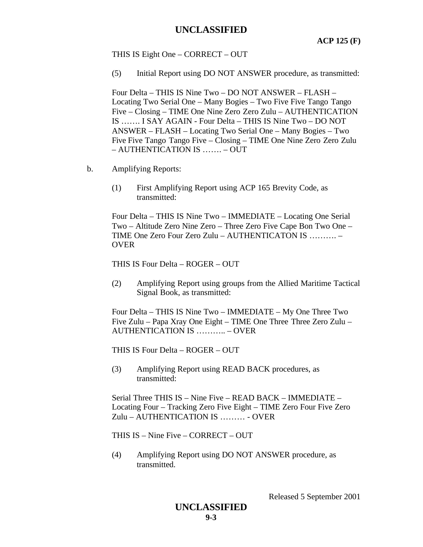THIS IS Eight One – CORRECT – OUT

(5) Initial Report using DO NOT ANSWER procedure, as transmitted:

Four Delta – THIS IS Nine Two – DO NOT ANSWER – FLASH – Locating Two Serial One – Many Bogies – Two Five Five Tango Tango Five – Closing – TIME One Nine Zero Zero Zulu – AUTHENTICATION IS ……. I SAY AGAIN - Four Delta – THIS IS Nine Two – DO NOT ANSWER – FLASH – Locating Two Serial One – Many Bogies – Two Five Five Tango Tango Five – Closing – TIME One Nine Zero Zero Zulu – AUTHENTICATION IS ……. – OUT

- b. Amplifying Reports:
	- (1) First Amplifying Report using ACP 165 Brevity Code, as transmitted:

Four Delta – THIS IS Nine Two – IMMEDIATE – Locating One Serial Two – Altitude Zero Nine Zero – Three Zero Five Cape Bon Two One – TIME One Zero Four Zero Zulu – AUTHENTICATON IS ………. – **OVER** 

THIS IS Four Delta – ROGER – OUT

(2) Amplifying Report using groups from the Allied Maritime Tactical Signal Book, as transmitted:

Four Delta – THIS IS Nine Two – IMMEDIATE – My One Three Two Five Zulu – Papa Xray One Eight – TIME One Three Three Zero Zulu – AUTHENTICATION IS ……….. – OVER

THIS IS Four Delta – ROGER – OUT

(3) Amplifying Report using READ BACK procedures, as transmitted:

Serial Three THIS IS – Nine Five – READ BACK – IMMEDIATE – Locating Four – Tracking Zero Five Eight – TIME Zero Four Five Zero Zulu – AUTHENTICATION IS ……… - OVER

THIS IS – Nine Five – CORRECT – OUT

(4) Amplifying Report using DO NOT ANSWER procedure, as transmitted.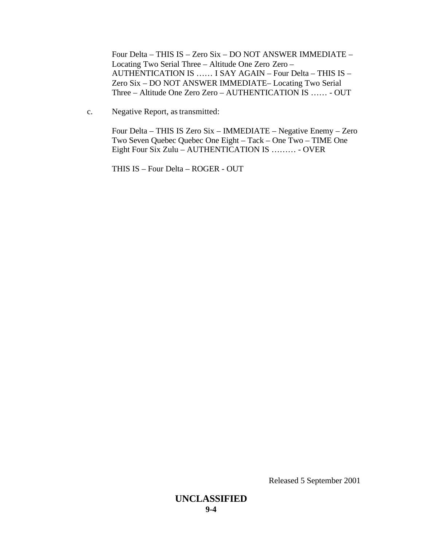Four Delta – THIS IS – Zero Six – DO NOT ANSWER IMMEDIATE – Locating Two Serial Three – Altitude One Zero Zero – AUTHENTICATION IS …… I SAY AGAIN – Four Delta – THIS IS – Zero Six – DO NOT ANSWER IMMEDIATE– Locating Two Serial Three – Altitude One Zero Zero – AUTHENTICATION IS …… - OUT

c. Negative Report, as transmitted:

Four Delta – THIS IS Zero Six – IMMEDIATE – Negative Enemy – Zero Two Seven Quebec Quebec One Eight – Tack – One Two – TIME One Eight Four Six Zulu – AUTHENTICATION IS ……… - OVER

THIS IS – Four Delta – ROGER - OUT